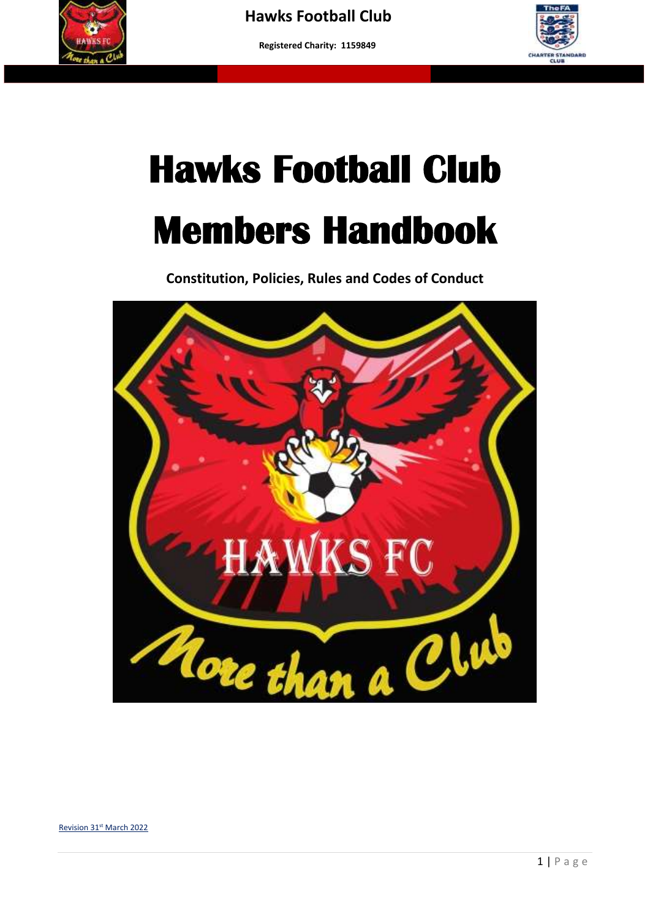

 **More than a club – Making a difference to young people's lives"**



## **Hawks Football Club Members Handbook**

**Constitution, Policies, Rules and Codes of Conduct**



Revision 31st March 2022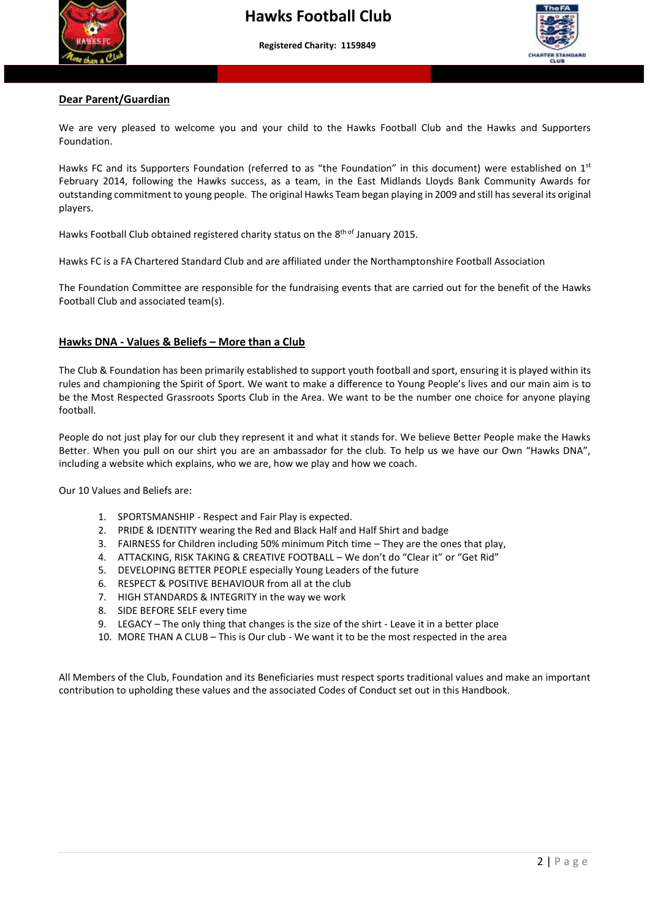



## **Dear Parent/Guardian**

We are very pleased to welcome you and your child to the Hawks Football Club and the Hawks and Supporters Foundation.

Hawks FC and its Supporters Foundation (referred to as "the Foundation" in this document) were established on 1<sup>st</sup><br>February 2014, following the Hawks success as a team in the Fest Midlanda Hawks Pank Cammunity Awards for February 2014, following the Hawks success, as a team, in the East Midlands Lloyds Bank Community Awards for outstanding commitment to young people. The original Hawks Team began playing in 2009 and still has several its original players.

Hawks Football Club obtained registered charity status on the 8<sup>th of</sup> January 2015.

Hawks FC is a FA Chartered Standard Club and are affiliated under the Northamptonshire Football Association

The Foundation Committee are responsible for the fundraising events that are carried out for the benefit of the Hawks Football Club and associated team(s).

#### **Hawks DNA - Values & Beliefs – More than a Club**

The Club & Foundation has been primarily established to support youth football and sport, ensuring it is played within its rules and championing the Spirit of Sport. We want to make a difference to Young People's lives and our main aim is to be the Most Respected Grassroots Sports Club in the Area. We want to be the number one choice for anyone playing football.

People do not just play for our club they represent it and what it stands for. We believe Better People make the Hawks Better. When you pull on our shirt you are an ambassador for the club. To help us we have our Own "Hawks DNA", including a website which explains, who we are, how we play and how we coach.

Our 10 Values and Beliefs are:

- 1. SPORTSMANSHIP Respect and Fair Play is expected.
- 2. PRIDE & IDENTITY wearing the Red and Black Half and Half Shirt and badge
- 3. FAIRNESS for Children including 50% minimum Pitch time They are the ones that play,
- 4. ATTACKING, RISK TAKING & CREATIVE FOOTBALL We don't do "Clear it" or "Get Rid"
- 5. DEVELOPING BETTER PEOPLE especially Young Leaders of the future
- 6. RESPECT & POSITIVE BEHAVIOUR from all at the club
- 7. HIGH STANDARDS & INTEGRITY in the way we work
- 8. SIDE BEFORE SELF every time
- 9. LEGACY The only thing that changes is the size of the shirt Leave it in a better place
- 10. MORE THAN A CLUB This is Our club We want it to be the most respected in the area

All Members of the Club, Foundation and its Beneficiaries must respect sports traditional values and make an important contribution to upholding these values and the associated Codes of Conduct set out in this Handbook.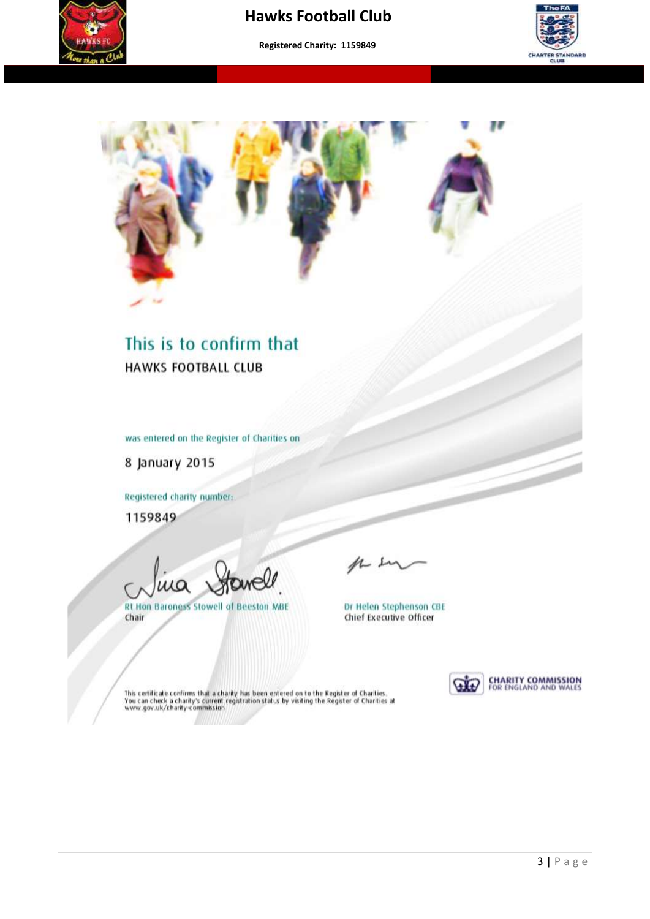

## **Hawks Football Club**

**Registered Charity: 1159849**

 **More than a club – Making a difference to young people's lives"**





## This is to confirm that **HAWKS FOOTBALL CLUB**

was entered on the Register of Charities on

8 January 2015

Registered charity number:

1159849

ua

**Rt Hon Baroness Stowell of Beeston MBE** Chair

Dr Helen Stephenson CBE<br>Chief Executive Officer



This certificate confirms that a charity has been entered on to the Register of Charities.<br>You can check a charity's current registration status by visiting the Register of Charities at<br>www.gov.uk/charity-commission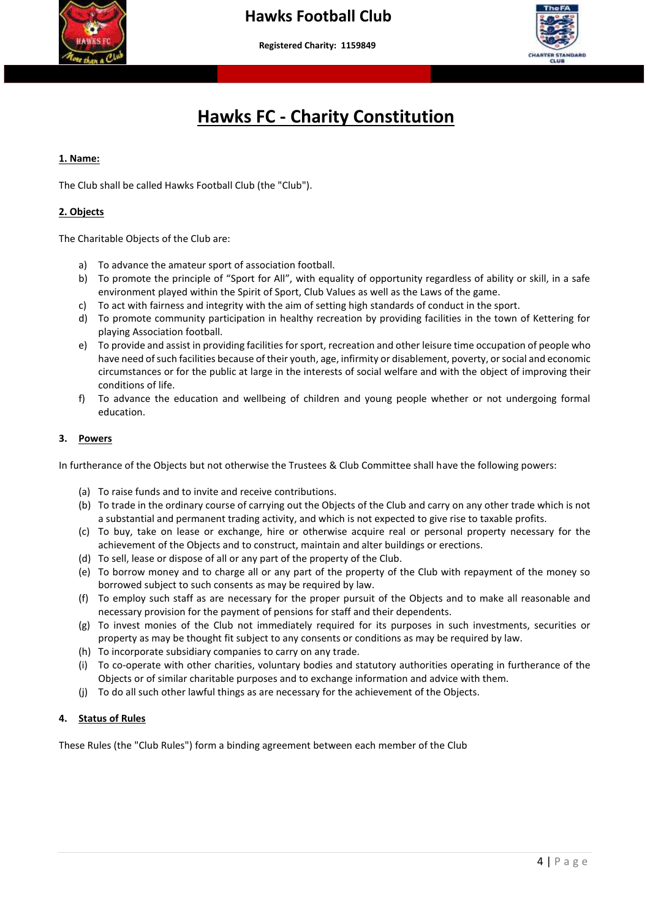



## **Hawks FC - Charity Constitution**

#### **1. Name:**

The Club shall be called Hawks Football Club (the "Club").

#### **2. Objects**

The Charitable Objects of the Club are:

- a) To advance the amateur sport of association football.
- b) To promote the principle of "Sport for All", with equality of opportunity regardless of ability or skill, in a safe environment played within the Spirit of Sport, Club Values as well as the Laws of the game.
- c) To act with fairness and integrity with the aim of setting high standards of conduct in the sport.
- d) To promote community participation in healthy recreation by providing facilities in the town of Kettering for playing Association football.
- e) To provide and assist in providing facilities for sport, recreation and other leisure time occupation of people who have need of such facilities because of their youth, age, infirmity or disablement, poverty, or social and economic circumstances or for the public at large in the interests of social welfare and with the object of improving their conditions of life.
- f) To advance the education and wellbeing of children and young people whether or not undergoing formal education.

#### **3. Powers**

In furtherance of the Objects but not otherwise the Trustees & Club Committee shall have the following powers:

- (a) To raise funds and to invite and receive contributions.
- (b) To trade in the ordinary course of carrying out the Objects of the Club and carry on any other trade which is not a substantial and permanent trading activity, and which is not expected to give rise to taxable profits.
- (c) To buy, take on lease or exchange, hire or otherwise acquire real or personal property necessary for the achievement of the Objects and to construct, maintain and alter buildings or erections.
- (d) To sell, lease or dispose of all or any part of the property of the Club.
- (e) To borrow money and to charge all or any part of the property of the Club with repayment of the money so borrowed subject to such consents as may be required by law.
- (f) To employ such staff as are necessary for the proper pursuit of the Objects and to make all reasonable and necessary provision for the payment of pensions for staff and their dependents.
- (g) To invest monies of the Club not immediately required for its purposes in such investments, securities or property as may be thought fit subject to any consents or conditions as may be required by law.
- (h) To incorporate subsidiary companies to carry on any trade.
- (i) To co-operate with other charities, voluntary bodies and statutory authorities operating in furtherance of the Objects or of similar charitable purposes and to exchange information and advice with them.
- (j) To do all such other lawful things as are necessary for the achievement of the Objects.

#### **4. Status of Rules**

These Rules (the "Club Rules") form a binding agreement between each member of the Club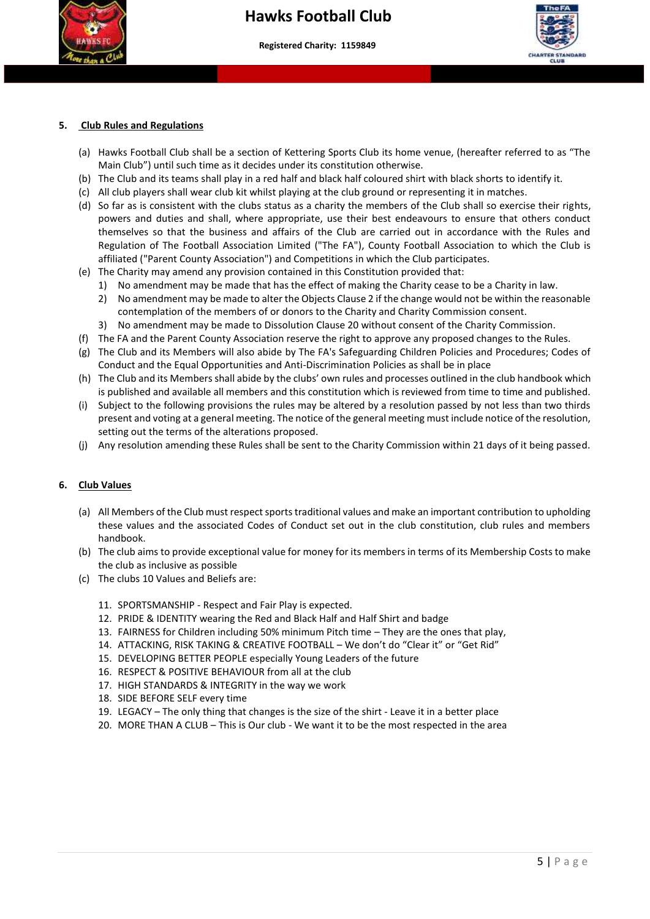

## **Hawks Football Club**

**Registered Charity: 1159849**

 **More than a club – Making a difference to young people's lives"**



#### **5. Club Rules and Regulations**

- (a) Hawks Football Club shall be a section of Kettering Sports Club its home venue, (hereafter referred to as "The Main Club") until such time as it decides under its constitution otherwise.
- (b) The Club and its teams shall play in a red half and black half coloured shirt with black shorts to identify it.
- (c) All club players shall wear club kit whilst playing at the club ground or representing it in matches.
- (d) So far as is consistent with the clubs status as a charity the members of the Club shall so exercise their rights, powers and duties and shall, where appropriate, use their best endeavours to ensure that others conduct themselves so that the business and affairs of the Club are carried out in accordance with the Rules and Regulation of The Football Association Limited ("The FA"), County Football Association to which the Club is affiliated ("Parent County Association") and Competitions in which the Club participates.
- (e) The Charity may amend any provision contained in this Constitution provided that:
	- 1) No amendment may be made that has the effect of making the Charity cease to be a Charity in law.
	- 2) No amendment may be made to alter the Objects Clause 2 if the change would not be within the reasonable contemplation of the members of or donors to the Charity and Charity Commission consent.
	- 3) No amendment may be made to Dissolution Clause 20 without consent of the Charity Commission.
- (f) The FA and the Parent County Association reserve the right to approve any proposed changes to the Rules.
- (g) The Club and its Members will also abide by The FA's Safeguarding Children Policies and Procedures; Codes of Conduct and the Equal Opportunities and Anti-Discrimination Policies as shall be in place
- (h) The Club and its Members shall abide by the clubs' own rules and processes outlined in the club handbook which is published and available all members and this constitution which is reviewed from time to time and published.
- (i) Subject to the following provisions the rules may be altered by a resolution passed by not less than two thirds present and voting at a general meeting. The notice of the general meeting must include notice of the resolution, setting out the terms of the alterations proposed.
- (j) Any resolution amending these Rules shall be sent to the Charity Commission within 21 days of it being passed.

#### **6. Club Values**

- (a) All Members of the Club must respect sports traditional values and make an important contribution to upholding these values and the associated Codes of Conduct set out in the club constitution, club rules and members handbook.
- (b) The club aims to provide exceptional value for money for its members in terms of its Membership Costs to make the club as inclusive as possible
- (c) The clubs 10 Values and Beliefs are:
	- 11. SPORTSMANSHIP Respect and Fair Play is expected.
	- 12. PRIDE & IDENTITY wearing the Red and Black Half and Half Shirt and badge
	- 13. FAIRNESS for Children including 50% minimum Pitch time They are the ones that play,
	- 14. ATTACKING, RISK TAKING & CREATIVE FOOTBALL We don't do "Clear it" or "Get Rid"
	- 15. DEVELOPING BETTER PEOPLE especially Young Leaders of the future
	- 16. RESPECT & POSITIVE BEHAVIOUR from all at the club
	- 17. HIGH STANDARDS & INTEGRITY in the way we work
	- 18. SIDE BEFORE SELF every time
	- 19. LEGACY The only thing that changes is the size of the shirt Leave it in a better place
	- 20. MORE THAN A CLUB This is Our club We want it to be the most respected in the area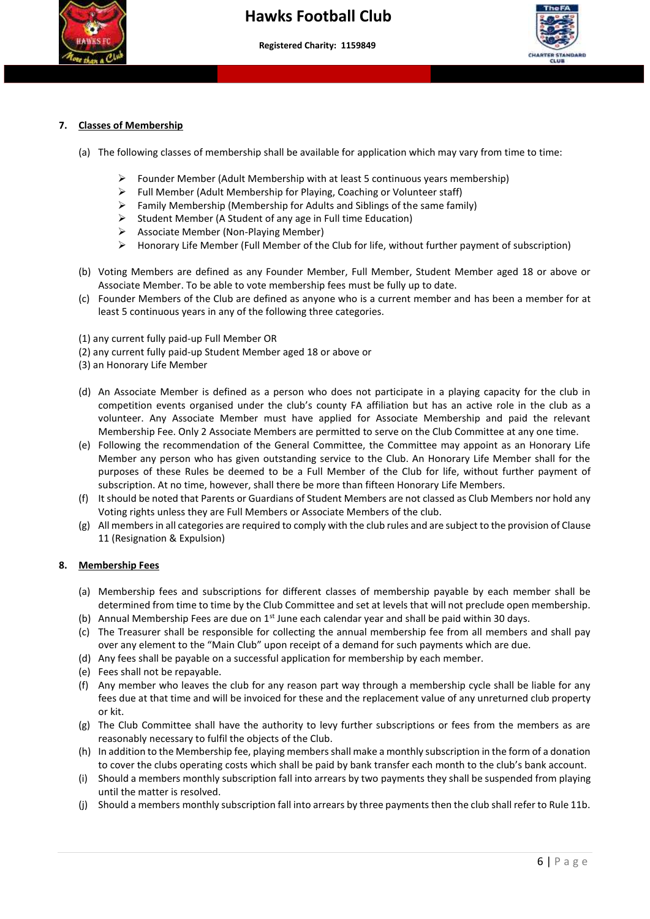



#### **7. Classes of Membership**

- (a) The following classes of membership shall be available for application which may vary from time to time:
	- ➢ Founder Member (Adult Membership with at least 5 continuous years membership)
	- ➢ Full Member (Adult Membership for Playing, Coaching or Volunteer staff)

 **More than a club – Making a difference to young people's lives"**

- $\triangleright$  Family Membership (Membership for Adults and Siblings of the same family)
- ➢ Student Member (A Student of any age in Full time Education)
- ➢ Associate Member (Non-Playing Member)
- ➢ Honorary Life Member (Full Member of the Club for life, without further payment of subscription)
- (b) Voting Members are defined as any Founder Member, Full Member, Student Member aged 18 or above or Associate Member. To be able to vote membership fees must be fully up to date.
- (c) Founder Members of the Club are defined as anyone who is a current member and has been a member for at least 5 continuous years in any of the following three categories.
- (1) any current fully paid-up Full Member OR
- (2) any current fully paid-up Student Member aged 18 or above or
- (3) an Honorary Life Member
- (d) An Associate Member is defined as a person who does not participate in a playing capacity for the club in competition events organised under the club's county FA affiliation but has an active role in the club as a volunteer. Any Associate Member must have applied for Associate Membership and paid the relevant Membership Fee. Only 2 Associate Members are permitted to serve on the Club Committee at any one time.
- (e) Following the recommendation of the General Committee, the Committee may appoint as an Honorary Life Member any person who has given outstanding service to the Club. An Honorary Life Member shall for the purposes of these Rules be deemed to be a Full Member of the Club for life, without further payment of subscription. At no time, however, shall there be more than fifteen Honorary Life Members.
- (f) It should be noted that Parents or Guardians of Student Members are not classed as Club Members nor hold any Voting rights unless they are Full Members or Associate Members of the club.
- (g) All members in all categories are required to comply with the club rules and are subject to the provision of Clause 11 (Resignation & Expulsion)

#### **8. Membership Fees**

- (a) Membership fees and subscriptions for different classes of membership payable by each member shall be determined from time to time by the Club Committee and set at levels that will not preclude open membership.
- (b) Annual Membership Fees are due on  $1<sup>st</sup>$  June each calendar year and shall be paid within 30 days.
- (c) The Treasurer shall be responsible for collecting the annual membership fee from all members and shall pay over any element to the "Main Club" upon receipt of a demand for such payments which are due.
- (d) Any fees shall be payable on a successful application for membership by each member.
- (e) Fees shall not be repayable.
- (f) Any member who leaves the club for any reason part way through a membership cycle shall be liable for any fees due at that time and will be invoiced for these and the replacement value of any unreturned club property or kit.
- (g) The Club Committee shall have the authority to levy further subscriptions or fees from the members as are reasonably necessary to fulfil the objects of the Club.
- (h) In addition to the Membership fee, playing members shall make a monthly subscription in the form of a donation to cover the clubs operating costs which shall be paid by bank transfer each month to the club's bank account.
- (i) Should a members monthly subscription fall into arrears by two payments they shall be suspended from playing until the matter is resolved.
- (j) Should a members monthly subscription fall into arrears by three payments then the club shall refer to Rule 11b.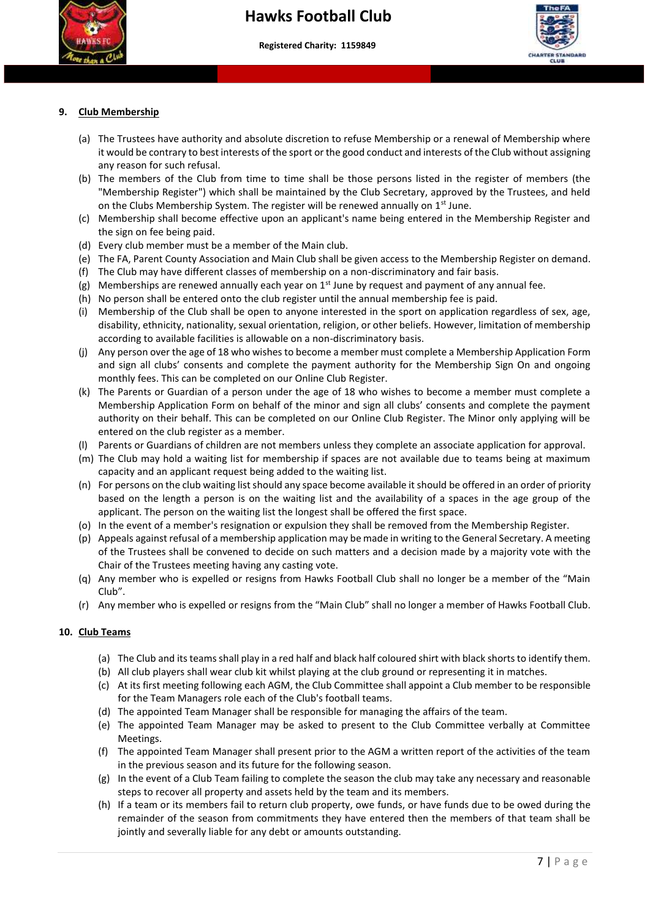



#### **9. Club Membership**

- (a) The Trustees have authority and absolute discretion to refuse Membership or a renewal of Membership where it would be contrary to best interests of the sport or the good conduct and interests of the Club without assigning any reason for such refusal.
- (b) The members of the Club from time to time shall be those persons listed in the register of members (the "Membership Register") which shall be maintained by the Club Secretary, approved by the Trustees, and held on the Clubs Membership System. The register will be renewed annually on 1<sup>st</sup> June.
- (c) Membership shall become effective upon an applicant's name being entered in the Membership Register and the sign on fee being paid.
- (d) Every club member must be a member of the Main club.
- (e) The FA, Parent County Association and Main Club shall be given access to the Membership Register on demand.
- (f) The Club may have different classes of membership on a non-discriminatory and fair basis.
- (g) Memberships are renewed annually each year on  $1<sup>st</sup>$  June by request and payment of any annual fee.
- (h) No person shall be entered onto the club register until the annual membership fee is paid.
- (i) Membership of the Club shall be open to anyone interested in the sport on application regardless of sex, age, disability, ethnicity, nationality, sexual orientation, religion, or other beliefs. However, limitation of membership according to available facilities is allowable on a non-discriminatory basis.
- (j) Any person over the age of 18 who wishes to become a member must complete a Membership Application Form and sign all clubs' consents and complete the payment authority for the Membership Sign On and ongoing monthly fees. This can be completed on our Online Club Register.
- (k) The Parents or Guardian of a person under the age of 18 who wishes to become a member must complete a Membership Application Form on behalf of the minor and sign all clubs' consents and complete the payment authority on their behalf. This can be completed on our Online Club Register. The Minor only applying will be entered on the club register as a member.
- (l) Parents or Guardians of children are not members unless they complete an associate application for approval.
- (m) The Club may hold a waiting list for membership if spaces are not available due to teams being at maximum capacity and an applicant request being added to the waiting list.
- (n) For persons on the club waiting list should any space become available it should be offered in an order of priority based on the length a person is on the waiting list and the availability of a spaces in the age group of the applicant. The person on the waiting list the longest shall be offered the first space.
- (o) In the event of a member's resignation or expulsion they shall be removed from the Membership Register.
- (p) Appeals against refusal of a membership application may be made in writing to the General Secretary. A meeting of the Trustees shall be convened to decide on such matters and a decision made by a majority vote with the Chair of the Trustees meeting having any casting vote.
- (q) Any member who is expelled or resigns from Hawks Football Club shall no longer be a member of the "Main Club".
- (r) Any member who is expelled or resigns from the "Main Club" shall no longer a member of Hawks Football Club.

#### **10. Club Teams**

- (a) The Club and its teams shall play in a red half and black half coloured shirt with black shorts to identify them.
- (b) All club players shall wear club kit whilst playing at the club ground or representing it in matches.
- (c) At its first meeting following each AGM, the Club Committee shall appoint a Club member to be responsible for the Team Managers role each of the Club's football teams.
- (d) The appointed Team Manager shall be responsible for managing the affairs of the team.
- (e) The appointed Team Manager may be asked to present to the Club Committee verbally at Committee Meetings.
- (f) The appointed Team Manager shall present prior to the AGM a written report of the activities of the team in the previous season and its future for the following season.
- (g) In the event of a Club Team failing to complete the season the club may take any necessary and reasonable steps to recover all property and assets held by the team and its members.
- (h) If a team or its members fail to return club property, owe funds, or have funds due to be owed during the remainder of the season from commitments they have entered then the members of that team shall be jointly and severally liable for any debt or amounts outstanding.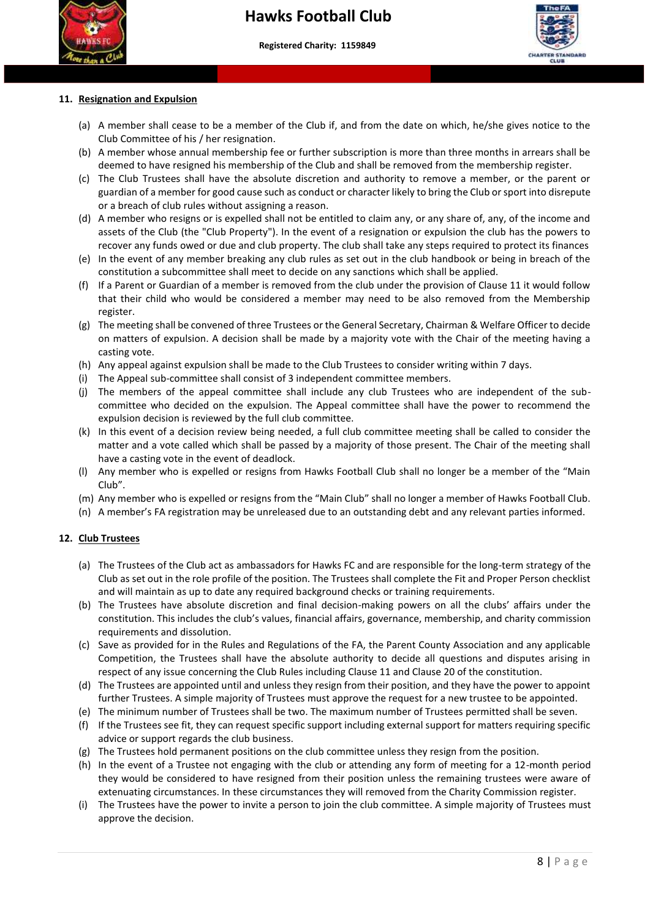



## **11. Resignation and Expulsion**

- (a) A member shall cease to be a member of the Club if, and from the date on which, he/she gives notice to the Club Committee of his / her resignation.
- (b) A member whose annual membership fee or further subscription is more than three months in arrears shall be deemed to have resigned his membership of the Club and shall be removed from the membership register.
- (c) The Club Trustees shall have the absolute discretion and authority to remove a member, or the parent or guardian of a member for good cause such as conduct or character likely to bring the Club or sport into disrepute or a breach of club rules without assigning a reason.
- (d) A member who resigns or is expelled shall not be entitled to claim any, or any share of, any, of the income and assets of the Club (the "Club Property"). In the event of a resignation or expulsion the club has the powers to recover any funds owed or due and club property. The club shall take any steps required to protect its finances
- (e) In the event of any member breaking any club rules as set out in the club handbook or being in breach of the constitution a subcommittee shall meet to decide on any sanctions which shall be applied.
- (f) If a Parent or Guardian of a member is removed from the club under the provision of Clause 11 it would follow that their child who would be considered a member may need to be also removed from the Membership register.
- (g) The meeting shall be convened of three Trustees or the General Secretary, Chairman & Welfare Officer to decide on matters of expulsion. A decision shall be made by a majority vote with the Chair of the meeting having a casting vote.
- (h) Any appeal against expulsion shall be made to the Club Trustees to consider writing within 7 days.
- (i) The Appeal sub-committee shall consist of 3 independent committee members.
- (j) The members of the appeal committee shall include any club Trustees who are independent of the subcommittee who decided on the expulsion. The Appeal committee shall have the power to recommend the expulsion decision is reviewed by the full club committee.
- (k) In this event of a decision review being needed, a full club committee meeting shall be called to consider the matter and a vote called which shall be passed by a majority of those present. The Chair of the meeting shall have a casting vote in the event of deadlock.
- (l) Any member who is expelled or resigns from Hawks Football Club shall no longer be a member of the "Main Club".
- (m) Any member who is expelled or resigns from the "Main Club" shall no longer a member of Hawks Football Club.
- (n) A member's FA registration may be unreleased due to an outstanding debt and any relevant parties informed.

#### **12. Club Trustees**

- (a) The Trustees of the Club act as ambassadors for Hawks FC and are responsible for the long-term strategy of the Club as set out in the role profile of the position. The Trustees shall complete the Fit and Proper Person checklist and will maintain as up to date any required background checks or training requirements.
- (b) The Trustees have absolute discretion and final decision-making powers on all the clubs' affairs under the constitution. This includes the club's values, financial affairs, governance, membership, and charity commission requirements and dissolution.
- (c) Save as provided for in the Rules and Regulations of the FA, the Parent County Association and any applicable Competition, the Trustees shall have the absolute authority to decide all questions and disputes arising in respect of any issue concerning the Club Rules including Clause 11 and Clause 20 of the constitution.
- (d) The Trustees are appointed until and unless they resign from their position, and they have the power to appoint further Trustees. A simple majority of Trustees must approve the request for a new trustee to be appointed.
- (e) The minimum number of Trustees shall be two. The maximum number of Trustees permitted shall be seven.
- (f) If the Trustees see fit, they can request specific support including external support for matters requiring specific advice or support regards the club business.
- (g) The Trustees hold permanent positions on the club committee unless they resign from the position.
- (h) In the event of a Trustee not engaging with the club or attending any form of meeting for a 12-month period they would be considered to have resigned from their position unless the remaining trustees were aware of extenuating circumstances. In these circumstances they will removed from the Charity Commission register.
- (i) The Trustees have the power to invite a person to join the club committee. A simple majority of Trustees must approve the decision.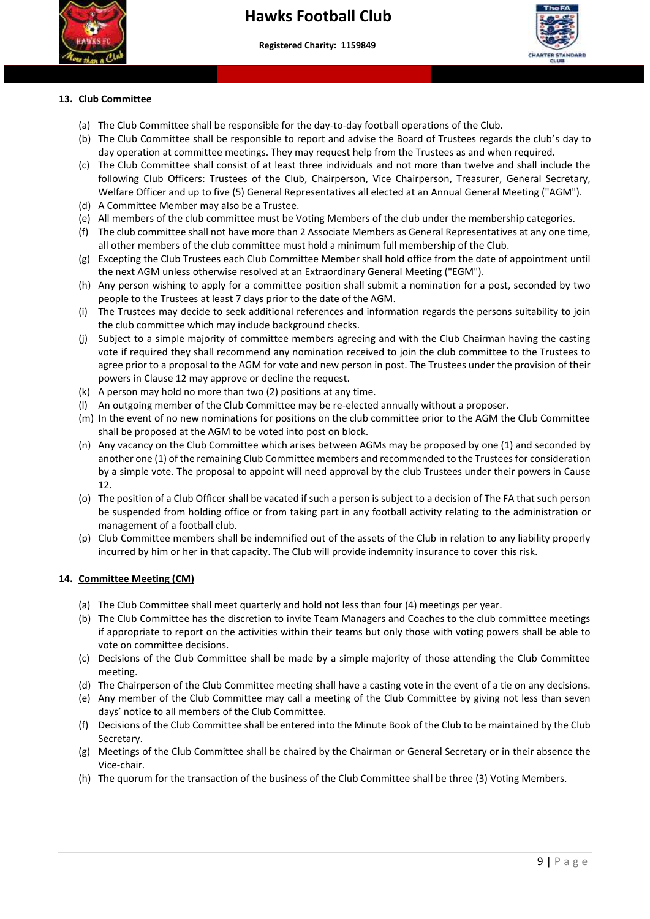



#### **13. Club Committee**

(a) The Club Committee shall be responsible for the day-to-day football operations of the Club.

 **More than a club – Making a difference to young people's lives"**

- (b) The Club Committee shall be responsible to report and advise the Board of Trustees regards the club's day to day operation at committee meetings. They may request help from the Trustees as and when required.
- following Club Officers: Trustees of the Club, Chairperson, Vice Chairperson, Treasurer, General Secretary, (c) The Club Committee shall consist of at least three individuals and not more than twelve and shall include the Welfare Officer and up to five (5) General Representatives all elected at an Annual General Meeting ("AGM").
- (d) A Committee Member may also be a Trustee.
- (e) All members of the club committee must be Voting Members of the club under the membership categories.
- (f) The club committee shall not have more than 2 Associate Members as General Representatives at any one time, all other members of the club committee must hold a minimum full membership of the Club.
- (g) Excepting the Club Trustees each Club Committee Member shall hold office from the date of appointment until the next AGM unless otherwise resolved at an Extraordinary General Meeting ("EGM").
- (h) Any person wishing to apply for a committee position shall submit a nomination for a post, seconded by two people to the Trustees at least 7 days prior to the date of the AGM.
- (i) The Trustees may decide to seek additional references and information regards the persons suitability to join the club committee which may include background checks.
- (j) Subject to a simple majority of committee members agreeing and with the Club Chairman having the casting vote if required they shall recommend any nomination received to join the club committee to the Trustees to agree prior to a proposal to the AGM for vote and new person in post. The Trustees under the provision of their powers in Clause 12 may approve or decline the request.
- (k) A person may hold no more than two (2) positions at any time.
- (l) An outgoing member of the Club Committee may be re-elected annually without a proposer.
- (m) In the event of no new nominations for positions on the club committee prior to the AGM the Club Committee shall be proposed at the AGM to be voted into post on block.
- (n) Any vacancy on the Club Committee which arises between AGMs may be proposed by one (1) and seconded by another one (1) of the remaining Club Committee members and recommended to the Trustees for consideration by a simple vote. The proposal to appoint will need approval by the club Trustees under their powers in Cause 12.
- (o) The position of a Club Officer shall be vacated if such a person is subject to a decision of The FA that such person be suspended from holding office or from taking part in any football activity relating to the administration or management of a football club.
- (p) Club Committee members shall be indemnified out of the assets of the Club in relation to any liability properly incurred by him or her in that capacity. The Club will provide indemnity insurance to cover this risk.

#### **14. Committee Meeting (CM)**

- (a) The Club Committee shall meet quarterly and hold not less than four (4) meetings per year.
- (b) The Club Committee has the discretion to invite Team Managers and Coaches to the club committee meetings if appropriate to report on the activities within their teams but only those with voting powers shall be able to vote on committee decisions.
- (c) Decisions of the Club Committee shall be made by a simple majority of those attending the Club Committee meeting.
- (d) The Chairperson of the Club Committee meeting shall have a casting vote in the event of a tie on any decisions.
- (e) Any member of the Club Committee may call a meeting of the Club Committee by giving not less than seven days' notice to all members of the Club Committee.
- (f) Decisions of the Club Committee shall be entered into the Minute Book of the Club to be maintained by the Club Secretary.
- (g) Meetings of the Club Committee shall be chaired by the Chairman or General Secretary or in their absence the Vice-chair.
- (h) The quorum for the transaction of the business of the Club Committee shall be three (3) Voting Members.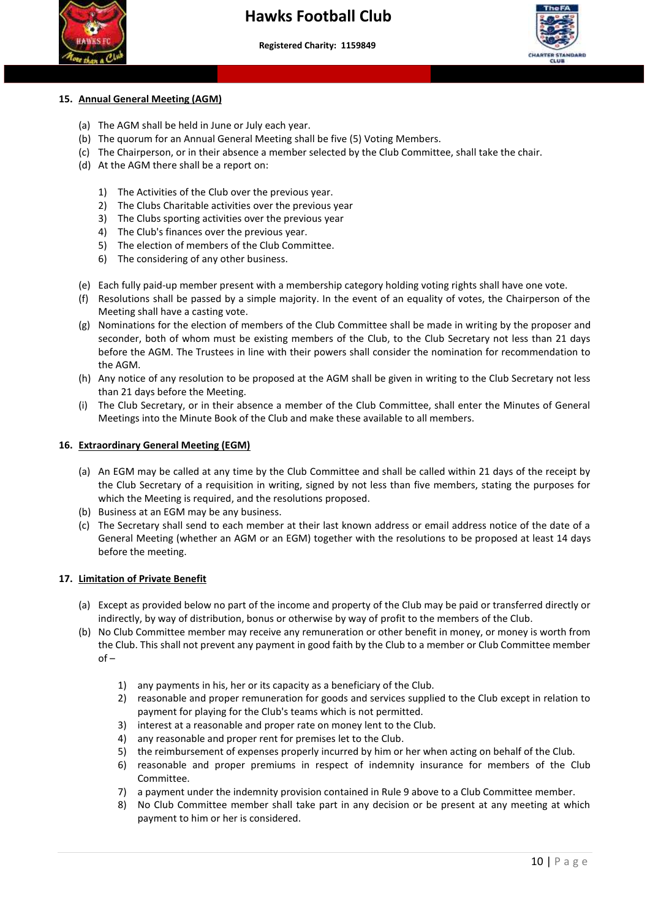



## **15. Annual General Meeting (AGM)**

- (a) The AGM shall be held in June or July each year.
- (b) The quorum for an Annual General Meeting shall be five (5) Voting Members.
- (c) The Chairperson, or in their absence a member selected by the Club Committee, shall take the chair.
- (d) At the AGM there shall be a report on:
	- 1) The Activities of the Club over the previous year.
	- 2) The Clubs Charitable activities over the previous year
	- 3) The Clubs sporting activities over the previous year
	- 4) The Club's finances over the previous year.
	- 5) The election of members of the Club Committee.
	- 6) The considering of any other business.
- (e) Each fully paid-up member present with a membership category holding voting rights shall have one vote.
- (f) Resolutions shall be passed by a simple majority. In the event of an equality of votes, the Chairperson of the Meeting shall have a casting vote.
- (g) Nominations for the election of members of the Club Committee shall be made in writing by the proposer and seconder, both of whom must be existing members of the Club, to the Club Secretary not less than 21 days before the AGM. The Trustees in line with their powers shall consider the nomination for recommendation to the AGM.
- (h) Any notice of any resolution to be proposed at the AGM shall be given in writing to the Club Secretary not less than 21 days before the Meeting.
- (i) The Club Secretary, or in their absence a member of the Club Committee, shall enter the Minutes of General Meetings into the Minute Book of the Club and make these available to all members.

#### **16. Extraordinary General Meeting (EGM)**

- (a) An EGM may be called at any time by the Club Committee and shall be called within 21 days of the receipt by the Club Secretary of a requisition in writing, signed by not less than five members, stating the purposes for which the Meeting is required, and the resolutions proposed.
- (b) Business at an EGM may be any business.
- (c) The Secretary shall send to each member at their last known address or email address notice of the date of a General Meeting (whether an AGM or an EGM) together with the resolutions to be proposed at least 14 days before the meeting.

#### **17. Limitation of Private Benefit**

- (a) Except as provided below no part of the income and property of the Club may be paid or transferred directly or indirectly, by way of distribution, bonus or otherwise by way of profit to the members of the Club.
- (b) No Club Committee member may receive any remuneration or other benefit in money, or money is worth from the Club. This shall not prevent any payment in good faith by the Club to a member or Club Committee member of –
	- 1) any payments in his, her or its capacity as a beneficiary of the Club.
	- 2) reasonable and proper remuneration for goods and services supplied to the Club except in relation to payment for playing for the Club's teams which is not permitted.
	- 3) interest at a reasonable and proper rate on money lent to the Club.
	- 4) any reasonable and proper rent for premises let to the Club.
	- 5) the reimbursement of expenses properly incurred by him or her when acting on behalf of the Club.
	- 6) reasonable and proper premiums in respect of indemnity insurance for members of the Club Committee.
	- 7) a payment under the indemnity provision contained in Rule 9 above to a Club Committee member.
	- 8) No Club Committee member shall take part in any decision or be present at any meeting at which payment to him or her is considered.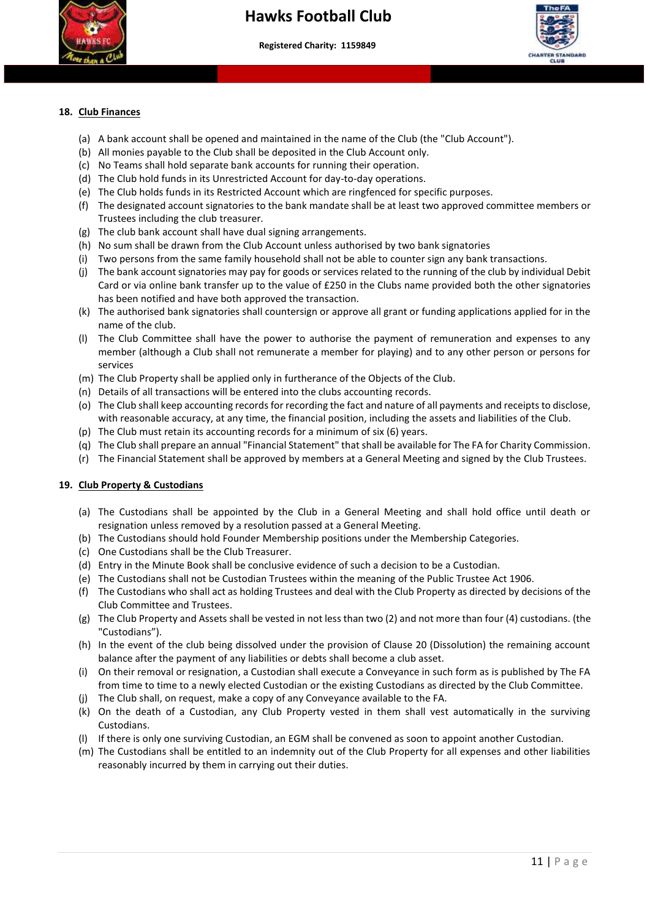



#### **18. Club Finances**

(a) A bank account shall be opened and maintained in the name of the Club (the "Club Account").

 **More than a club – Making a difference to young people's lives"**

- (b) All monies payable to the Club shall be deposited in the Club Account only.
- (c) No Teams shall hold separate bank accounts for running their operation.
- (d) The Club hold funds in its Unrestricted Account for day-to-day operations.
- (e) The Club holds funds in its Restricted Account which are ringfenced for specific purposes.
- (f) The designated account signatories to the bank mandate shall be at least two approved committee members or Trustees including the club treasurer.
- (g) The club bank account shall have dual signing arrangements.
- (h) No sum shall be drawn from the Club Account unless authorised by two bank signatories
- (i) Two persons from the same family household shall not be able to counter sign any bank transactions.
- (j) The bank account signatories may pay for goods or services related to the running of the club by individual Debit Card or via online bank transfer up to the value of £250 in the Clubs name provided both the other signatories has been notified and have both approved the transaction.
- (k) The authorised bank signatories shall countersign or approve all grant or funding applications applied for in the name of the club.
- (l) The Club Committee shall have the power to authorise the payment of remuneration and expenses to any member (although a Club shall not remunerate a member for playing) and to any other person or persons for services
- (m) The Club Property shall be applied only in furtherance of the Objects of the Club.
- (n) Details of all transactions will be entered into the clubs accounting records.
- (o) The Club shall keep accounting records for recording the fact and nature of all payments and receipts to disclose, with reasonable accuracy, at any time, the financial position, including the assets and liabilities of the Club.
- (p) The Club must retain its accounting records for a minimum of six (6) years.
- (q) The Club shall prepare an annual "Financial Statement" that shall be available for The FA for Charity Commission.
- (r) The Financial Statement shall be approved by members at a General Meeting and signed by the Club Trustees.

#### **19. Club Property & Custodians**

- (a) The Custodians shall be appointed by the Club in a General Meeting and shall hold office until death or resignation unless removed by a resolution passed at a General Meeting.
- (b) The Custodians should hold Founder Membership positions under the Membership Categories.
- (c) One Custodians shall be the Club Treasurer.
- (d) Entry in the Minute Book shall be conclusive evidence of such a decision to be a Custodian.
- (e) The Custodians shall not be Custodian Trustees within the meaning of the Public Trustee Act 1906.
- (f) The Custodians who shall act as holding Trustees and deal with the Club Property as directed by decisions of the Club Committee and Trustees.
- (g) The Club Property and Assets shall be vested in not less than two (2) and not more than four (4) custodians. (the "Custodians").
- (h) In the event of the club being dissolved under the provision of Clause 20 (Dissolution) the remaining account balance after the payment of any liabilities or debts shall become a club asset.
- (i) On their removal or resignation, a Custodian shall execute a Conveyance in such form as is published by The FA from time to time to a newly elected Custodian or the existing Custodians as directed by the Club Committee.
- (j) The Club shall, on request, make a copy of any Conveyance available to the FA.
- (k) On the death of a Custodian, any Club Property vested in them shall vest automatically in the surviving Custodians.
- (l) If there is only one surviving Custodian, an EGM shall be convened as soon to appoint another Custodian.
- (m) The Custodians shall be entitled to an indemnity out of the Club Property for all expenses and other liabilities reasonably incurred by them in carrying out their duties.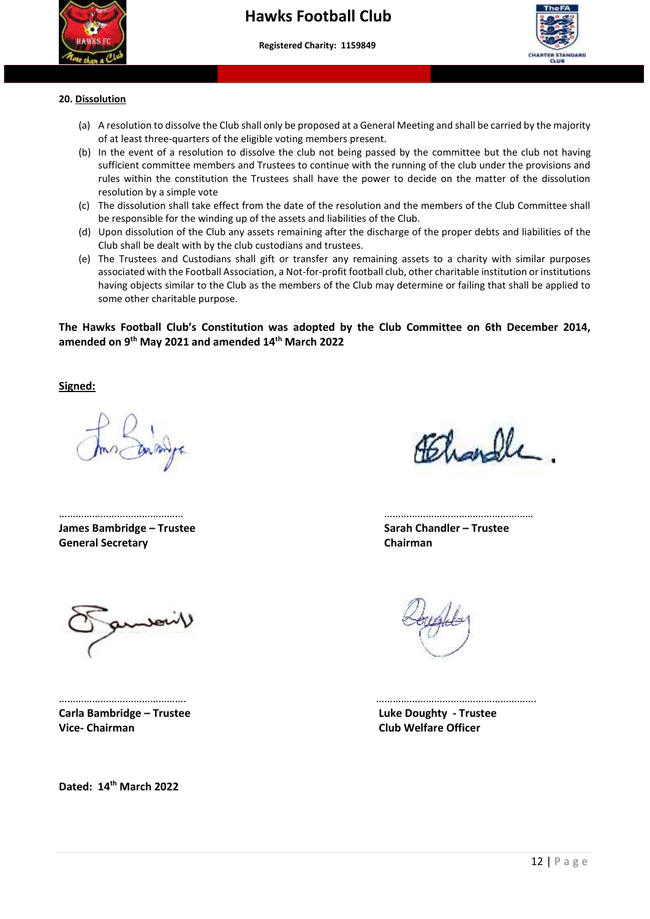



#### **20. Dissolution**

- (a) A resolution to dissolve the Club shall only be proposed at a General Meeting and shall be carried by the majority of at least three-quarters of the eligible voting members present.
- rules within the constitution the Trustees shall have the power to decide on the matter of the dissolution rules within the constitution the Trustees shall have the power to decide on the matter of the dissolution (b) In the event of a resolution to dissolve the club not being passed by the committee but the club not having sufficient committee members and Trustees to continue with the running of the club under the provisions and resolution by a simple vote
- (c) The dissolution shall take effect from the date of the resolution and the members of the Club Committee shall be responsible for the winding up of the assets and liabilities of the Club.
- (d) Upon dissolution of the Club any assets remaining after the discharge of the proper debts and liabilities of the Club shall be dealt with by the club custodians and trustees.
- (e) The Trustees and Custodians shall gift or transfer any remaining assets to a charity with similar purposes associated with the Football Association, a Not-for-profit football club, other charitable institution or institutions having objects similar to the Club as the members of the Club may determine or failing that shall be applied to some other charitable purpose.

#### **The Hawks Football Club's Constitution was adopted by the Club Committee on 6th December 2014, amended on 9th May 2021 and amended 14th March 2022**

**Signed:** 

**James Bambridge – Trustee Sarah Chandler – Trustee General Secretary Chairman**

Athandle

……………………………………… ………………………………………………

**Carla Bambridge – Trustee Luke Doughty - Trustee Vice- Chairman Club Welfare Officer** 

**Dated: 14th March 2022**

………………………………………. ………………………………………………….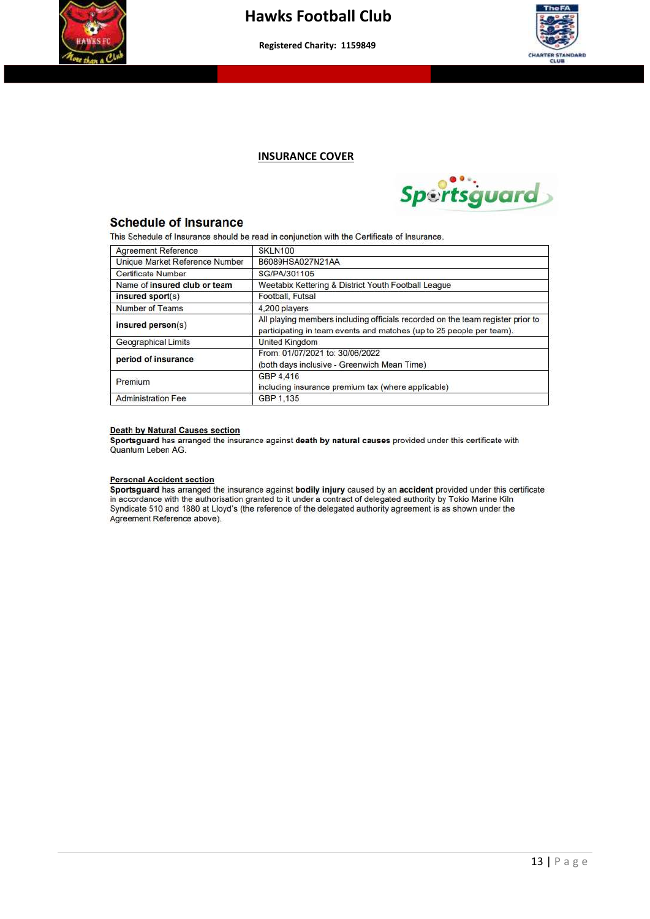



#### **INSURANCE COVER**



#### **Schedule of Insurance**

This Schedule of Insurance should be read in conjunction with the Certificate of Insurance.

| <b>Agreement Reference</b>     | SKLN100                                                                                                                                                |  |  |  |  |
|--------------------------------|--------------------------------------------------------------------------------------------------------------------------------------------------------|--|--|--|--|
| Unique Market Reference Number | B6089HSA027N21AA                                                                                                                                       |  |  |  |  |
| <b>Certificate Number</b>      | SG/PA/301105                                                                                                                                           |  |  |  |  |
| Name of insured club or team   | Weetabix Kettering & District Youth Football League                                                                                                    |  |  |  |  |
| insured sport(s)               | Football, Futsal                                                                                                                                       |  |  |  |  |
| Number of Teams                | 4,200 players                                                                                                                                          |  |  |  |  |
| insured person(s)              | All playing members including officials recorded on the team register prior to<br>participating in team events and matches (up to 25 people per team). |  |  |  |  |
| <b>Geographical Limits</b>     | <b>United Kingdom</b>                                                                                                                                  |  |  |  |  |
| period of insurance            | From: 01/07/2021 to: 30/06/2022<br>(both days inclusive - Greenwich Mean Time)                                                                         |  |  |  |  |
| Premium                        | GBP 4.416<br>including insurance premium tax (where applicable)                                                                                        |  |  |  |  |
| <b>Administration Fee</b>      | GBP 1.135                                                                                                                                              |  |  |  |  |

#### **Death by Natural Causes section**

Sportsguard has arranged the insurance against death by natural causes provided under this certificate with Quantum Leben AG.

#### **Personal Accident section**

Sportsguard has arranged the insurance against bodily injury caused by an accident provided under this certificate in accordance with the authorisation granted to it under a contract of delegated authority by Tokio Marine Kiln Syndicate 510 and 1880 at Lloyd's (the reference of the delegated authority agreement is as shown under the Agreement Reference above).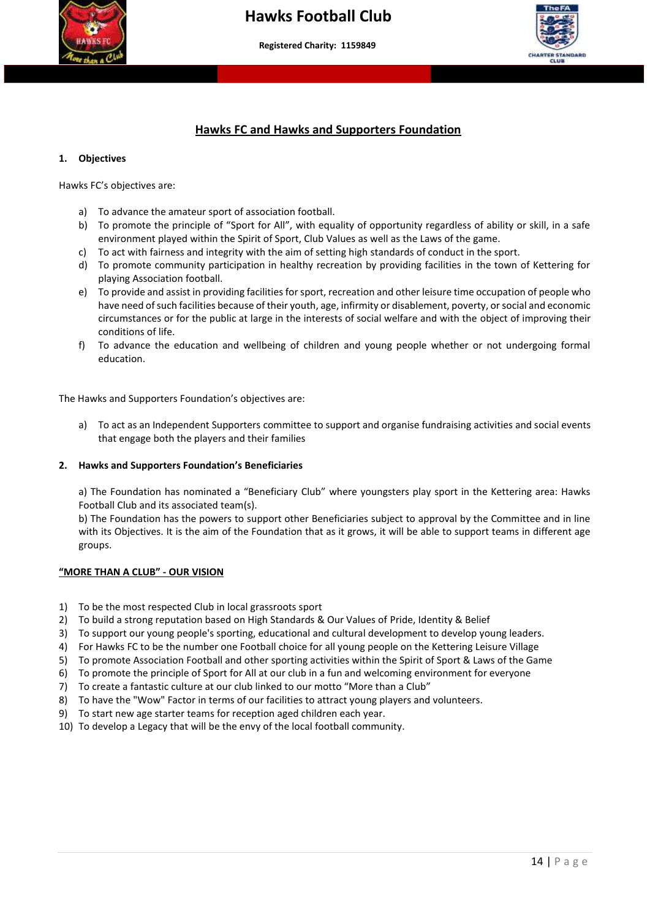



#### **Hawks FC and Hawks and Supporters Foundation**

#### **1. Objectives**

Hawks FC's objectives are:

- a) To advance the amateur sport of association football.
- b) To promote the principle of "Sport for All", with equality of opportunity regardless of ability or skill, in a safe environment played within the Spirit of Sport, Club Values as well as the Laws of the game.
- c) To act with fairness and integrity with the aim of setting high standards of conduct in the sport.
- d) To promote community participation in healthy recreation by providing facilities in the town of Kettering for playing Association football.
- e) To provide and assist in providing facilities for sport, recreation and other leisure time occupation of people who have need of such facilities because of their youth, age, infirmity or disablement, poverty, or social and economic circumstances or for the public at large in the interests of social welfare and with the object of improving their conditions of life.
- f) To advance the education and wellbeing of children and young people whether or not undergoing formal education.

The Hawks and Supporters Foundation's objectives are:

a) To act as an Independent Supporters committee to support and organise fundraising activities and social events that engage both the players and their families

#### **2. Hawks and Supporters Foundation's Beneficiaries**

a) The Foundation has nominated a "Beneficiary Club" where youngsters play sport in the Kettering area: Hawks Football Club and its associated team(s).

b) The Foundation has the powers to support other Beneficiaries subject to approval by the Committee and in line with its Objectives. It is the aim of the Foundation that as it grows, it will be able to support teams in different age groups.

#### **"MORE THAN A CLUB" - OUR VISION**

- 1) To be the most respected Club in local grassroots sport
- 2) To build a strong reputation based on High Standards & Our Values of Pride, Identity & Belief
- 3) To support our young people's sporting, educational and cultural development to develop young leaders.
- 4) For Hawks FC to be the number one Football choice for all young people on the Kettering Leisure Village
- 5) To promote Association Football and other sporting activities within the Spirit of Sport & Laws of the Game
- 6) To promote the principle of Sport for All at our club in a fun and welcoming environment for everyone
- 7) To create a fantastic culture at our club linked to our motto "More than a Club"
- 8) To have the "Wow" Factor in terms of our facilities to attract young players and volunteers.
- 9) To start new age starter teams for reception aged children each year.
- 10) To develop a Legacy that will be the envy of the local football community.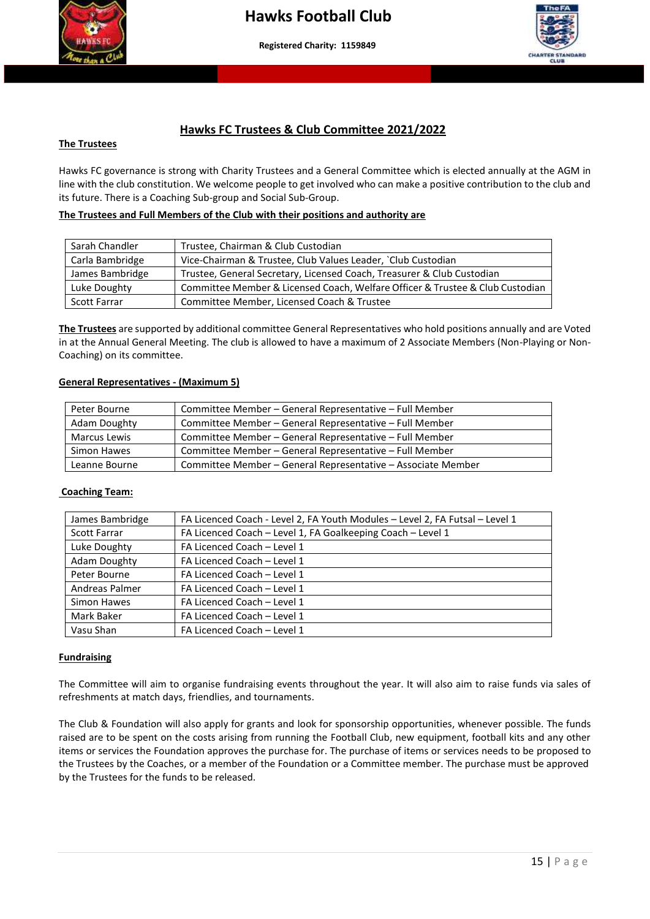



#### **Hawks FC Trustees & Club Committee 2021/2022**

#### **The Trustees**

 Hawks FC governance is strong with Charity Trustees and a General Committee which is elected annually at the AGM in line with the club constitution. We welcome people to get involved who can make a positive contribution to the club and its future. There is a Coaching Sub-group and Social Sub-Group.

#### **The Trustees and Full Members of the Club with their positions and authority are**

| Sarah Chandler      | Trustee, Chairman & Club Custodian                                            |
|---------------------|-------------------------------------------------------------------------------|
| Carla Bambridge     | Vice-Chairman & Trustee, Club Values Leader, `Club Custodian                  |
| James Bambridge     | Trustee, General Secretary, Licensed Coach, Treasurer & Club Custodian        |
| Luke Doughty        | Committee Member & Licensed Coach, Welfare Officer & Trustee & Club Custodian |
| <b>Scott Farrar</b> | Committee Member, Licensed Coach & Trustee                                    |

**The Trustees** are supported by additional committee General Representatives who hold positions annually and are Voted in at the Annual General Meeting. The club is allowed to have a maximum of 2 Associate Members (Non-Playing or Non-Coaching) on its committee.

#### **General Representatives - (Maximum 5)**

| Peter Bourne  | Committee Member - General Representative - Full Member      |
|---------------|--------------------------------------------------------------|
| Adam Doughty  | Committee Member - General Representative - Full Member      |
| Marcus Lewis  | Committee Member - General Representative - Full Member      |
| Simon Hawes   | Committee Member - General Representative - Full Member      |
| Leanne Bourne | Committee Member - General Representative - Associate Member |

#### **Coaching Team:**

| James Bambridge     | FA Licenced Coach - Level 2, FA Youth Modules - Level 2, FA Futsal - Level 1 |
|---------------------|------------------------------------------------------------------------------|
| <b>Scott Farrar</b> | FA Licenced Coach - Level 1, FA Goalkeeping Coach - Level 1                  |
| Luke Doughty        | FA Licenced Coach - Level 1                                                  |
| <b>Adam Doughty</b> | FA Licenced Coach - Level 1                                                  |
| Peter Bourne        | FA Licenced Coach - Level 1                                                  |
| Andreas Palmer      | FA Licenced Coach - Level 1                                                  |
| Simon Hawes         | FA Licenced Coach - Level 1                                                  |
| Mark Baker          | FA Licenced Coach - Level 1                                                  |
| Vasu Shan           | FA Licenced Coach - Level 1                                                  |

#### **Fundraising**

The Committee will aim to organise fundraising events throughout the year. It will also aim to raise funds via sales of refreshments at match days, friendlies, and tournaments.

The Club & Foundation will also apply for grants and look for sponsorship opportunities, whenever possible. The funds raised are to be spent on the costs arising from running the Football Club, new equipment, football kits and any other items or services the Foundation approves the purchase for. The purchase of items or services needs to be proposed to the Trustees by the Coaches, or a member of the Foundation or a Committee member. The purchase must be approved by the Trustees for the funds to be released.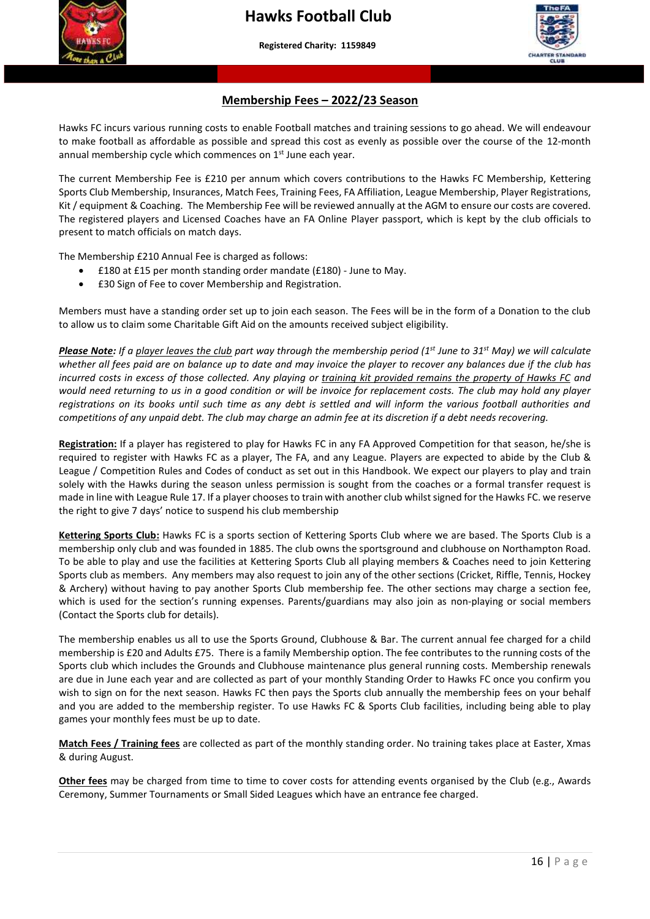**More than a club – Making a difference to young people's lives"**



#### **Membership Fees – 2022/23 Season**

Hawks FC incurs various running costs to enable Football matches and training sessions to go ahead. We will endeavour to make football as affordable as possible and spread this cost as evenly as possible over the course of the 12-month annual membership cycle which commences on  $1<sup>st</sup>$  June each year.

 The current Membership Fee is £210 per annum which covers contributions to the Hawks FC Membership, Kettering Sports Club Membership, Insurances, Match Fees, Training Fees, FA Affiliation, League Membership, Player Registrations, Kit / equipment & Coaching. The Membership Fee will be reviewed annually at the AGM to ensure our costs are covered. The registered players and Licensed Coaches have an FA Online Player passport, which is kept by the club officials to present to match officials on match days.

The Membership £210 Annual Fee is charged as follows:

- £180 at £15 per month standing order mandate (£180) June to May.
- £30 Sign of Fee to cover Membership and Registration.

Members must have a standing order set up to join each season. The Fees will be in the form of a Donation to the club to allow us to claim some Charitable Gift Aid on the amounts received subject eligibility.

*Please Note: If a player leaves the club part way through the membership period (1st June to 31st May) we will calculate whether all fees paid are on balance up to date and may invoice the player to recover any balances due if the club has incurred costs in excess of those collected. Any playing or training kit provided remains the property of Hawks FC and would need returning to us in a good condition or will be invoice for replacement costs. The club may hold any player registrations on its books until such time as any debt is settled and will inform the various football authorities and competitions of any unpaid debt. The club may charge an admin fee at its discretion if a debt needs recovering.*

**Registration:** If a player has registered to play for Hawks FC in any FA Approved Competition for that season, he/she is required to register with Hawks FC as a player, The FA, and any League. Players are expected to abide by the Club & League / Competition Rules and Codes of conduct as set out in this Handbook. We expect our players to play and train solely with the Hawks during the season unless permission is sought from the coaches or a formal transfer request is made in line with League Rule 17. If a player chooses to train with another club whilst signed for the Hawks FC. we reserve the right to give 7 days' notice to suspend his club membership

**Kettering Sports Club:** Hawks FC is a sports section of Kettering Sports Club where we are based. The Sports Club is a membership only club and was founded in 1885. The club owns the sportsground and clubhouse on Northampton Road. To be able to play and use the facilities at Kettering Sports Club all playing members & Coaches need to join Kettering Sports club as members. Any members may also request to join any of the other sections (Cricket, Riffle, Tennis, Hockey & Archery) without having to pay another Sports Club membership fee. The other sections may charge a section fee, which is used for the section's running expenses. Parents/guardians may also join as non-playing or social members (Contact the Sports club for details).

The membership enables us all to use the Sports Ground, Clubhouse & Bar. The current annual fee charged for a child membership is £20 and Adults £75. There is a family Membership option. The fee contributes to the running costs of the Sports club which includes the Grounds and Clubhouse maintenance plus general running costs. Membership renewals are due in June each year and are collected as part of your monthly Standing Order to Hawks FC once you confirm you wish to sign on for the next season. Hawks FC then pays the Sports club annually the membership fees on your behalf and you are added to the membership register. To use Hawks FC & Sports Club facilities, including being able to play games your monthly fees must be up to date.

**Match Fees / Training fees** are collected as part of the monthly standing order. No training takes place at Easter, Xmas & during August.

**Other fees** may be charged from time to time to cover costs for attending events organised by the Club (e.g., Awards Ceremony, Summer Tournaments or Small Sided Leagues which have an entrance fee charged.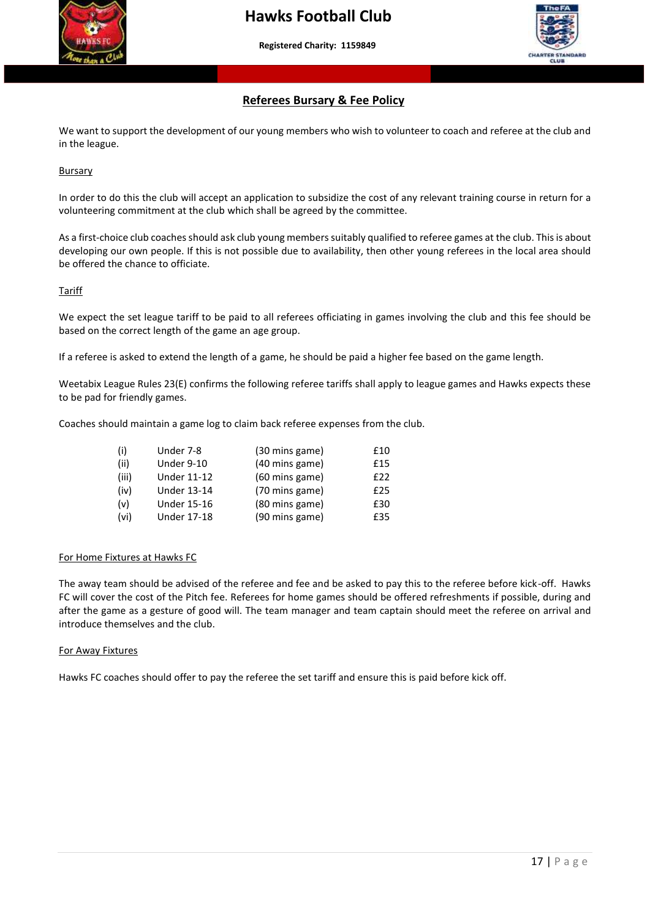



#### **Referees Bursary & Fee Policy**

We want to support the development of our young members who wish to volunteer to coach and referee at the club and in the league.

Bursary

In order to do this the club will accept an application to subsidize the cost of any relevant training course in return for a volunteering commitment at the club which shall be agreed by the committee.

As a first-choice club coaches should ask club young members suitably qualified to referee games at the club. This is about developing our own people. If this is not possible due to availability, then other young referees in the local area should be offered the chance to officiate.

#### Tariff

We expect the set league tariff to be paid to all referees officiating in games involving the club and this fee should be based on the correct length of the game an age group.

If a referee is asked to extend the length of a game, he should be paid a higher fee based on the game length.

Weetabix League Rules 23(E) confirms the following referee tariffs shall apply to league games and Hawks expects these to be pad for friendly games.

Coaches should maintain a game log to claim back referee expenses from the club.

| (i)   | Under 7-8          | (30 mins game) | £10 |
|-------|--------------------|----------------|-----|
| (ii)  | Under 9-10         | (40 mins game) | £15 |
| (iii) | <b>Under 11-12</b> | (60 mins game) | £22 |
| (iv)  | <b>Under 13-14</b> | (70 mins game) | £25 |
| (v)   | <b>Under 15-16</b> | (80 mins game) | £30 |
| (vi)  | <b>Under 17-18</b> | (90 mins game) | £35 |

#### For Home Fixtures at Hawks FC

The away team should be advised of the referee and fee and be asked to pay this to the referee before kick-off. Hawks FC will cover the cost of the Pitch fee. Referees for home games should be offered refreshments if possible, during and after the game as a gesture of good will. The team manager and team captain should meet the referee on arrival and introduce themselves and the club.

#### For Away Fixtures

Hawks FC coaches should offer to pay the referee the set tariff and ensure this is paid before kick off.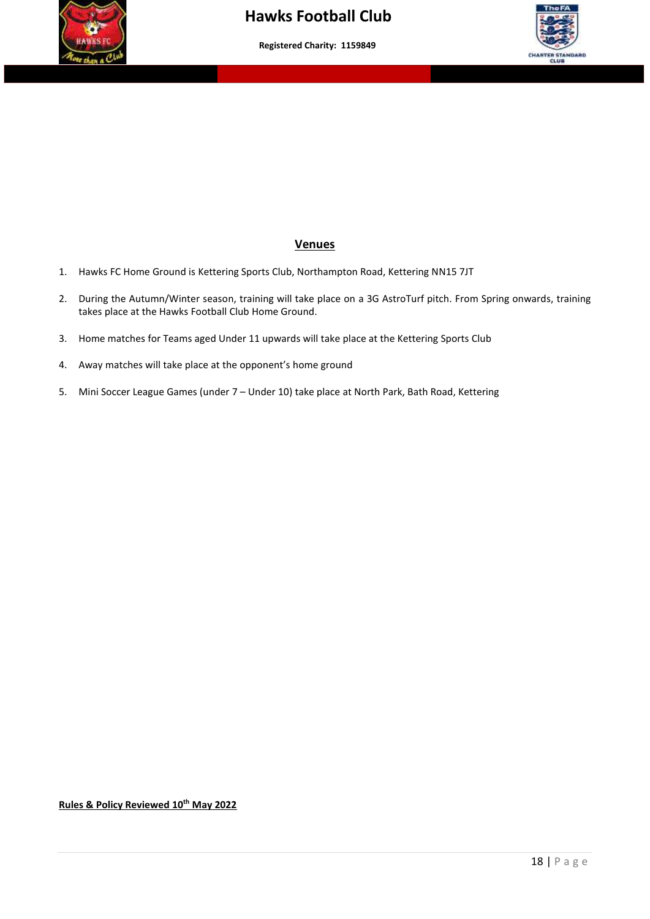



#### **Venues**

- 1. Hawks FC Home Ground is Kettering Sports Club, Northampton Road, Kettering NN15 7JT
- 2. During the Autumn/Winter season, training will take place on a 3G AstroTurf pitch. From Spring onwards, training takes place at the Hawks Football Club Home Ground.
- 3. Home matches for Teams aged Under 11 upwards will take place at the Kettering Sports Club
- 4. Away matches will take place at the opponent's home ground
- 5. Mini Soccer League Games (under 7 Under 10) take place at North Park, Bath Road, Kettering

**Rules & Policy Reviewed 10th May 2022**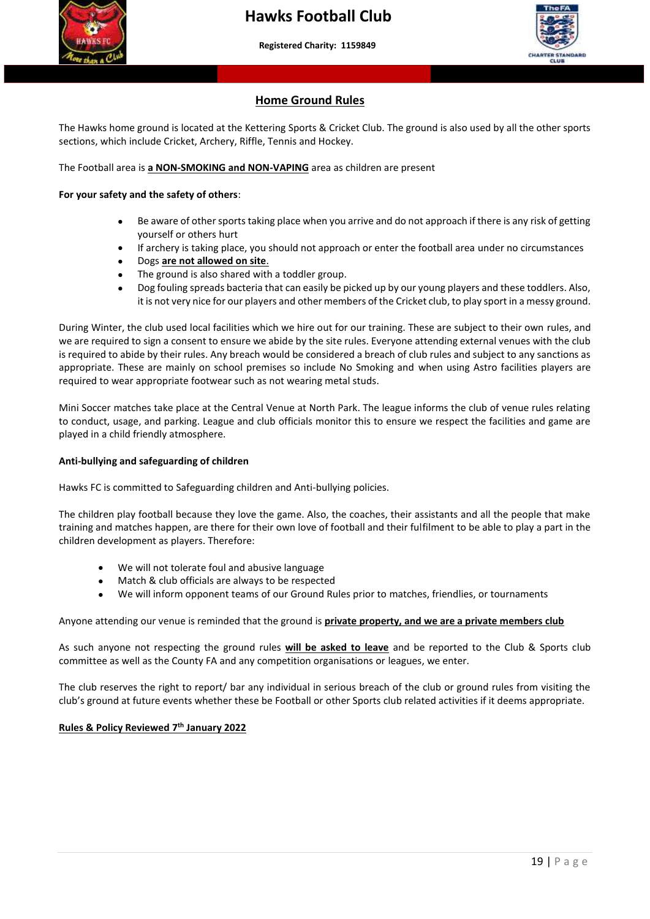



#### **Home Ground Rules**

 **More than a club – Making a difference to young people's lives"**

The Hawks home ground is located at the Kettering Sports & Cricket Club. The ground is also used by all the other sports sections, which include Cricket, Archery, Riffle, Tennis and Hockey.

The Football area is **a NON-SMOKING and NON-VAPING** area as children are present

#### **For your safety and the safety of others**:

- Be aware of other sports taking place when you arrive and do not approach if there is any risk of getting yourself or others hurt
- If archery is taking place, you should not approach or enter the football area under no circumstances
- Dogs **are not allowed on site**.
- The ground is also shared with a toddler group.
- Dog fouling spreads bacteria that can easily be picked up by our young players and these toddlers. Also, it is not very nice for our players and other members of the Cricket club, to play sport in a messy ground.

During Winter, the club used local facilities which we hire out for our training. These are subject to their own rules, and we are required to sign a consent to ensure we abide by the site rules. Everyone attending external venues with the club is required to abide by their rules. Any breach would be considered a breach of club rules and subject to any sanctions as appropriate. These are mainly on school premises so include No Smoking and when using Astro facilities players are required to wear appropriate footwear such as not wearing metal studs.

Mini Soccer matches take place at the Central Venue at North Park. The league informs the club of venue rules relating to conduct, usage, and parking. League and club officials monitor this to ensure we respect the facilities and game are played in a child friendly atmosphere.

#### **Anti-bullying and safeguarding of children**

Hawks FC is committed to Safeguarding children and Anti-bullying policies.

The children play football because they love the game. Also, the coaches, their assistants and all the people that make training and matches happen, are there for their own love of football and their fulfilment to be able to play a part in the children development as players. Therefore:

- We will not tolerate foul and abusive language
- Match & club officials are always to be respected
- We will inform opponent teams of our Ground Rules prior to matches, friendlies, or tournaments

#### Anyone attending our venue is reminded that the ground is **private property, and we are a private members club**

As such anyone not respecting the ground rules **will be asked to leave** and be reported to the Club & Sports club committee as well as the County FA and any competition organisations or leagues, we enter.

The club reserves the right to report/ bar any individual in serious breach of the club or ground rules from visiting the club's ground at future events whether these be Football or other Sports club related activities if it deems appropriate.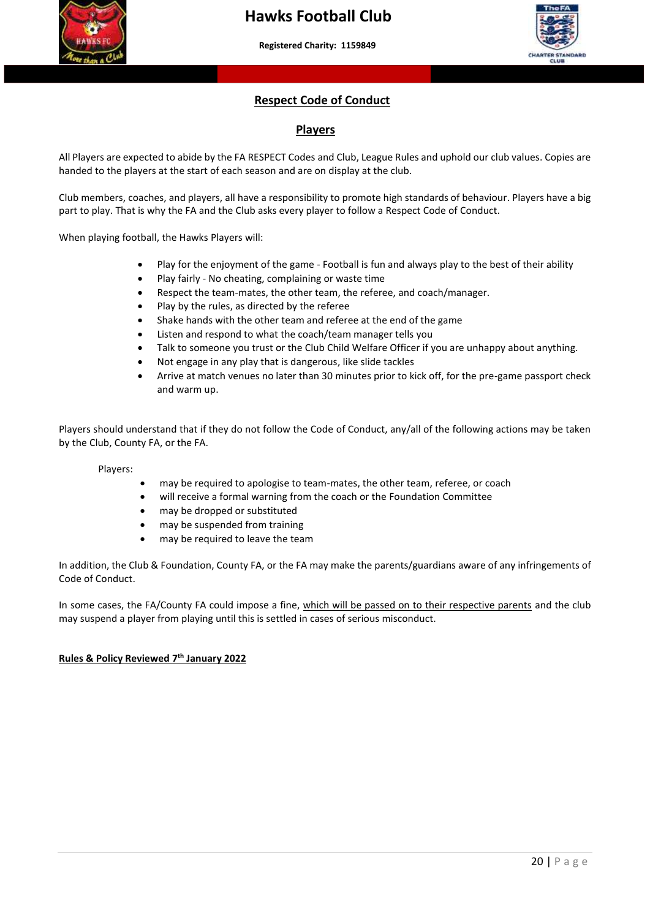



#### **Respect Code of Conduct**

#### **Players**

 handed to the players at the start of each season and are on display at the club. All Players are expected to abide by the FA RESPECT Codes and Club, League Rules and uphold our club values. Copies are

Club members, coaches, and players, all have a responsibility to promote high standards of behaviour. Players have a big part to play. That is why the FA and the Club asks every player to follow a Respect Code of Conduct.

When playing football, the Hawks Players will:

- Play for the enjoyment of the game Football is fun and always play to the best of their ability
- Play fairly No cheating, complaining or waste time
- Respect the team-mates, the other team, the referee, and coach/manager.
- Play by the rules, as directed by the referee
- Shake hands with the other team and referee at the end of the game
- Listen and respond to what the coach/team manager tells you
- Talk to someone you trust or the Club Child Welfare Officer if you are unhappy about anything.
- Not engage in any play that is dangerous, like slide tackles
- Arrive at match venues no later than 30 minutes prior to kick off, for the pre-game passport check and warm up.

Players should understand that if they do not follow the Code of Conduct, any/all of the following actions may be taken by the Club, County FA, or the FA.

Players:

- may be required to apologise to team-mates, the other team, referee, or coach
- will receive a formal warning from the coach or the Foundation Committee
- may be dropped or substituted
- may be suspended from training
- may be required to leave the team

In addition, the Club & Foundation, County FA, or the FA may make the parents/guardians aware of any infringements of Code of Conduct.

In some cases, the FA/County FA could impose a fine, which will be passed on to their respective parents and the club may suspend a player from playing until this is settled in cases of serious misconduct.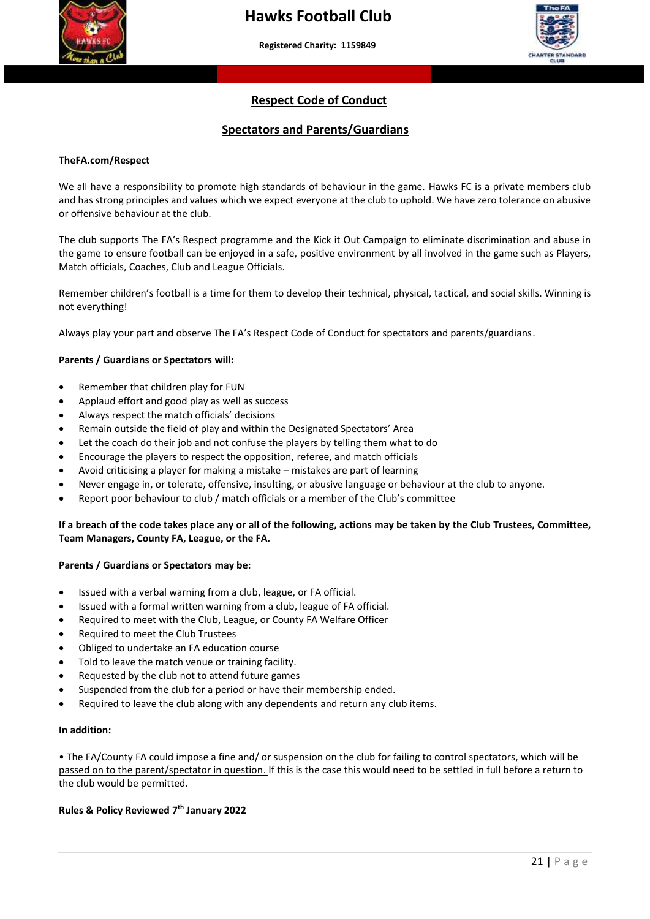

 **More than a club – Making a difference to young people's lives"**



#### **Respect Code of Conduct**

#### **Spectators and Parents/Guardians**

#### **TheFA.com/Respect**

We all have a responsibility to promote high standards of behaviour in the game. Hawks FC is a private members club and has strong principles and values which we expect everyone at the club to uphold. We have zero tolerance on abusive or offensive behaviour at the club.

The club supports The FA's Respect programme and the Kick it Out Campaign to eliminate discrimination and abuse in the game to ensure football can be enjoyed in a safe, positive environment by all involved in the game such as Players, Match officials, Coaches, Club and League Officials.

Remember children's football is a time for them to develop their technical, physical, tactical, and social skills. Winning is not everything!

Always play your part and observe The FA's Respect Code of Conduct for spectators and parents/guardians.

#### **Parents / Guardians or Spectators will:**

- Remember that children play for FUN
- Applaud effort and good play as well as success
- Always respect the match officials' decisions
- Remain outside the field of play and within the Designated Spectators' Area
- Let the coach do their job and not confuse the players by telling them what to do
- Encourage the players to respect the opposition, referee, and match officials
- Avoid criticising a player for making a mistake mistakes are part of learning
- Never engage in, or tolerate, offensive, insulting, or abusive language or behaviour at the club to anyone.
- Report poor behaviour to club / match officials or a member of the Club's committee

#### **If a breach of the code takes place any or all of the following, actions may be taken by the Club Trustees, Committee, Team Managers, County FA, League, or the FA.**

#### **Parents / Guardians or Spectators may be:**

- Issued with a verbal warning from a club, league, or FA official.
- Issued with a formal written warning from a club, league of FA official.
- Required to meet with the Club, League, or County FA Welfare Officer
- Required to meet the Club Trustees
- Obliged to undertake an FA education course
- Told to leave the match venue or training facility.
- Requested by the club not to attend future games
- Suspended from the club for a period or have their membership ended.
- Required to leave the club along with any dependents and return any club items.

#### **In addition:**

• The FA/County FA could impose a fine and/ or suspension on the club for failing to control spectators, which will be passed on to the parent/spectator in question. If this is the case this would need to be settled in full before a return to the club would be permitted.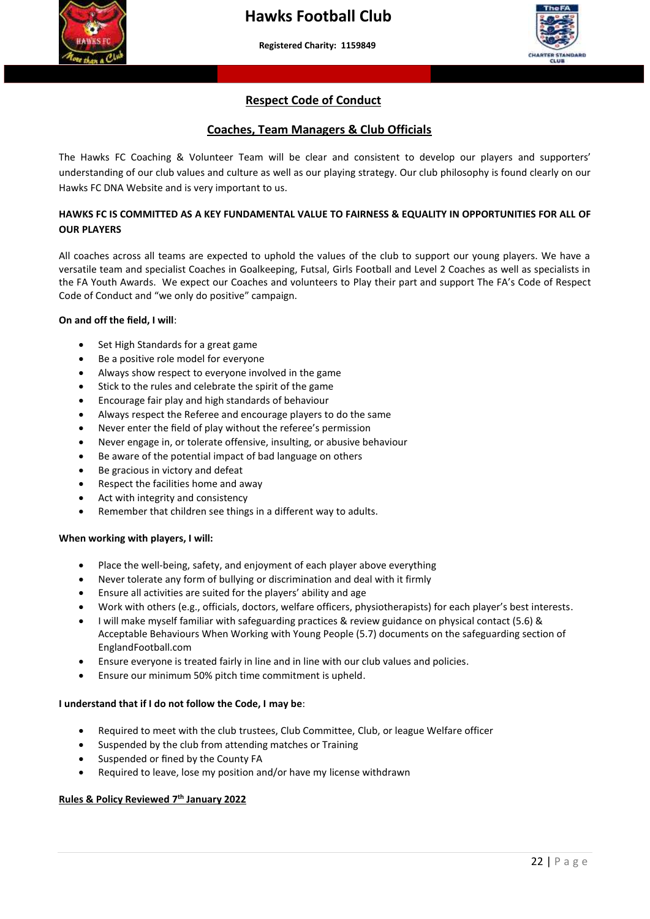



#### **Respect Code of Conduct**

 **More than a club – Making a difference to young people's lives"**

#### **Coaches, Team Managers & Club Officials**

 understanding of our club values and culture as well as our playing strategy. Our club philosophy is found clearly on our The Hawks FC Coaching & Volunteer Team will be clear and consistent to develop our players and supporters' Hawks FC DNA Website and is very important to us.

#### **HAWKS FC IS COMMITTED AS A KEY FUNDAMENTAL VALUE TO FAIRNESS & EQUALITY IN OPPORTUNITIES FOR ALL OF OUR PLAYERS**

All coaches across all teams are expected to uphold the values of the club to support our young players. We have a versatile team and specialist Coaches in Goalkeeping, Futsal, Girls Football and Level 2 Coaches as well as specialists in the FA Youth Awards. We expect our Coaches and volunteers to Play their part and support The FA's Code of Respect Code of Conduct and "we only do positive" campaign.

#### **On and off the field, I will**:

- Set High Standards for a great game
- Be a positive role model for everyone
- Always show respect to everyone involved in the game
- Stick to the rules and celebrate the spirit of the game
- Encourage fair play and high standards of behaviour
- Always respect the Referee and encourage players to do the same
- Never enter the field of play without the referee's permission
- Never engage in, or tolerate offensive, insulting, or abusive behaviour
- Be aware of the potential impact of bad language on others
- Be gracious in victory and defeat
- Respect the facilities home and away
- Act with integrity and consistency
- Remember that children see things in a different way to adults.

#### **When working with players, I will:**

- Place the well-being, safety, and enjoyment of each player above everything
- Never tolerate any form of bullying or discrimination and deal with it firmly
- Ensure all activities are suited for the players' ability and age
- Work with others (e.g., officials, doctors, welfare officers, physiotherapists) for each player's best interests.
- I will make myself familiar with safeguarding practices & review guidance on physical contact (5.6) & Acceptable Behaviours When Working with Young People (5.7) documents on the safeguarding section of EnglandFootball.com
- Ensure everyone is treated fairly in line and in line with our club values and policies.
- Ensure our minimum 50% pitch time commitment is upheld.

#### **I understand that if I do not follow the Code, I may be**:

- Required to meet with the club trustees, Club Committee, Club, or league Welfare officer
- Suspended by the club from attending matches or Training
- Suspended or fined by the County FA
- Required to leave, lose my position and/or have my license withdrawn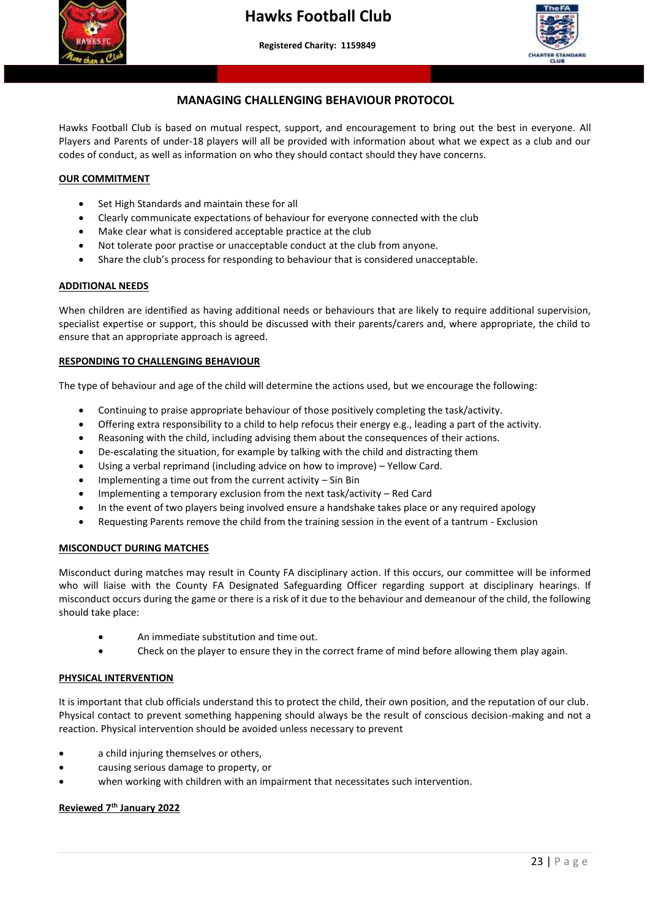



#### **MANAGING CHALLENGING BEHAVIOUR PROTOCOL**

 **More than a club – Making a difference to young people's lives"**

Hawks Football Club is based on mutual respect, support, and encouragement to bring out the best in everyone. All Players and Parents of under-18 players will all be provided with information about what we expect as a club and our codes of conduct, as well as information on who they should contact should they have concerns.

#### **OUR COMMITMENT**

- Set High Standards and maintain these for all
- Clearly communicate expectations of behaviour for everyone connected with the club
- Make clear what is considered acceptable practice at the club
- Not tolerate poor practise or unacceptable conduct at the club from anyone.
- Share the club's process for responding to behaviour that is considered unacceptable.

#### **ADDITIONAL NEEDS**

When children are identified as having additional needs or behaviours that are likely to require additional supervision, specialist expertise or support, this should be discussed with their parents/carers and, where appropriate, the child to ensure that an appropriate approach is agreed.

#### **RESPONDING TO CHALLENGING BEHAVIOUR**

The type of behaviour and age of the child will determine the actions used, but we encourage the following:

- Continuing to praise appropriate behaviour of those positively completing the task/activity.
- Offering extra responsibility to a child to help refocus their energy e.g., leading a part of the activity.
- Reasoning with the child, including advising them about the consequences of their actions.
- De-escalating the situation, for example by talking with the child and distracting them
- Using a verbal reprimand (including advice on how to improve) Yellow Card.
- Implementing a time out from the current activity  $-$  Sin Bin
- Implementing a temporary exclusion from the next task/activity Red Card
- In the event of two players being involved ensure a handshake takes place or any required apology
- Requesting Parents remove the child from the training session in the event of a tantrum Exclusion

#### **MISCONDUCT DURING MATCHES**

Misconduct during matches may result in County FA disciplinary action. If this occurs, our committee will be informed who will liaise with the County FA Designated Safeguarding Officer regarding support at disciplinary hearings. If misconduct occurs during the game or there is a risk of it due to the behaviour and demeanour of the child, the following should take place:

- An immediate substitution and time out.
- Check on the player to ensure they in the correct frame of mind before allowing them play again.

#### **PHYSICAL INTERVENTION**

It is important that club officials understand this to protect the child, their own position, and the reputation of our club. Physical contact to prevent something happening should always be the result of conscious decision-making and not a reaction. Physical intervention should be avoided unless necessary to prevent

- a child injuring themselves or others,
- causing serious damage to property, or
- when working with children with an impairment that necessitates such intervention.

#### **Reviewed 7th January 2022**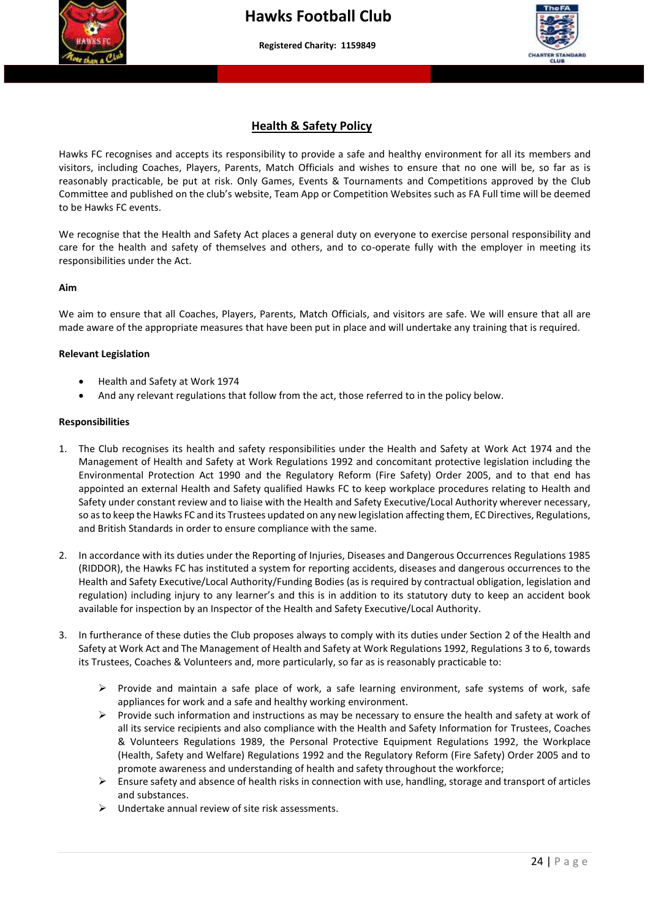



#### **Health & Safety Policy**

 reasonably practicable, be put at risk. Only Games, Events & Tournaments and Competitions approved by the Club Hawks FC recognises and accepts its responsibility to provide a safe and healthy environment for all its members and visitors, including Coaches, Players, Parents, Match Officials and wishes to ensure that no one will be, so far as is Committee and published on the club's website, Team App or Competition Websites such as FA Full time will be deemed to be Hawks FC events.

We recognise that the Health and Safety Act places a general duty on everyone to exercise personal responsibility and care for the health and safety of themselves and others, and to co-operate fully with the employer in meeting its responsibilities under the Act.

#### **Aim**

We aim to ensure that all Coaches, Players, Parents, Match Officials, and visitors are safe. We will ensure that all are made aware of the appropriate measures that have been put in place and will undertake any training that is required.

#### **Relevant Legislation**

- Health and Safety at Work 1974
- And any relevant regulations that follow from the act, those referred to in the policy below.

#### **Responsibilities**

- 1. The Club recognises its health and safety responsibilities under the Health and Safety at Work Act 1974 and the Management of Health and Safety at Work Regulations 1992 and concomitant protective legislation including the Environmental Protection Act 1990 and the Regulatory Reform (Fire Safety) Order 2005, and to that end has appointed an external Health and Safety qualified Hawks FC to keep workplace procedures relating to Health and Safety under constant review and to liaise with the Health and Safety Executive/Local Authority wherever necessary, so as to keep the Hawks FC and its Trustees updated on any new legislation affecting them, EC Directives, Regulations, and British Standards in order to ensure compliance with the same.
- 2. In accordance with its duties under the Reporting of Injuries, Diseases and Dangerous Occurrences Regulations 1985 (RIDDOR), the Hawks FC has instituted a system for reporting accidents, diseases and dangerous occurrences to the Health and Safety Executive/Local Authority/Funding Bodies (as is required by contractual obligation, legislation and regulation) including injury to any learner's and this is in addition to its statutory duty to keep an accident book available for inspection by an Inspector of the Health and Safety Executive/Local Authority.
- 3. In furtherance of these duties the Club proposes always to comply with its duties under Section 2 of the Health and Safety at Work Act and The Management of Health and Safety at Work Regulations 1992, Regulations 3 to 6, towards its Trustees, Coaches & Volunteers and, more particularly, so far as is reasonably practicable to:
	- ➢ Provide and maintain a safe place of work, a safe learning environment, safe systems of work, safe appliances for work and a safe and healthy working environment.
	- ➢ Provide such information and instructions as may be necessary to ensure the health and safety at work of all its service recipients and also compliance with the Health and Safety Information for Trustees, Coaches & Volunteers Regulations 1989, the Personal Protective Equipment Regulations 1992, the Workplace (Health, Safety and Welfare) Regulations 1992 and the Regulatory Reform (Fire Safety) Order 2005 and to promote awareness and understanding of health and safety throughout the workforce;
	- $\triangleright$  Ensure safety and absence of health risks in connection with use, handling, storage and transport of articles and substances.
	- ➢ Undertake annual review of site risk assessments.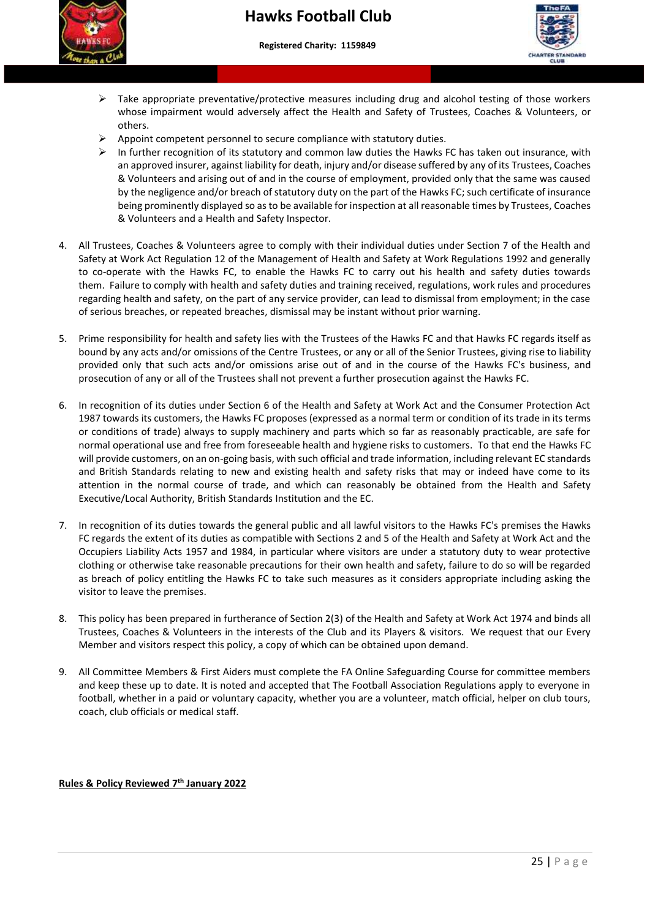



- ➢ Take appropriate preventative/protective measures including drug and alcohol testing of those workers whose impairment would adversely affect the Health and Safety of Trustees, Coaches & Volunteers, or others.
- $\triangleright$  Appoint competent personnel to secure compliance with statutory duties.
- & Volunteers and arising out of and in the course of employment, provided only that the same was caused ➢ In further recognition of its statutory and common law duties the Hawks FC has taken out insurance, with an approved insurer, against liability for death, injury and/or disease suffered by any of its Trustees, Coaches by the negligence and/or breach of statutory duty on the part of the Hawks FC; such certificate of insurance being prominently displayed so as to be available for inspection at all reasonable times by Trustees, Coaches & Volunteers and a Health and Safety Inspector.
- 4. All Trustees, Coaches & Volunteers agree to comply with their individual duties under Section 7 of the Health and Safety at Work Act Regulation 12 of the Management of Health and Safety at Work Regulations 1992 and generally to co-operate with the Hawks FC, to enable the Hawks FC to carry out his health and safety duties towards them. Failure to comply with health and safety duties and training received, regulations, work rules and procedures regarding health and safety, on the part of any service provider, can lead to dismissal from employment; in the case of serious breaches, or repeated breaches, dismissal may be instant without prior warning.
- 5. Prime responsibility for health and safety lies with the Trustees of the Hawks FC and that Hawks FC regards itself as bound by any acts and/or omissions of the Centre Trustees, or any or all of the Senior Trustees, giving rise to liability provided only that such acts and/or omissions arise out of and in the course of the Hawks FC's business, and prosecution of any or all of the Trustees shall not prevent a further prosecution against the Hawks FC.
- 6. In recognition of its duties under Section 6 of the Health and Safety at Work Act and the Consumer Protection Act 1987 towards its customers, the Hawks FC proposes (expressed as a normal term or condition of its trade in its terms or conditions of trade) always to supply machinery and parts which so far as reasonably practicable, are safe for normal operational use and free from foreseeable health and hygiene risks to customers. To that end the Hawks FC will provide customers, on an on-going basis, with such official and trade information, including relevant EC standards and British Standards relating to new and existing health and safety risks that may or indeed have come to its attention in the normal course of trade, and which can reasonably be obtained from the Health and Safety Executive/Local Authority, British Standards Institution and the EC.
- 7. In recognition of its duties towards the general public and all lawful visitors to the Hawks FC's premises the Hawks FC regards the extent of its duties as compatible with Sections 2 and 5 of the Health and Safety at Work Act and the Occupiers Liability Acts 1957 and 1984, in particular where visitors are under a statutory duty to wear protective clothing or otherwise take reasonable precautions for their own health and safety, failure to do so will be regarded as breach of policy entitling the Hawks FC to take such measures as it considers appropriate including asking the visitor to leave the premises.
- 8. This policy has been prepared in furtherance of Section 2(3) of the Health and Safety at Work Act 1974 and binds all Trustees, Coaches & Volunteers in the interests of the Club and its Players & visitors. We request that our Every Member and visitors respect this policy, a copy of which can be obtained upon demand.
- 9. All Committee Members & First Aiders must complete the FA Online Safeguarding Course for committee members and keep these up to date. It is noted and accepted that The Football Association Regulations apply to everyone in football, whether in a paid or voluntary capacity, whether you are a volunteer, match official, helper on club tours, coach, club officials or medical staff.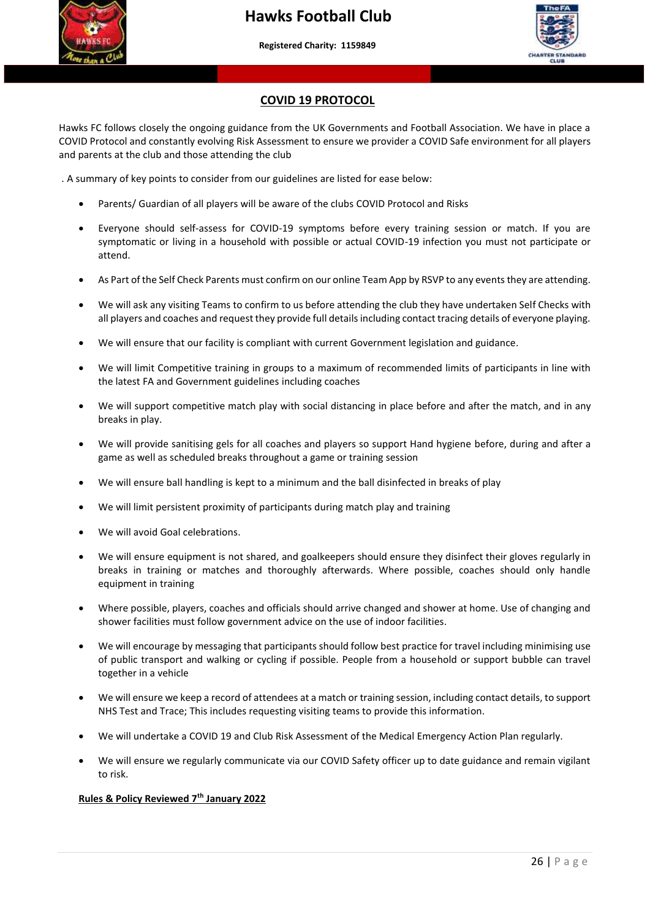



#### **COVID 19 PROTOCOL**

Hawks FC follows closely the ongoing guidance from the UK Governments and Football Association. We have in place a COVID Protocol and constantly evolving Risk Assessment to ensure we provider a COVID Safe environment for all players and parents at the club and those attending the club

. A summary of key points to consider from our guidelines are listed for ease below:

- Parents/ Guardian of all players will be aware of the clubs COVID Protocol and Risks
- Everyone should self-assess for COVID-19 symptoms before every training session or match. If you are symptomatic or living in a household with possible or actual COVID-19 infection you must not participate or attend.
- As Part of the Self Check Parents must confirm on our online Team App by RSVP to any events they are attending.
- We will ask any visiting Teams to confirm to us before attending the club they have undertaken Self Checks with all players and coaches and request they provide full details including contact tracing details of everyone playing.
- We will ensure that our facility is compliant with current Government legislation and guidance.
- We will limit Competitive training in groups to a maximum of recommended limits of participants in line with the latest FA and Government guidelines including coaches
- We will support competitive match play with social distancing in place before and after the match, and in any breaks in play.
- We will provide sanitising gels for all coaches and players so support Hand hygiene before, during and after a game as well as scheduled breaks throughout a game or training session
- We will ensure ball handling is kept to a minimum and the ball disinfected in breaks of play
- We will limit persistent proximity of participants during match play and training
- We will avoid Goal celebrations.
- We will ensure equipment is not shared, and goalkeepers should ensure they disinfect their gloves regularly in breaks in training or matches and thoroughly afterwards. Where possible, coaches should only handle equipment in training
- Where possible, players, coaches and officials should arrive changed and shower at home. Use of changing and shower facilities must follow government advice on the use of indoor facilities.
- We will encourage by messaging that participants should follow best practice for travel including minimising use of public transport and walking or cycling if possible. People from a household or support bubble can travel together in a vehicle
- We will ensure we keep a record of attendees at a match or training session, including contact details, to support NHS Test and Trace; This includes requesting visiting teams to provide this information.
- We will undertake a COVID 19 and Club Risk Assessment of the Medical Emergency Action Plan regularly.
- We will ensure we regularly communicate via our COVID Safety officer up to date guidance and remain vigilant to risk.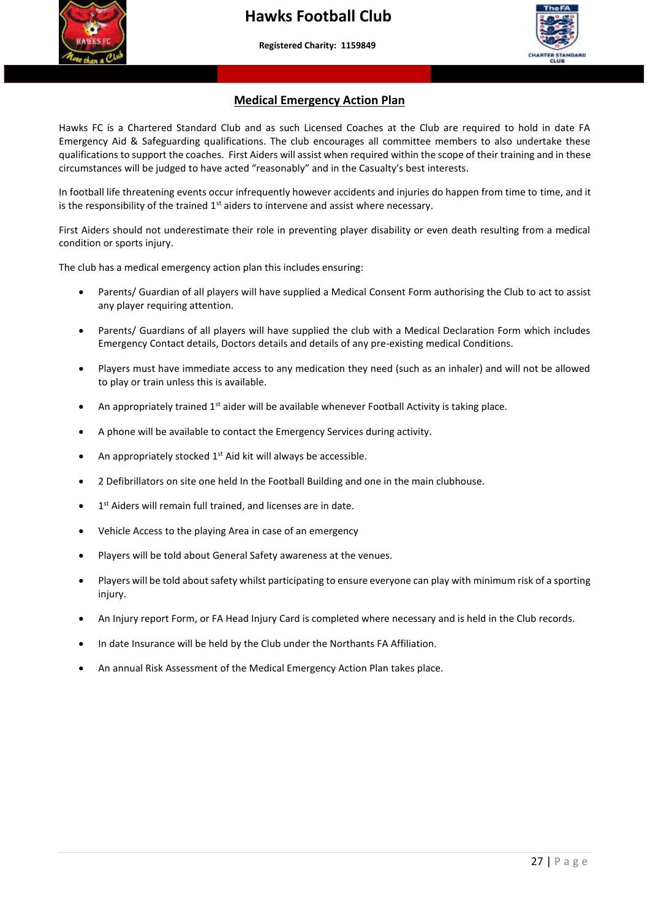

 **More than a club – Making a difference to young people's lives"**



#### **Medical Emergency Action Plan**

 circumstances will be judged to have acted "reasonably" and in the Casualty's best interests. Hawks FC is a Chartered Standard Club and as such Licensed Coaches at the Club are required to hold in date FA Emergency Aid & Safeguarding qualifications. The club encourages all committee members to also undertake these qualifications to support the coaches. First Aiders will assist when required within the scope of their training and in these

In football life threatening events occur infrequently however accidents and injuries do happen from time to time, and it is the responsibility of the trained  $1<sup>st</sup>$  aiders to intervene and assist where necessary.

First Aiders should not underestimate their role in preventing player disability or even death resulting from a medical condition or sports injury.

The club has a medical emergency action plan this includes ensuring:

- Parents/ Guardian of all players will have supplied a Medical Consent Form authorising the Club to act to assist any player requiring attention.
- Parents/ Guardians of all players will have supplied the club with a Medical Declaration Form which includes Emergency Contact details, Doctors details and details of any pre-existing medical Conditions.
- Players must have immediate access to any medication they need (such as an inhaler) and will not be allowed to play or train unless this is available.
- An appropriately trained  $1<sup>st</sup>$  aider will be available whenever Football Activity is taking place.
- A phone will be available to contact the Emergency Services during activity.
- An appropriately stocked  $1<sup>st</sup>$  Aid kit will always be accessible.
- 2 Defibrillators on site one held In the Football Building and one in the main clubhouse.
- 1<sup>st</sup> Aiders will remain full trained, and licenses are in date.
- Vehicle Access to the playing Area in case of an emergency
- Players will be told about General Safety awareness at the venues.
- Players will be told about safety whilst participating to ensure everyone can play with minimum risk of a sporting injury.
- An Injury report Form, or FA Head Injury Card is completed where necessary and is held in the Club records.
- In date Insurance will be held by the Club under the Northants FA Affiliation.
- An annual Risk Assessment of the Medical Emergency Action Plan takes place.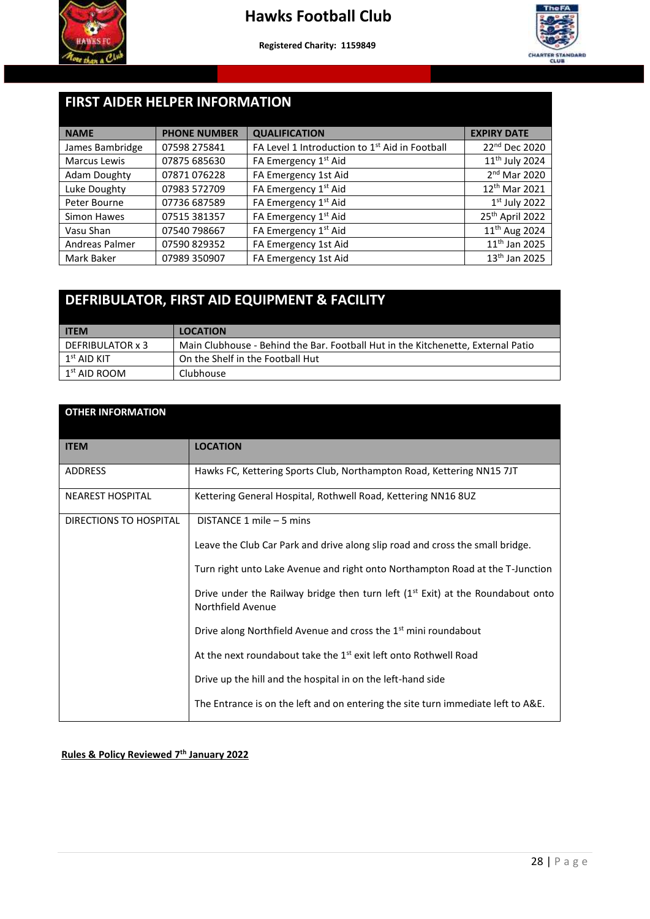



#### j **FIRST AIDER HELPER INFORMATION**

| <b>NAME</b>         | <b>PHONE NUMBER</b> | <b>QUALIFICATION</b>                           | <b>EXPIRY DATE</b>         |
|---------------------|---------------------|------------------------------------------------|----------------------------|
| James Bambridge     | 07598 275841        | FA Level 1 Introduction to 1st Aid in Football | 22nd Dec 2020              |
| Marcus Lewis        | 07875 685630        | FA Emergency 1 <sup>st</sup> Aid               | 11 <sup>th</sup> July 2024 |
| <b>Adam Doughty</b> | 07871076228         | FA Emergency 1st Aid                           | 2 <sup>nd</sup> Mar 2020   |
| Luke Doughty        | 07983 572709        | FA Emergency 1 <sup>st</sup> Aid               | 12 <sup>th</sup> Mar 2021  |
| Peter Bourne        | 07736 687589        | FA Emergency 1 <sup>st</sup> Aid               | $1st$ July 2022            |
| Simon Hawes         | 07515 381357        | FA Emergency 1 <sup>st</sup> Aid               | 25th April 2022            |
| Vasu Shan           | 07540 798667        | FA Emergency 1 <sup>st</sup> Aid               | 11 <sup>th</sup> Aug 2024  |
| Andreas Palmer      | 07590 829352        | FA Emergency 1st Aid                           | 11 <sup>th</sup> Jan 2025  |
| Mark Baker          | 07989 350907        | FA Emergency 1st Aid                           | 13 <sup>th</sup> Jan 2025  |

## **DEFRIBULATOR, FIRST AID EQUIPMENT & FACILITY**

| <b>ITEM</b>          | <b>LOCATION</b>                                                                  |
|----------------------|----------------------------------------------------------------------------------|
| DEFRIBULATOR x 3     | Main Clubhouse - Behind the Bar. Football Hut in the Kitchenette, External Patio |
| $1^{\rm st}$ AID KIT | On the Shelf in the Football Hut                                                 |
| $1st$ AID ROOM       | Clubhouse                                                                        |

| <b>OTHER INFORMATION</b> |                                                                                                       |
|--------------------------|-------------------------------------------------------------------------------------------------------|
| <b>ITEM</b>              | <b>LOCATION</b>                                                                                       |
| <b>ADDRESS</b>           | Hawks FC, Kettering Sports Club, Northampton Road, Kettering NN15 7JT                                 |
| <b>NEAREST HOSPITAL</b>  | Kettering General Hospital, Rothwell Road, Kettering NN16 8UZ                                         |
| DIRECTIONS TO HOSPITAL   | DISTANCE 1 mile - 5 mins                                                                              |
|                          | Leave the Club Car Park and drive along slip road and cross the small bridge.                         |
|                          | Turn right unto Lake Avenue and right onto Northampton Road at the T-Junction                         |
|                          | Drive under the Railway bridge then turn left $(1st Ext)$ at the Roundabout onto<br>Northfield Avenue |
|                          | Drive along Northfield Avenue and cross the 1 <sup>st</sup> mini roundabout                           |
|                          | At the next roundabout take the 1 <sup>st</sup> exit left onto Rothwell Road                          |
|                          | Drive up the hill and the hospital in on the left-hand side                                           |
|                          | The Entrance is on the left and on entering the site turn immediate left to A&E.                      |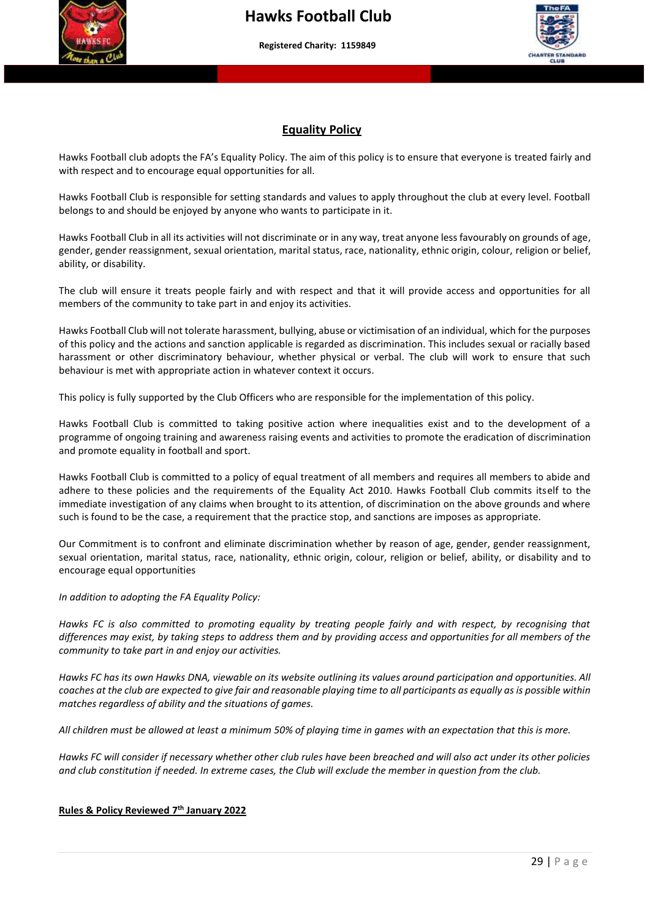



#### **Equality Policy**

 with respect and to encourage equal opportunities for all. Hawks Football club adopts the FA's Equality Policy. The aim of this policy is to ensure that everyone is treated fairly and

Hawks Football Club is responsible for setting standards and values to apply throughout the club at every level. Football belongs to and should be enjoyed by anyone who wants to participate in it.

Hawks Football Club in all its activities will not discriminate or in any way, treat anyone less favourably on grounds of age, gender, gender reassignment, sexual orientation, marital status, race, nationality, ethnic origin, colour, religion or belief, ability, or disability.

The club will ensure it treats people fairly and with respect and that it will provide access and opportunities for all members of the community to take part in and enjoy its activities.

Hawks Football Club will not tolerate harassment, bullying, abuse or victimisation of an individual, which for the purposes of this policy and the actions and sanction applicable is regarded as discrimination. This includes sexual or racially based harassment or other discriminatory behaviour, whether physical or verbal. The club will work to ensure that such behaviour is met with appropriate action in whatever context it occurs.

This policy is fully supported by the Club Officers who are responsible for the implementation of this policy.

Hawks Football Club is committed to taking positive action where inequalities exist and to the development of a programme of ongoing training and awareness raising events and activities to promote the eradication of discrimination and promote equality in football and sport.

Hawks Football Club is committed to a policy of equal treatment of all members and requires all members to abide and adhere to these policies and the requirements of the Equality Act 2010. Hawks Football Club commits itself to the immediate investigation of any claims when brought to its attention, of discrimination on the above grounds and where such is found to be the case, a requirement that the practice stop, and sanctions are imposes as appropriate.

Our Commitment is to confront and eliminate discrimination whether by reason of age, gender, gender reassignment, sexual orientation, marital status, race, nationality, ethnic origin, colour, religion or belief, ability, or disability and to encourage equal opportunities

#### *In addition to adopting the FA Equality Policy:*

*Hawks FC is also committed to promoting equality by treating people fairly and with respect, by recognising that differences may exist, by taking steps to address them and by providing access and opportunities for all members of the community to take part in and enjoy our activities.*

*Hawks FC has its own Hawks DNA, viewable on its website outlining its values around participation and opportunities. All coaches at the club are expected to give fair and reasonable playing time to all participants as equally as is possible within matches regardless of ability and the situations of games.* 

*All children must be allowed at least a minimum 50% of playing time in games with an expectation that this is more.*

*Hawks FC will consider if necessary whether other club rules have been breached and will also act under its other policies and club constitution if needed. In extreme cases, the Club will exclude the member in question from the club.*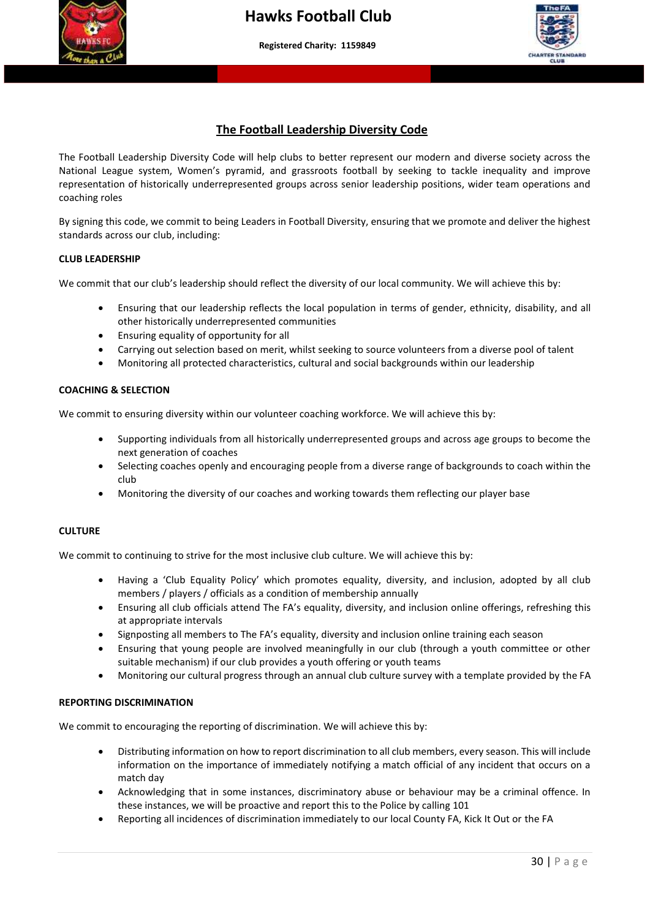



#### **The Football Leadership Diversity Code**

 National League system, Women's pyramid, and grassroots football by seeking to tackle inequality and improve The Football Leadership Diversity Code will help clubs to better represent our modern and diverse society across the representation of historically underrepresented groups across senior leadership positions, wider team operations and coaching roles

By signing this code, we commit to being Leaders in Football Diversity, ensuring that we promote and deliver the highest standards across our club, including:

#### **CLUB LEADERSHIP**

We commit that our club's leadership should reflect the diversity of our local community. We will achieve this by:

- Ensuring that our leadership reflects the local population in terms of gender, ethnicity, disability, and all other historically underrepresented communities
- Ensuring equality of opportunity for all
- Carrying out selection based on merit, whilst seeking to source volunteers from a diverse pool of talent
- Monitoring all protected characteristics, cultural and social backgrounds within our leadership

#### **COACHING & SELECTION**

We commit to ensuring diversity within our volunteer coaching workforce. We will achieve this by:

- Supporting individuals from all historically underrepresented groups and across age groups to become the next generation of coaches
- Selecting coaches openly and encouraging people from a diverse range of backgrounds to coach within the club
- Monitoring the diversity of our coaches and working towards them reflecting our player base

#### **CULTURE**

We commit to continuing to strive for the most inclusive club culture. We will achieve this by:

- Having a 'Club Equality Policy' which promotes equality, diversity, and inclusion, adopted by all club members / players / officials as a condition of membership annually
- Ensuring all club officials attend The FA's equality, diversity, and inclusion online offerings, refreshing this at appropriate intervals
- Signposting all members to The FA's equality, diversity and inclusion online training each season
- Ensuring that young people are involved meaningfully in our club (through a youth committee or other suitable mechanism) if our club provides a youth offering or youth teams
- Monitoring our cultural progress through an annual club culture survey with a template provided by the FA

#### **REPORTING DISCRIMINATION**

We commit to encouraging the reporting of discrimination. We will achieve this by:

- Distributing information on how to report discrimination to all club members, every season. This will include information on the importance of immediately notifying a match official of any incident that occurs on a match day
- Acknowledging that in some instances, discriminatory abuse or behaviour may be a criminal offence. In these instances, we will be proactive and report this to the Police by calling 101
- Reporting all incidences of discrimination immediately to our local County FA, Kick It Out or the FA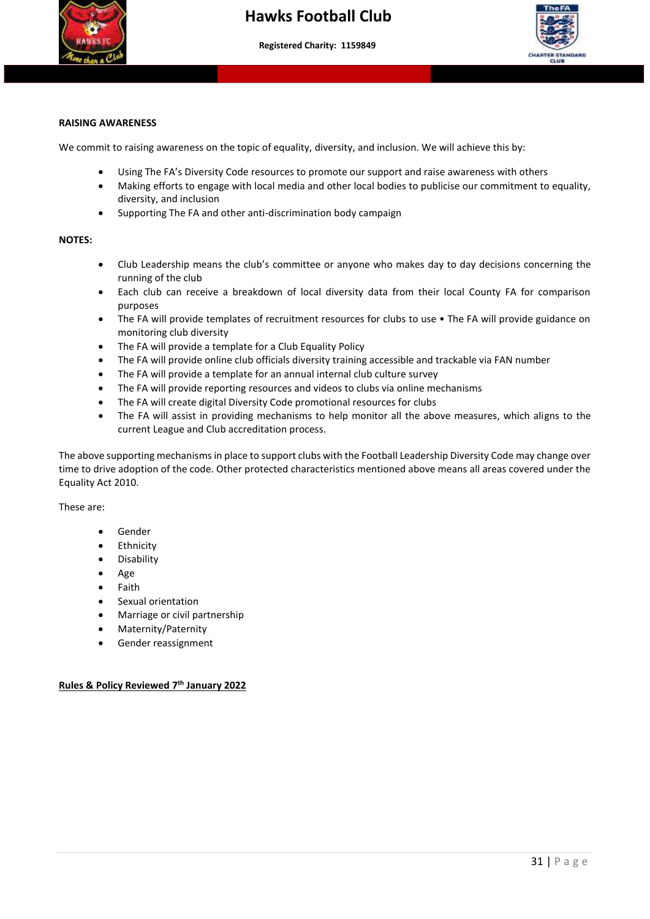



#### **RAISING AWARENESS**

We commit to raising awareness on the topic of equality, diversity, and inclusion. We will achieve this by:

 **More than a club – Making a difference to young people's lives"**

- Using The FA's Diversity Code resources to promote our support and raise awareness with others
- Making efforts to engage with local media and other local bodies to publicise our commitment to equality, diversity, and inclusion
- Supporting The FA and other anti-discrimination body campaign

#### **NOTES:**

- Club Leadership means the club's committee or anyone who makes day to day decisions concerning the running of the club
- Each club can receive a breakdown of local diversity data from their local County FA for comparison purposes
- The FA will provide templates of recruitment resources for clubs to use The FA will provide guidance on monitoring club diversity
- The FA will provide a template for a Club Equality Policy
- The FA will provide online club officials diversity training accessible and trackable via FAN number
- The FA will provide a template for an annual internal club culture survey
- The FA will provide reporting resources and videos to clubs via online mechanisms
- The FA will create digital Diversity Code promotional resources for clubs
- The FA will assist in providing mechanisms to help monitor all the above measures, which aligns to the current League and Club accreditation process.

The above supporting mechanisms in place to support clubs with the Football Leadership Diversity Code may change over time to drive adoption of the code. Other protected characteristics mentioned above means all areas covered under the Equality Act 2010.

These are:

- Gender
- **Ethnicity**
- Disability
- Age
- **Faith**
- Sexual orientation
- Marriage or civil partnership
- Maternity/Paternity
- Gender reassignment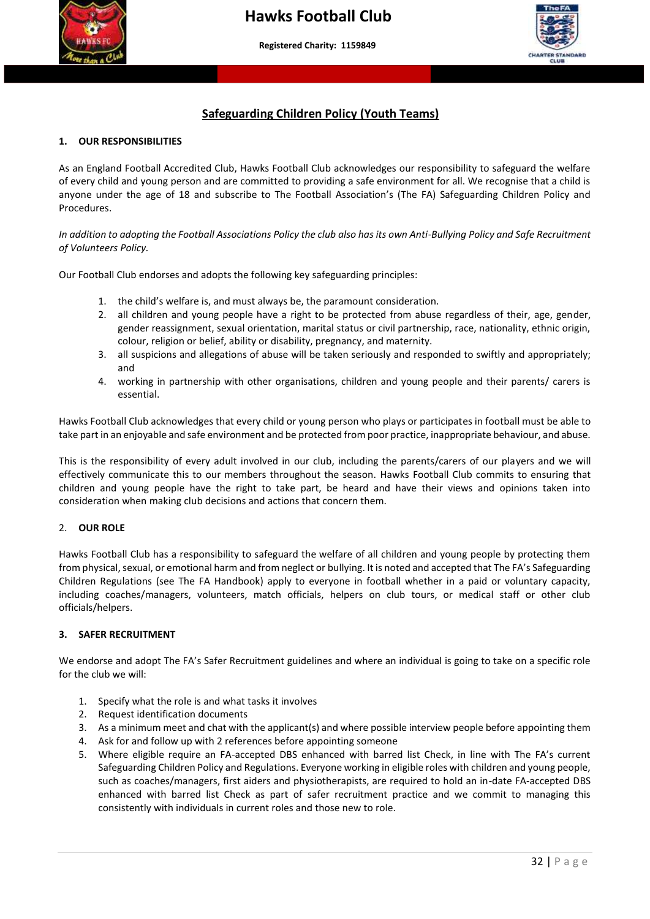



#### **Safeguarding Children Policy (Youth Teams)**

#### **1. OUR RESPONSIBILITIES**

As an England Football Accredited Club, Hawks Football Club acknowledges our responsibility to safeguard the wellare<br>of every child and young person and are committed to providing a safe environment for all. We recognise t As an England Football Accredited Club, Hawks Football Club acknowledges our responsibility to safeguard the welfare anyone under the age of 18 and subscribe to The Football Association's (The FA) Safeguarding Children Policy and Procedures.

*In addition to adopting the Football Associations Policy the club also has its own Anti-Bullying Policy and Safe Recruitment of Volunteers Policy.*

Our Football Club endorses and adopts the following key safeguarding principles:

- 1. the child's welfare is, and must always be, the paramount consideration.
- 2. all children and young people have a right to be protected from abuse regardless of their, age, gender, gender reassignment, sexual orientation, marital status or civil partnership, race, nationality, ethnic origin, colour, religion or belief, ability or disability, pregnancy, and maternity.
- 3. all suspicions and allegations of abuse will be taken seriously and responded to swiftly and appropriately; and
- 4. working in partnership with other organisations, children and young people and their parents/ carers is essential.

Hawks Football Club acknowledges that every child or young person who plays or participates in football must be able to take part in an enjoyable and safe environment and be protected from poor practice, inappropriate behaviour, and abuse.

This is the responsibility of every adult involved in our club, including the parents/carers of our players and we will effectively communicate this to our members throughout the season. Hawks Football Club commits to ensuring that children and young people have the right to take part, be heard and have their views and opinions taken into consideration when making club decisions and actions that concern them.

#### 2. **OUR ROLE**

Hawks Football Club has a responsibility to safeguard the welfare of all children and young people by protecting them from physical, sexual, or emotional harm and from neglect or bullying. It is noted and accepted that The FA's Safeguarding Children Regulations (see The FA Handbook) apply to everyone in football whether in a paid or voluntary capacity, including coaches/managers, volunteers, match officials, helpers on club tours, or medical staff or other club officials/helpers.

#### **3. SAFER RECRUITMENT**

We endorse and adopt The FA's Safer Recruitment guidelines and where an individual is going to take on a specific role for the club we will:

- 1. Specify what the role is and what tasks it involves
- 2. Request identification documents
- 3. As a minimum meet and chat with the applicant(s) and where possible interview people before appointing them
- 4. Ask for and follow up with 2 references before appointing someone
- 5. Where eligible require an FA-accepted DBS enhanced with barred list Check, in line with The FA's current Safeguarding Children Policy and Regulations. Everyone working in eligible roles with children and young people, such as coaches/managers, first aiders and physiotherapists, are required to hold an in-date FA-accepted DBS enhanced with barred list Check as part of safer recruitment practice and we commit to managing this consistently with individuals in current roles and those new to role.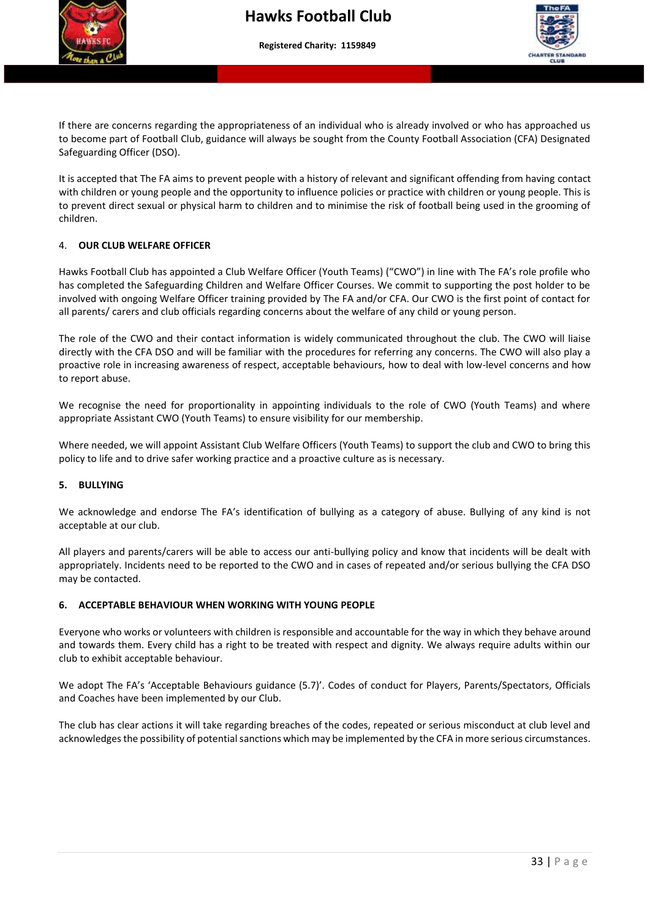



If there are concerns regarding the appropriateness of an individual who is already involved or who has approached us to become part of Football Club, guidance will always be sought from the County Football Association (CFA) Designated Safeguarding Officer (DSO).

 It is accepted that The FA aims to prevent people with a history of relevant and significant offending from having contact with children or young people and the opportunity to influence policies or practice with children or young people. This is to prevent direct sexual or physical harm to children and to minimise the risk of football being used in the grooming of children.

#### 4. **OUR CLUB WELFARE OFFICER**

Hawks Football Club has appointed a Club Welfare Officer (Youth Teams) ("CWO") in line with The FA's role profile who has completed the Safeguarding Children and Welfare Officer Courses. We commit to supporting the post holder to be involved with ongoing Welfare Officer training provided by The FA and/or CFA. Our CWO is the first point of contact for all parents/ carers and club officials regarding concerns about the welfare of any child or young person.

The role of the CWO and their contact information is widely communicated throughout the club. The CWO will liaise directly with the CFA DSO and will be familiar with the procedures for referring any concerns. The CWO will also play a proactive role in increasing awareness of respect, acceptable behaviours, how to deal with low-level concerns and how to report abuse.

We recognise the need for proportionality in appointing individuals to the role of CWO (Youth Teams) and where appropriate Assistant CWO (Youth Teams) to ensure visibility for our membership.

Where needed, we will appoint Assistant Club Welfare Officers (Youth Teams) to support the club and CWO to bring this policy to life and to drive safer working practice and a proactive culture as is necessary.

#### **5. BULLYING**

We acknowledge and endorse The FA's identification of bullying as a category of abuse. Bullying of any kind is not acceptable at our club.

All players and parents/carers will be able to access our anti-bullying policy and know that incidents will be dealt with appropriately. Incidents need to be reported to the CWO and in cases of repeated and/or serious bullying the CFA DSO may be contacted.

#### **6. ACCEPTABLE BEHAVIOUR WHEN WORKING WITH YOUNG PEOPLE**

Everyone who works or volunteers with children is responsible and accountable for the way in which they behave around and towards them. Every child has a right to be treated with respect and dignity. We always require adults within our club to exhibit acceptable behaviour.

We adopt The FA's 'Acceptable Behaviours guidance (5.7)'. Codes of conduct for Players, Parents/Spectators, Officials and Coaches have been implemented by our Club.

The club has clear actions it will take regarding breaches of the codes, repeated or serious misconduct at club level and acknowledges the possibility of potential sanctions which may be implemented by the CFA in more serious circumstances.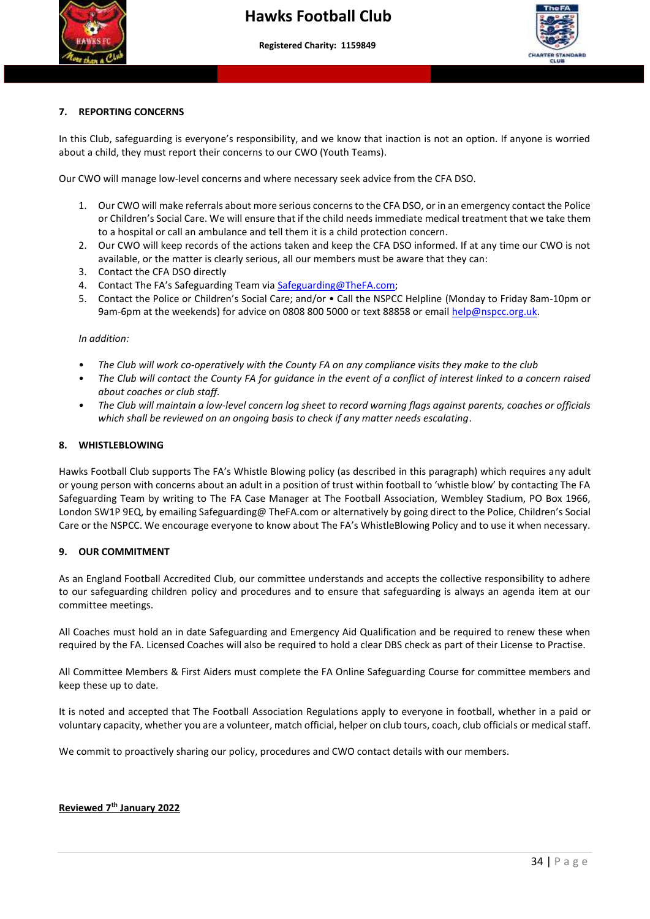



#### **7. REPORTING CONCERNS**

In this Club, safeguarding is everyone's responsibility, and we know that inaction is not an option. If anyone is worried about a child, they must report their concerns to our CWO (Youth Teams).

Our CWO will manage low-level concerns and where necessary seek advice from the CFA DSO.

- 1. Our CWO will make referrals about more serious concerns to the CFA DSO, or in an emergency contact the Police or Children's Social Care. We will ensure that if the child needs immediate medical treatment that we take them to a hospital or call an ambulance and tell them it is a child protection concern.
- 2. Our CWO will keep records of the actions taken and keep the CFA DSO informed. If at any time our CWO is not available, or the matter is clearly serious, all our members must be aware that they can:
- 3. Contact the CFA DSO directly
- 4. Contact The FA's Safeguarding Team via [Safeguarding@TheFA.com;](mailto:Safeguarding@TheFA.com)
- 5. Contact the Police or Children's Social Care; and/or Call the NSPCC Helpline (Monday to Friday 8am-10pm or 9am-6pm at the weekends) for advice on 0808 800 5000 or text 88858 or email [help@nspcc.org.uk.](mailto:help@nspcc.org.uk)

#### *In addition:*

- *The Club will work co-operatively with the County FA on any compliance visits they make to the club*
- *The Club will contact the County FA for guidance in the event of a conflict of interest linked to a concern raised about coaches or club staff.*
- *The Club will maintain a low-level concern log sheet to record warning flags against parents, coaches or officials which shall be reviewed on an ongoing basis to check if any matter needs escalating*.

#### **8. WHISTLEBLOWING**

Hawks Football Club supports The FA's Whistle Blowing policy (as described in this paragraph) which requires any adult or young person with concerns about an adult in a position of trust within football to 'whistle blow' by contacting The FA Safeguarding Team by writing to The FA Case Manager at The Football Association, Wembley Stadium, PO Box 1966, London SW1P 9EQ, by emailing Safeguarding@ TheFA.com or alternatively by going direct to the Police, Children's Social Care or the NSPCC. We encourage everyone to know about The FA's WhistleBlowing Policy and to use it when necessary.

#### **9. OUR COMMITMENT**

As an England Football Accredited Club, our committee understands and accepts the collective responsibility to adhere to our safeguarding children policy and procedures and to ensure that safeguarding is always an agenda item at our committee meetings.

All Coaches must hold an in date Safeguarding and Emergency Aid Qualification and be required to renew these when required by the FA. Licensed Coaches will also be required to hold a clear DBS check as part of their License to Practise.

All Committee Members & First Aiders must complete the FA Online Safeguarding Course for committee members and keep these up to date.

It is noted and accepted that The Football Association Regulations apply to everyone in football, whether in a paid or voluntary capacity, whether you are a volunteer, match official, helper on club tours, coach, club officials or medical staff.

We commit to proactively sharing our policy, procedures and CWO contact details with our members.

#### **Reviewed 7th January 2022**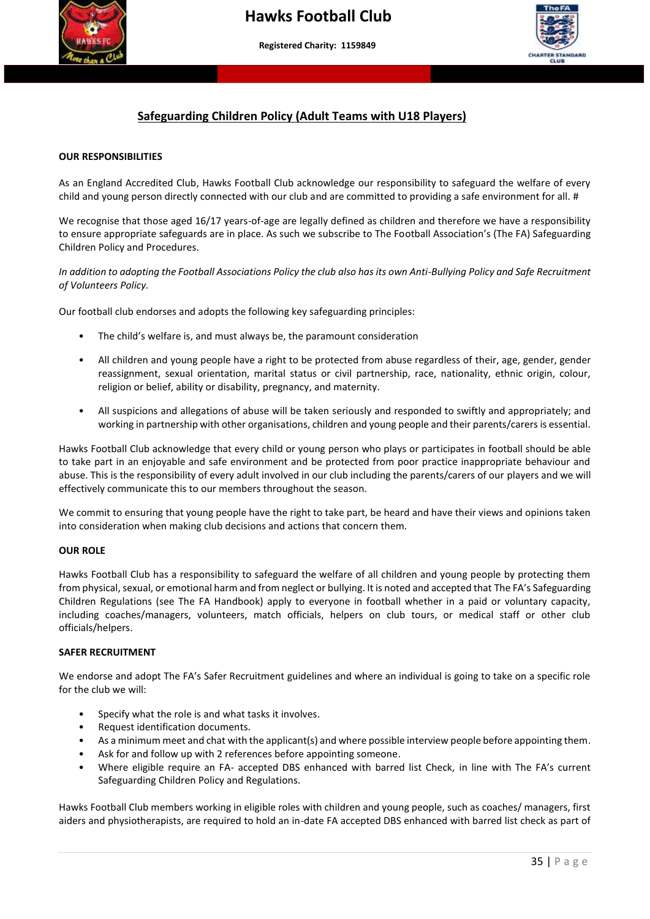



#### **Safeguarding Children Policy (Adult Teams with U18 Players)**

 **More than a club – Making a difference to young people's lives"**

#### **OUR RESPONSIBILITIES**

l. As an England Accredited Club, Hawks Football Club acknowledge our responsibility to safeguard the welfare of every child and young person directly connected with our club and are committed to providing a safe environment for all. #

We recognise that those aged 16/17 years-of-age are legally defined as children and therefore we have a responsibility to ensure appropriate safeguards are in place. As such we subscribe to The Football Association's (The FA) Safeguarding Children Policy and Procedures.

*In addition to adopting the Football Associations Policy the club also has its own Anti-Bullying Policy and Safe Recruitment of Volunteers Policy.*

Our football club endorses and adopts the following key safeguarding principles:

- The child's welfare is, and must always be, the paramount consideration
- All children and young people have a right to be protected from abuse regardless of their, age, gender, gender reassignment, sexual orientation, marital status or civil partnership, race, nationality, ethnic origin, colour, religion or belief, ability or disability, pregnancy, and maternity.
- All suspicions and allegations of abuse will be taken seriously and responded to swiftly and appropriately; and working in partnership with other organisations, children and young people and their parents/carers is essential.

Hawks Football Club acknowledge that every child or young person who plays or participates in football should be able to take part in an enjoyable and safe environment and be protected from poor practice inappropriate behaviour and abuse. This is the responsibility of every adult involved in our club including the parents/carers of our players and we will effectively communicate this to our members throughout the season.

We commit to ensuring that young people have the right to take part, be heard and have their views and opinions taken into consideration when making club decisions and actions that concern them.

#### **OUR ROLE**

Hawks Football Club has a responsibility to safeguard the welfare of all children and young people by protecting them from physical, sexual, or emotional harm and from neglect or bullying. It is noted and accepted that The FA's Safeguarding Children Regulations (see The FA Handbook) apply to everyone in football whether in a paid or voluntary capacity, including coaches/managers, volunteers, match officials, helpers on club tours, or medical staff or other club officials/helpers.

#### **SAFER RECRUITMENT**

We endorse and adopt The FA's Safer Recruitment guidelines and where an individual is going to take on a specific role for the club we will:

- Specify what the role is and what tasks it involves.
- Request identification documents.
- As a minimum meet and chat with the applicant(s) and where possible interview people before appointing them.
- Ask for and follow up with 2 references before appointing someone.
- Where eligible require an FA- accepted DBS enhanced with barred list Check, in line with The FA's current Safeguarding Children Policy and Regulations.

Hawks Football Club members working in eligible roles with children and young people, such as coaches/ managers, first aiders and physiotherapists, are required to hold an in-date FA accepted DBS enhanced with barred list check as part of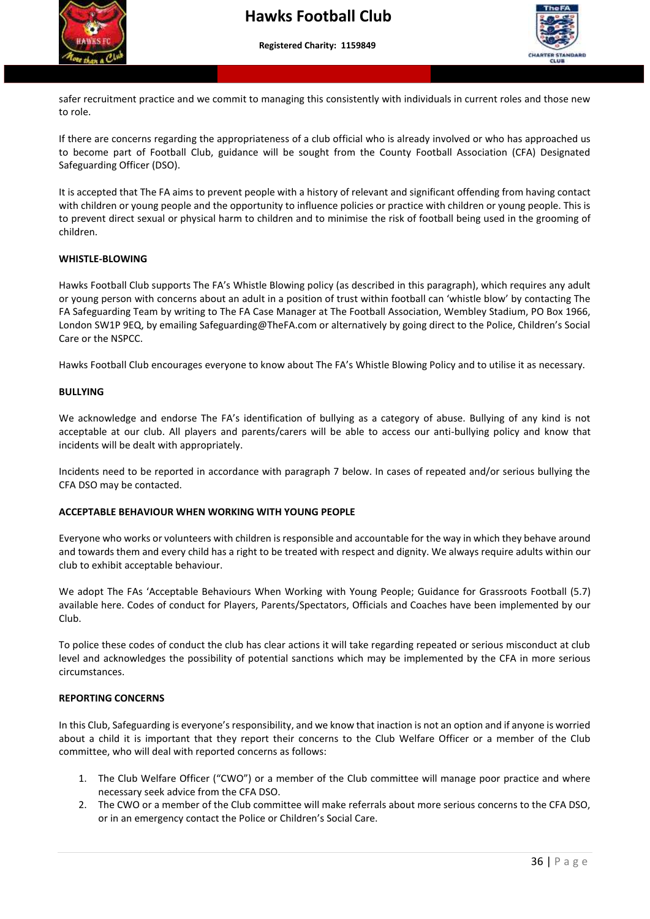



 safer recruitment practice and we commit to managing this consistently with individuals in current roles and those new to role.

If there are concerns regarding the appropriateness of a club official who is already involved or who has approached us to become part of Football Club, guidance will be sought from the County Football Association (CFA) Designated Safeguarding Officer (DSO).

It is accepted that The FA aims to prevent people with a history of relevant and significant offending from having contact with children or young people and the opportunity to influence policies or practice with children or young people. This is to prevent direct sexual or physical harm to children and to minimise the risk of football being used in the grooming of children.

#### **WHISTLE-BLOWING**

Hawks Football Club supports The FA's Whistle Blowing policy (as described in this paragraph), which requires any adult or young person with concerns about an adult in a position of trust within football can 'whistle blow' by contacting The FA Safeguarding Team by writing to The FA Case Manager at The Football Association, Wembley Stadium, PO Box 1966, London SW1P 9EQ, by emailing Safeguarding@TheFA.com or alternatively by going direct to the Police, Children's Social Care or the NSPCC.

Hawks Football Club encourages everyone to know about The FA's Whistle Blowing Policy and to utilise it as necessary.

#### **BULLYING**

We acknowledge and endorse The FA's identification of bullying as a category of abuse. Bullying of any kind is not acceptable at our club. All players and parents/carers will be able to access our anti-bullying policy and know that incidents will be dealt with appropriately.

Incidents need to be reported in accordance with paragraph 7 below. In cases of repeated and/or serious bullying the CFA DSO may be contacted.

#### **ACCEPTABLE BEHAVIOUR WHEN WORKING WITH YOUNG PEOPLE**

Everyone who works or volunteers with children is responsible and accountable for the way in which they behave around and towards them and every child has a right to be treated with respect and dignity. We always require adults within our club to exhibit acceptable behaviour.

We adopt The FAs 'Acceptable Behaviours When Working with Young People; Guidance for Grassroots Football (5.7) available here. Codes of conduct for Players, Parents/Spectators, Officials and Coaches have been implemented by our Club.

To police these codes of conduct the club has clear actions it will take regarding repeated or serious misconduct at club level and acknowledges the possibility of potential sanctions which may be implemented by the CFA in more serious circumstances.

#### **REPORTING CONCERNS**

In this Club, Safeguarding is everyone's responsibility, and we know that inaction is not an option and if anyone is worried about a child it is important that they report their concerns to the Club Welfare Officer or a member of the Club committee, who will deal with reported concerns as follows:

- 1. The Club Welfare Officer ("CWO") or a member of the Club committee will manage poor practice and where necessary seek advice from the CFA DSO.
- 2. The CWO or a member of the Club committee will make referrals about more serious concerns to the CFA DSO, or in an emergency contact the Police or Children's Social Care.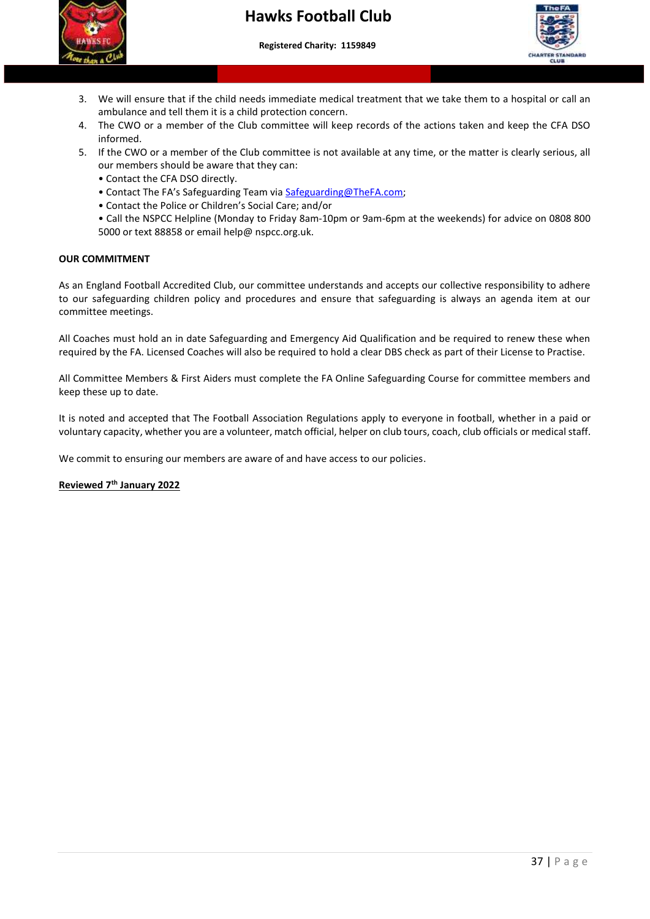# $\overline{\phantom{a}}$

 **More than a club – Making a difference to young people's lives"**



- 3. We will ensure that if the child needs immediate medical treatment that we take them to a hospital or call an ambulance and tell them it is a child protection concern.
- 4. The CWO or a member of the Club committee will keep records of the actions taken and keep the CFA DSO informed.
- 5. If the CWO or a member of the Club committee is not available at any time, or the matter is clearly serious, all our members should be aware that they can:
	- Contact the CFA DSO directly.
	- Contact The FA's Safeguarding Team via [Safeguarding@TheFA.com;](mailto:Safeguarding@TheFA.com)
	- Contact the Police or Children's Social Care; and/or
	- Call the NSPCC Helpline (Monday to Friday 8am-10pm or 9am-6pm at the weekends) for advice on 0808 800 5000 or text 88858 or email help@ nspcc.org.uk.

#### **OUR COMMITMENT**

As an England Football Accredited Club, our committee understands and accepts our collective responsibility to adhere to our safeguarding children policy and procedures and ensure that safeguarding is always an agenda item at our committee meetings.

All Coaches must hold an in date Safeguarding and Emergency Aid Qualification and be required to renew these when required by the FA. Licensed Coaches will also be required to hold a clear DBS check as part of their License to Practise.

All Committee Members & First Aiders must complete the FA Online Safeguarding Course for committee members and keep these up to date.

It is noted and accepted that The Football Association Regulations apply to everyone in football, whether in a paid or voluntary capacity, whether you are a volunteer, match official, helper on club tours, coach, club officials or medical staff.

We commit to ensuring our members are aware of and have access to our policies.

#### **Reviewed 7th January 2022**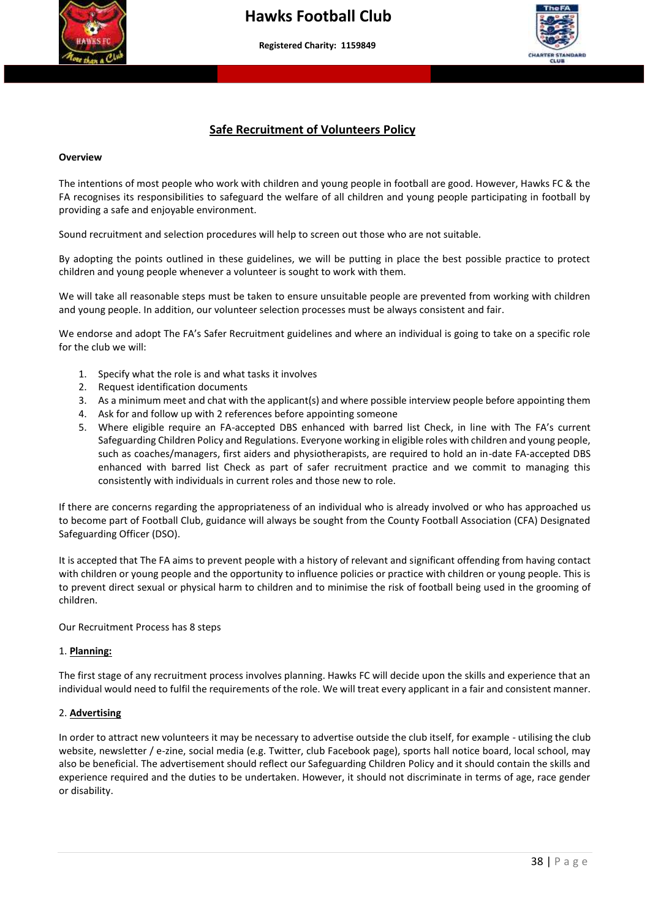



#### **Safe Recruitment of Volunteers Policy**

#### **Overview**

The intentions of most people who work with children and young people in football are good. However, Hawks FC & the FA recognises its responsibilities to safeguard the welfare of all children and young people participating in football by providing a safe and enjoyable environment.

Sound recruitment and selection procedures will help to screen out those who are not suitable.

By adopting the points outlined in these guidelines, we will be putting in place the best possible practice to protect children and young people whenever a volunteer is sought to work with them.

We will take all reasonable steps must be taken to ensure unsuitable people are prevented from working with children and young people. In addition, our volunteer selection processes must be always consistent and fair.

We endorse and adopt The FA's Safer Recruitment guidelines and where an individual is going to take on a specific role for the club we will:

- 1. Specify what the role is and what tasks it involves
- 2. Request identification documents
- 3. As a minimum meet and chat with the applicant(s) and where possible interview people before appointing them
- 4. Ask for and follow up with 2 references before appointing someone
- 5. Where eligible require an FA-accepted DBS enhanced with barred list Check, in line with The FA's current Safeguarding Children Policy and Regulations. Everyone working in eligible roles with children and young people, such as coaches/managers, first aiders and physiotherapists, are required to hold an in-date FA-accepted DBS enhanced with barred list Check as part of safer recruitment practice and we commit to managing this consistently with individuals in current roles and those new to role.

If there are concerns regarding the appropriateness of an individual who is already involved or who has approached us to become part of Football Club, guidance will always be sought from the County Football Association (CFA) Designated Safeguarding Officer (DSO).

It is accepted that The FA aims to prevent people with a history of relevant and significant offending from having contact with children or young people and the opportunity to influence policies or practice with children or young people. This is to prevent direct sexual or physical harm to children and to minimise the risk of football being used in the grooming of children.

Our Recruitment Process has 8 steps

#### 1. **Planning:**

The first stage of any recruitment process involves planning. Hawks FC will decide upon the skills and experience that an individual would need to fulfil the requirements of the role. We will treat every applicant in a fair and consistent manner.

#### 2. **Advertising**

In order to attract new volunteers it may be necessary to advertise outside the club itself, for example - utilising the club website, newsletter / e-zine, social media (e.g. Twitter, club Facebook page), sports hall notice board, local school, may also be beneficial. The advertisement should reflect our Safeguarding Children Policy and it should contain the skills and experience required and the duties to be undertaken. However, it should not discriminate in terms of age, race gender or disability.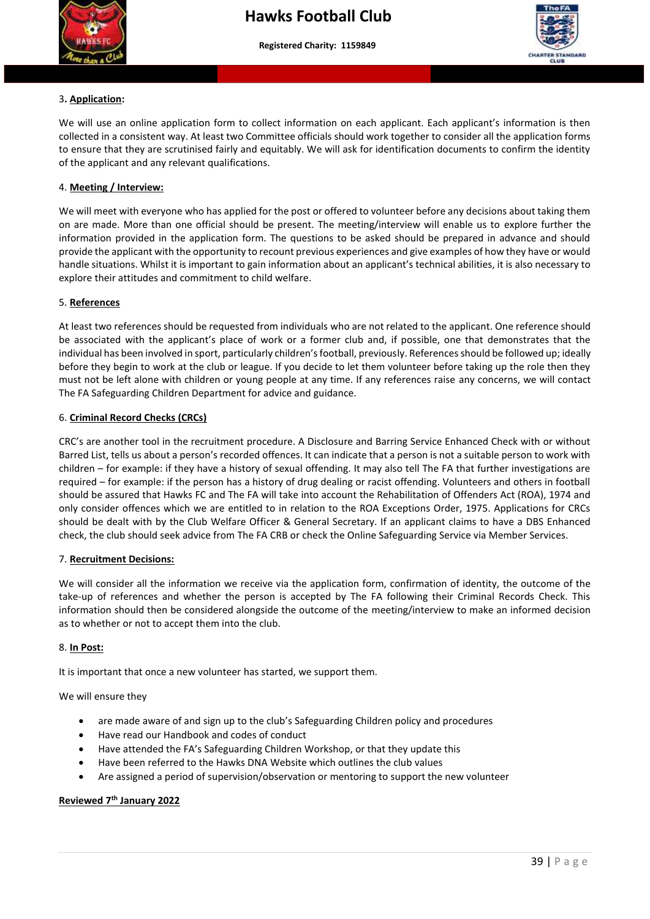



#### 3**. Application:**

We will use an online application form to collect information on each applicant. Each applicant's information is then collected in a consistent way. At least two Committee officials should work together to consider all the application forms to ensure that they are scrutinised fairly and equitably. We will ask for identification documents to confirm the identity of the applicant and any relevant qualifications.

#### 4. **Meeting / Interview:**

We will meet with everyone who has applied for the post or offered to volunteer before any decisions about taking them on are made. More than one official should be present. The meeting/interview will enable us to explore further the information provided in the application form. The questions to be asked should be prepared in advance and should provide the applicant with the opportunity to recount previous experiences and give examples of how they have or would handle situations. Whilst it is important to gain information about an applicant's technical abilities, it is also necessary to explore their attitudes and commitment to child welfare.

#### 5. **References**

At least two references should be requested from individuals who are not related to the applicant. One reference should be associated with the applicant's place of work or a former club and, if possible, one that demonstrates that the individual has been involved in sport, particularly children's football, previously. References should be followed up; ideally before they begin to work at the club or league. If you decide to let them volunteer before taking up the role then they must not be left alone with children or young people at any time. If any references raise any concerns, we will contact The FA Safeguarding Children Department for advice and guidance.

#### 6. **Criminal Record Checks (CRCs)**

CRC's are another tool in the recruitment procedure. A Disclosure and Barring Service Enhanced Check with or without Barred List, tells us about a person's recorded offences. It can indicate that a person is not a suitable person to work with children – for example: if they have a history of sexual offending. It may also tell The FA that further investigations are required – for example: if the person has a history of drug dealing or racist offending. Volunteers and others in football should be assured that Hawks FC and The FA will take into account the Rehabilitation of Offenders Act (ROA), 1974 and only consider offences which we are entitled to in relation to the ROA Exceptions Order, 1975. Applications for CRCs should be dealt with by the Club Welfare Officer & General Secretary. If an applicant claims to have a DBS Enhanced check, the club should seek advice from The FA CRB or check the Online Safeguarding Service via Member Services.

#### 7. **Recruitment Decisions:**

We will consider all the information we receive via the application form, confirmation of identity, the outcome of the take-up of references and whether the person is accepted by The FA following their Criminal Records Check. This information should then be considered alongside the outcome of the meeting/interview to make an informed decision as to whether or not to accept them into the club.

#### 8. **In Post:**

It is important that once a new volunteer has started, we support them.

We will ensure they

- are made aware of and sign up to the club's Safeguarding Children policy and procedures
- Have read our Handbook and codes of conduct
- Have attended the FA's Safeguarding Children Workshop, or that they update this
- Have been referred to the Hawks DNA Website which outlines the club values
- Are assigned a period of supervision/observation or mentoring to support the new volunteer

#### **Reviewed 7th January 2022**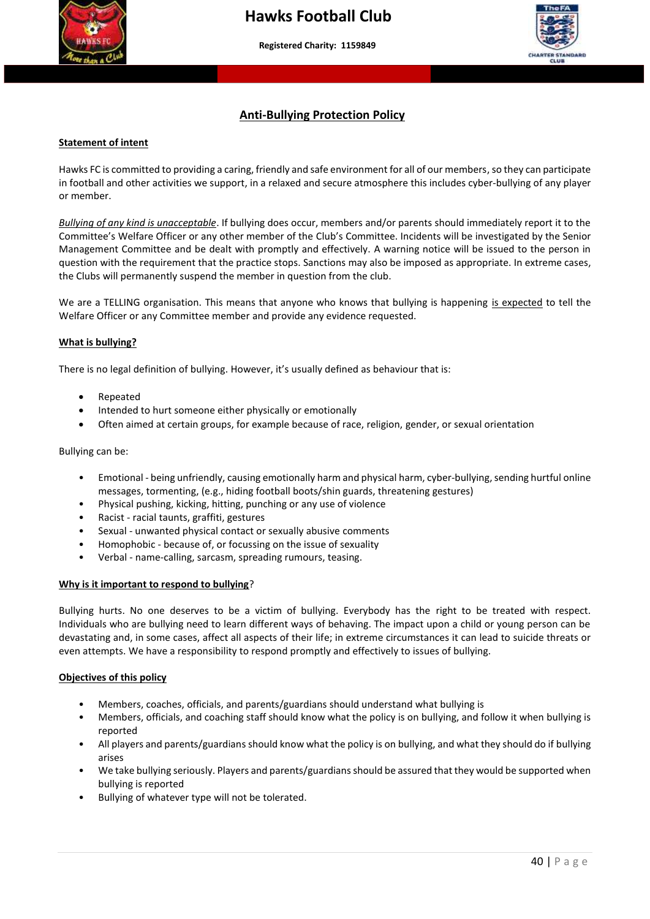



#### **Anti-Bullying Protection Policy**

#### **Statement of intent**

Hawks FC is committed to providing a caring, friendly and safe environment for all of our members, so they can participate in football and other activities we support, in a relaxed and secure atmosphere this includes cyber-bullying of any player or member.

*Bullying of any kind is unacceptable*. If bullying does occur, members and/or parents should immediately report it to the Committee's Welfare Officer or any other member of the Club's Committee. Incidents will be investigated by the Senior Management Committee and be dealt with promptly and effectively. A warning notice will be issued to the person in question with the requirement that the practice stops. Sanctions may also be imposed as appropriate. In extreme cases, the Clubs will permanently suspend the member in question from the club.

We are a TELLING organisation. This means that anyone who knows that bullying is happening is expected to tell the Welfare Officer or any Committee member and provide any evidence requested.

#### **What is bullying?**

There is no legal definition of bullying. However, it's usually defined as behaviour that is:

- Repeated
- Intended to hurt someone either physically or emotionally
- Often aimed at certain groups, for example because of race, religion, gender, or sexual orientation

#### Bullying can be:

- Emotional being unfriendly, causing emotionally harm and physical harm, cyber-bullying, sending hurtful online messages, tormenting, (e.g., hiding football boots/shin guards, threatening gestures)
- Physical pushing, kicking, hitting, punching or any use of violence
- Racist racial taunts, graffiti, gestures
- Sexual unwanted physical contact or sexually abusive comments
- Homophobic because of, or focussing on the issue of sexuality
- Verbal name-calling, sarcasm, spreading rumours, teasing.

#### **Why is it important to respond to bullying**?

Bullying hurts. No one deserves to be a victim of bullying. Everybody has the right to be treated with respect. Individuals who are bullying need to learn different ways of behaving. The impact upon a child or young person can be devastating and, in some cases, affect all aspects of their life; in extreme circumstances it can lead to suicide threats or even attempts. We have a responsibility to respond promptly and effectively to issues of bullying.

#### **Objectives of this policy**

- Members, coaches, officials, and parents/guardians should understand what bullying is
- Members, officials, and coaching staff should know what the policy is on bullying, and follow it when bullying is reported
- All players and parents/guardians should know what the policy is on bullying, and what they should do if bullying arises
- We take bullying seriously. Players and parents/guardians should be assured that they would be supported when bullying is reported
- Bullying of whatever type will not be tolerated.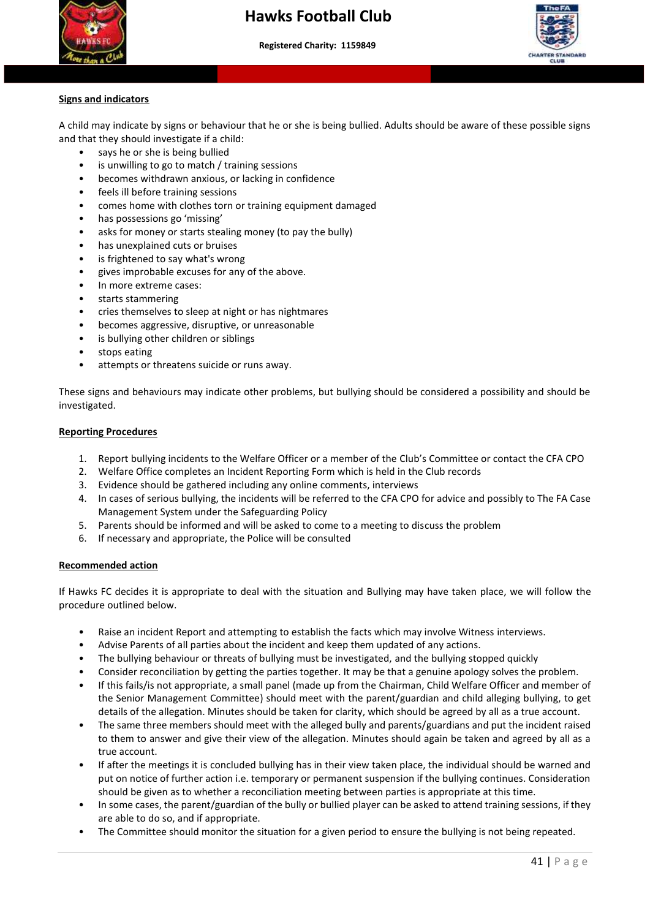

## **Hawks Football Club**

 **More than a club – Making a difference to young people's lives"**



#### **Signs and indicators**

A child may indicate by signs or behaviour that he or she is being bullied. Adults should be aware of these possible signs and that they should investigate if a child:

- says he or she is being bullied
- is unwilling to go to match / training sessions
- becomes withdrawn anxious, or lacking in confidence
- feels ill before training sessions
- comes home with clothes torn or training equipment damaged
- has possessions go 'missing'
- asks for money or starts stealing money (to pay the bully)
- has unexplained cuts or bruises
- is frightened to say what's wrong
- gives improbable excuses for any of the above.
- In more extreme cases:
- starts stammering
- cries themselves to sleep at night or has nightmares
- becomes aggressive, disruptive, or unreasonable
- is bullying other children or siblings
- stops eating
- attempts or threatens suicide or runs away.

These signs and behaviours may indicate other problems, but bullying should be considered a possibility and should be investigated.

#### **Reporting Procedures**

- 1. Report bullying incidents to the Welfare Officer or a member of the Club's Committee or contact the CFA CPO
- 2. Welfare Office completes an Incident Reporting Form which is held in the Club records
- 3. Evidence should be gathered including any online comments, interviews
- 4. In cases of serious bullying, the incidents will be referred to the CFA CPO for advice and possibly to The FA Case Management System under the Safeguarding Policy
- 5. Parents should be informed and will be asked to come to a meeting to discuss the problem
- 6. If necessary and appropriate, the Police will be consulted

#### **Recommended action**

If Hawks FC decides it is appropriate to deal with the situation and Bullying may have taken place, we will follow the procedure outlined below.

- Raise an incident Report and attempting to establish the facts which may involve Witness interviews.
- Advise Parents of all parties about the incident and keep them updated of any actions.
- The bullying behaviour or threats of bullying must be investigated, and the bullying stopped quickly
- Consider reconciliation by getting the parties together. It may be that a genuine apology solves the problem.
- If this fails/is not appropriate, a small panel (made up from the Chairman, Child Welfare Officer and member of the Senior Management Committee) should meet with the parent/guardian and child alleging bullying, to get details of the allegation. Minutes should be taken for clarity, which should be agreed by all as a true account.
- The same three members should meet with the alleged bully and parents/guardians and put the incident raised to them to answer and give their view of the allegation. Minutes should again be taken and agreed by all as a true account.
- If after the meetings it is concluded bullying has in their view taken place, the individual should be warned and put on notice of further action i.e. temporary or permanent suspension if the bullying continues. Consideration should be given as to whether a reconciliation meeting between parties is appropriate at this time.
- In some cases, the parent/guardian of the bully or bullied player can be asked to attend training sessions, if they are able to do so, and if appropriate.
- The Committee should monitor the situation for a given period to ensure the bullying is not being repeated.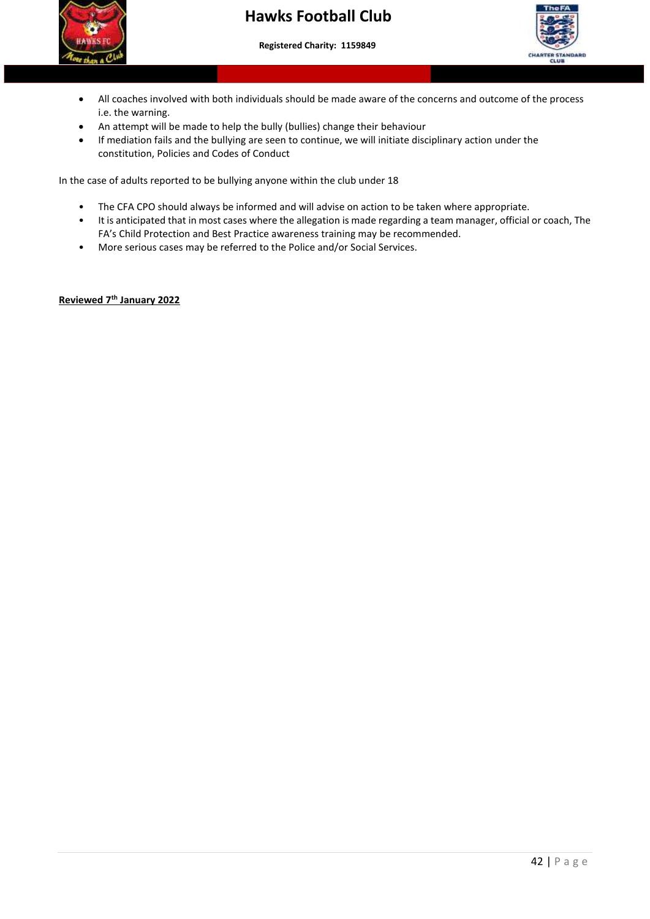

## **Hawks Football Club**

#### **Registered Charity: 1159849**

 **More than a club – Making a difference to young people's lives"**



- • All coaches involved with both individuals should be made aware of the concerns and outcome of the process i.e. the warning.
- An attempt will be made to help the bully (bullies) change their behaviour
- If mediation fails and the bullying are seen to continue, we will initiate disciplinary action under the constitution, Policies and Codes of Conduct

In the case of adults reported to be bullying anyone within the club under 18

- The CFA CPO should always be informed and will advise on action to be taken where appropriate.
- It is anticipated that in most cases where the allegation is made regarding a team manager, official or coach, The FA's Child Protection and Best Practice awareness training may be recommended.
- More serious cases may be referred to the Police and/or Social Services.

#### **Reviewed 7th January 2022**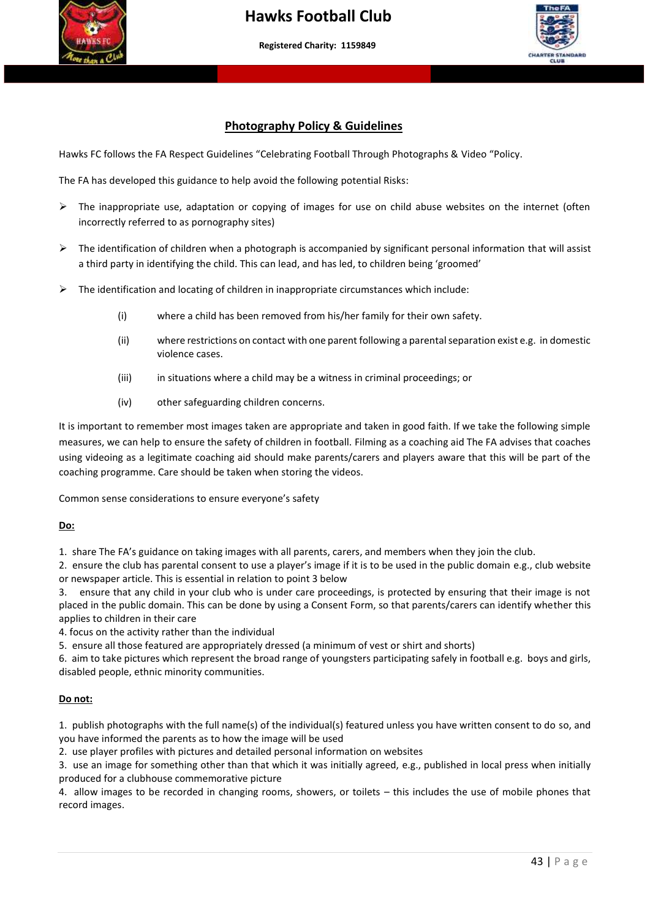



#### **Photography Policy & Guidelines**

Hawks FC follows the FA Respect Guidelines "Celebrating Football Through Photographs & Video "Policy.

 **More than a club – Making a difference to young people's lives"**

The FA has developed this guidance to help avoid the following potential Risks:

- ➢ The inappropriate use, adaptation or copying of images for use on child abuse websites on the internet (often incorrectly referred to as pornography sites)
- $\triangleright$  The identification of children when a photograph is accompanied by significant personal information that will assist a third party in identifying the child. This can lead, and has led, to children being 'groomed'
- $\triangleright$  The identification and locating of children in inappropriate circumstances which include:
	- (i) where a child has been removed from his/her family for their own safety.
	- (ii) where restrictions on contact with one parent following a parental separation exist e.g. in domestic violence cases.
	- (iii) in situations where a child may be a witness in criminal proceedings; or
	- (iv) other safeguarding children concerns.

It is important to remember most images taken are appropriate and taken in good faith. If we take the following simple measures, we can help to ensure the safety of children in football. Filming as a coaching aid The FA advises that coaches using videoing as a legitimate coaching aid should make parents/carers and players aware that this will be part of the coaching programme. Care should be taken when storing the videos.

Common sense considerations to ensure everyone's safety

#### **Do:**

1. share The FA's guidance on taking images with all parents, carers, and members when they join the club.

2. ensure the club has parental consent to use a player's image if it is to be used in the public domain e.g., club website or newspaper article. This is essential in relation to point 3 below

3. ensure that any child in your club who is under care proceedings, is protected by ensuring that their image is not placed in the public domain. This can be done by using a Consent Form, so that parents/carers can identify whether this applies to children in their care

4. focus on the activity rather than the individual

5. ensure all those featured are appropriately dressed (a minimum of vest or shirt and shorts)

6. aim to take pictures which represent the broad range of youngsters participating safely in football e.g. boys and girls, disabled people, ethnic minority communities.

#### **Do not:**

1. publish photographs with the full name(s) of the individual(s) featured unless you have written consent to do so, and you have informed the parents as to how the image will be used

2. use player profiles with pictures and detailed personal information on websites

3. use an image for something other than that which it was initially agreed, e.g., published in local press when initially produced for a clubhouse commemorative picture

4. allow images to be recorded in changing rooms, showers, or toilets – this includes the use of mobile phones that record images.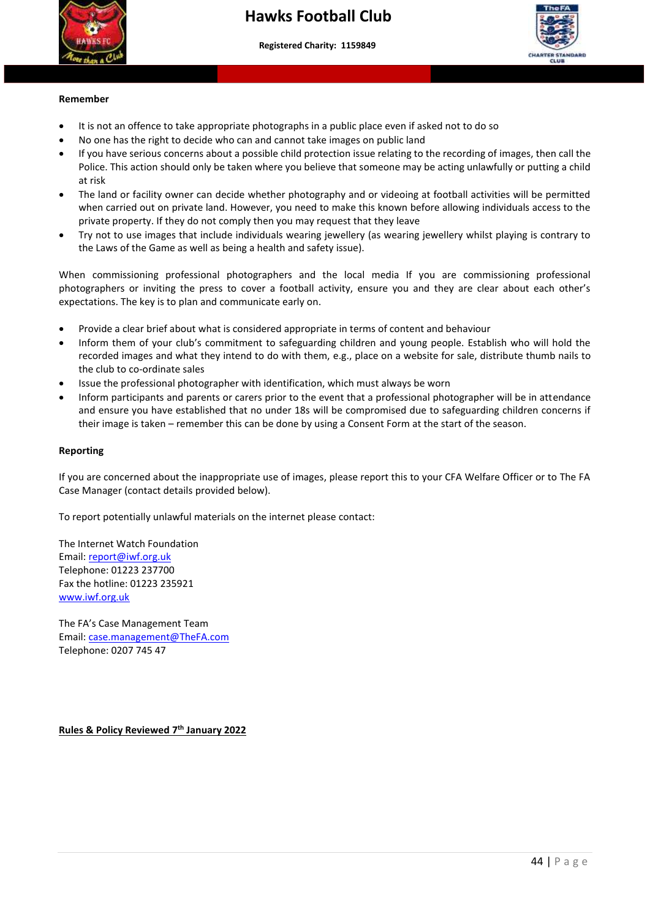



#### **Remember**

It is not an offence to take appropriate photographs in a public place even if asked not to do so

 **More than a club – Making a difference to young people's lives"**

- No one has the right to decide who can and cannot take images on public land
- Police. This action should only be taken where you believe that someone may be acting unlawfully or putting a child<br>at risk • If you have serious concerns about a possible child protection issue relating to the recording of images, then call the at risk
- The land or facility owner can decide whether photography and or videoing at football activities will be permitted when carried out on private land. However, you need to make this known before allowing individuals access to the private property. If they do not comply then you may request that they leave
- Try not to use images that include individuals wearing jewellery (as wearing jewellery whilst playing is contrary to the Laws of the Game as well as being a health and safety issue).

When commissioning professional photographers and the local media If you are commissioning professional photographers or inviting the press to cover a football activity, ensure you and they are clear about each other's expectations. The key is to plan and communicate early on.

- Provide a clear brief about what is considered appropriate in terms of content and behaviour
- Inform them of your club's commitment to safeguarding children and young people. Establish who will hold the recorded images and what they intend to do with them, e.g., place on a website for sale, distribute thumb nails to the club to co-ordinate sales
- Issue the professional photographer with identification, which must always be worn
- Inform participants and parents or carers prior to the event that a professional photographer will be in attendance and ensure you have established that no under 18s will be compromised due to safeguarding children concerns if their image is taken – remember this can be done by using a Consent Form at the start of the season.

#### **Reporting**

If you are concerned about the inappropriate use of images, please report this to your CFA Welfare Officer or to The FA Case Manager (contact details provided below).

To report potentially unlawful materials on the internet please contact:

The Internet Watch Foundation Email: [report@iwf.org.uk](mailto:report@iwf.org.uk) Telephone: 01223 237700 Fax the hotline: 01223 235921 [www.iwf.org.uk](http://www.iwf.org.uk/)

The FA's Case Management Team Email: [case.management@TheFA.com](mailto:case.management@TheFA.com) Telephone: 0207 745 47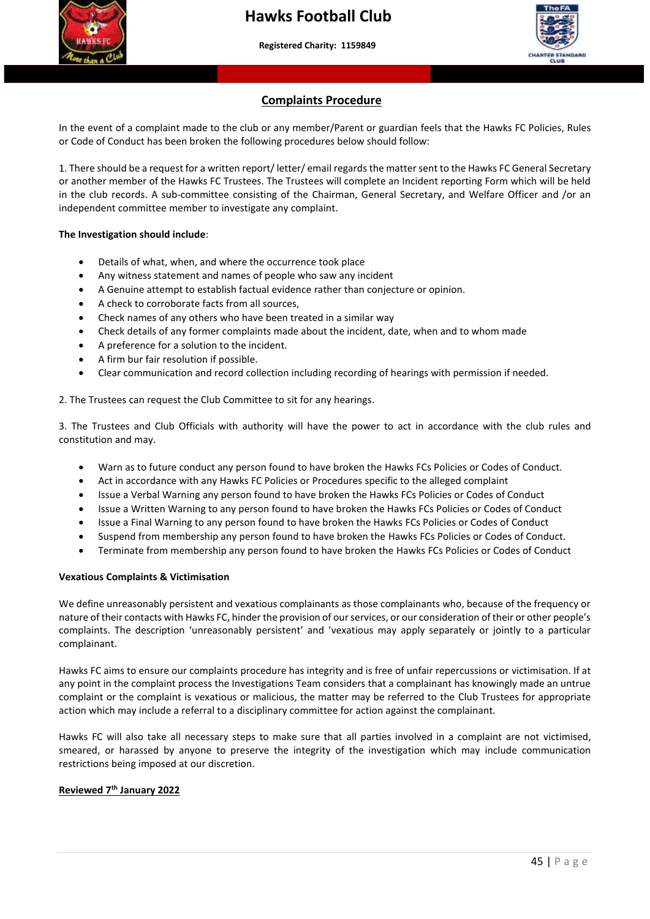

#### **Complaints Procedure**

In the event of a complaint made to the club or any member/Parent or guardian feels that the Hawks FC Policies, Rules or Code of Conduct has been broken the following procedures below should follow:

 or another member of the Hawks FC Trustees. The Trustees will complete an Incident reporting Form which will be held 1. There should be a request for a written report/ letter/ email regards the matter sent to the Hawks FC General Secretary in the club records. A sub-committee consisting of the Chairman, General Secretary, and Welfare Officer and /or an independent committee member to investigate any complaint.

#### **The Investigation should include**:

- Details of what, when, and where the occurrence took place
- Any witness statement and names of people who saw any incident
- A Genuine attempt to establish factual evidence rather than conjecture or opinion.
- A check to corroborate facts from all sources,
- Check names of any others who have been treated in a similar way
- Check details of any former complaints made about the incident, date, when and to whom made
- A preference for a solution to the incident.
- A firm bur fair resolution if possible.
- Clear communication and record collection including recording of hearings with permission if needed.

2. The Trustees can request the Club Committee to sit for any hearings.

3. The Trustees and Club Officials with authority will have the power to act in accordance with the club rules and constitution and may.

- Warn as to future conduct any person found to have broken the Hawks FCs Policies or Codes of Conduct.
- Act in accordance with any Hawks FC Policies or Procedures specific to the alleged complaint
- Issue a Verbal Warning any person found to have broken the Hawks FCs Policies or Codes of Conduct
- Issue a Written Warning to any person found to have broken the Hawks FCs Policies or Codes of Conduct
- Issue a Final Warning to any person found to have broken the Hawks FCs Policies or Codes of Conduct
- Suspend from membership any person found to have broken the Hawks FCs Policies or Codes of Conduct.
- Terminate from membership any person found to have broken the Hawks FCs Policies or Codes of Conduct

#### **Vexatious Complaints & Victimisation**

We define unreasonably persistent and vexatious complainants as those complainants who, because of the frequency or nature of their contacts with Hawks FC, hinder the provision of our services, or our consideration of their or other people's complaints. The description 'unreasonably persistent' and 'vexatious may apply separately or jointly to a particular complainant.

Hawks FC aims to ensure our complaints procedure has integrity and is free of unfair repercussions or victimisation. If at any point in the complaint process the Investigations Team considers that a complainant has knowingly made an untrue complaint or the complaint is vexatious or malicious, the matter may be referred to the Club Trustees for appropriate action which may include a referral to a disciplinary committee for action against the complainant.

Hawks FC will also take all necessary steps to make sure that all parties involved in a complaint are not victimised, smeared, or harassed by anyone to preserve the integrity of the investigation which may include communication restrictions being imposed at our discretion.

#### **Reviewed 7th January 2022**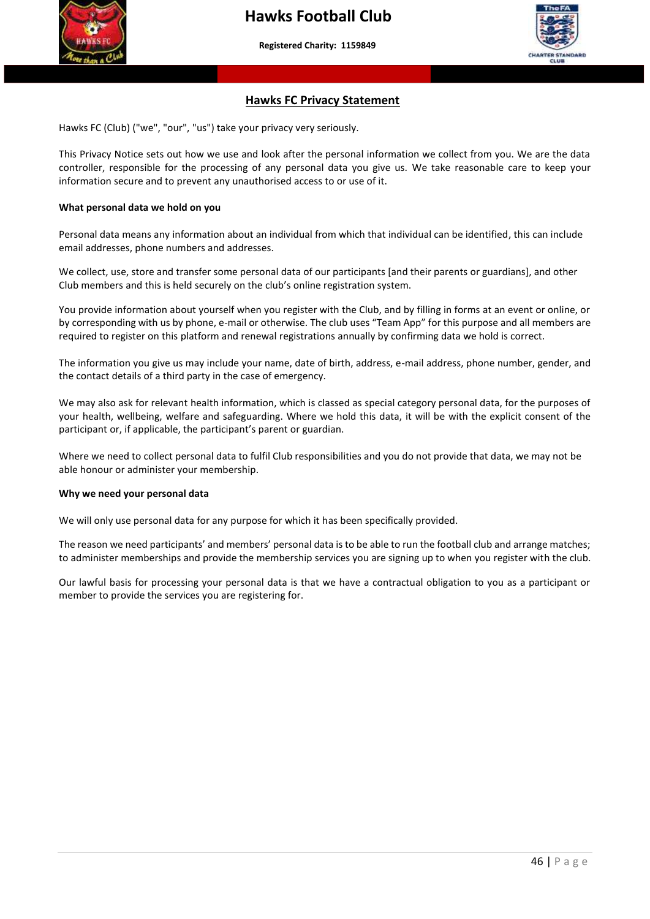

#### **Hawks FC Privacy Statement**

Hawks FC (Club) ("we", "our", "us") take your privacy very seriously.

 information secure and to prevent any unauthorised access to or use of it. This Privacy Notice sets out how we use and look after the personal information we collect from you. We are the data controller, responsible for the processing of any personal data you give us. We take reasonable care to keep your

#### **What personal data we hold on you**

Personal data means any information about an individual from which that individual can be identified, this can include email addresses, phone numbers and addresses.

We collect, use, store and transfer some personal data of our participants [and their parents or guardians], and other Club members and this is held securely on the club's online registration system.

You provide information about yourself when you register with the Club, and by filling in forms at an event or online, or by corresponding with us by phone, e-mail or otherwise. The club uses "Team App" for this purpose and all members are required to register on this platform and renewal registrations annually by confirming data we hold is correct.

The information you give us may include your name, date of birth, address, e-mail address, phone number, gender, and the contact details of a third party in the case of emergency.

We may also ask for relevant health information, which is classed as special category personal data, for the purposes of your health, wellbeing, welfare and safeguarding. Where we hold this data, it will be with the explicit consent of the participant or, if applicable, the participant's parent or guardian.

Where we need to collect personal data to fulfil Club responsibilities and you do not provide that data, we may not be able honour or administer your membership.

#### **Why we need your personal data**

We will only use personal data for any purpose for which it has been specifically provided.

The reason we need participants' and members' personal data is to be able to run the football club and arrange matches; to administer memberships and provide the membership services you are signing up to when you register with the club.

Our lawful basis for processing your personal data is that we have a contractual obligation to you as a participant or member to provide the services you are registering for.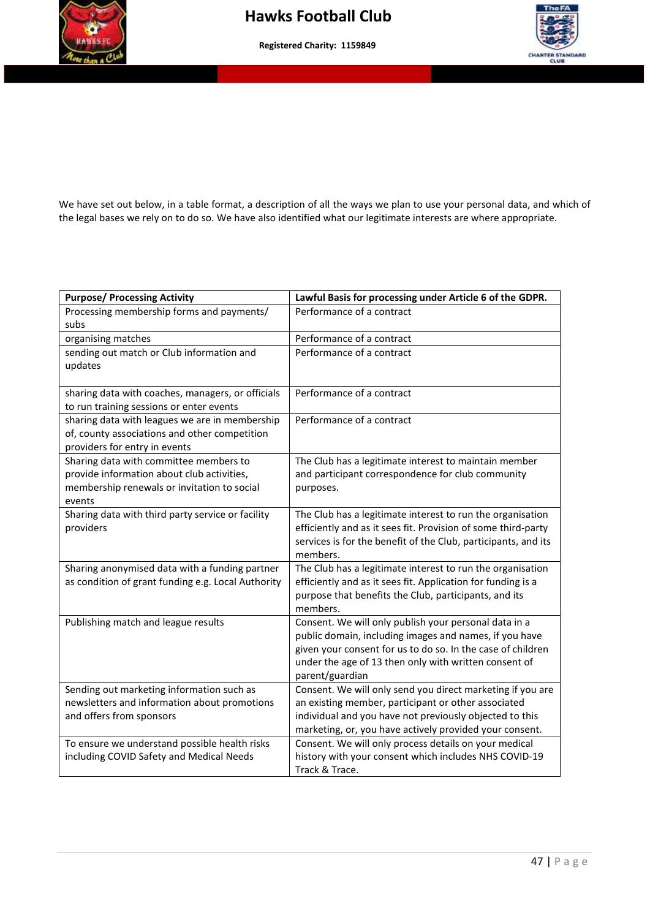



We have set out below, in a table format, a description of all the ways we plan to use your personal data, and which of the legal bases we rely on to do so. We have also identified what our legitimate interests are where appropriate.

| <b>Purpose/ Processing Activity</b>                            | Lawful Basis for processing under Article 6 of the GDPR.                                                                    |
|----------------------------------------------------------------|-----------------------------------------------------------------------------------------------------------------------------|
| Processing membership forms and payments/<br>subs              | Performance of a contract                                                                                                   |
| organising matches                                             | Performance of a contract                                                                                                   |
| sending out match or Club information and                      | Performance of a contract                                                                                                   |
| updates                                                        |                                                                                                                             |
|                                                                |                                                                                                                             |
| sharing data with coaches, managers, or officials              | Performance of a contract                                                                                                   |
| to run training sessions or enter events                       |                                                                                                                             |
| sharing data with leagues we are in membership                 | Performance of a contract                                                                                                   |
| of, county associations and other competition                  |                                                                                                                             |
| providers for entry in events                                  |                                                                                                                             |
| Sharing data with committee members to                         | The Club has a legitimate interest to maintain member                                                                       |
| provide information about club activities,                     | and participant correspondence for club community                                                                           |
| membership renewals or invitation to social                    | purposes.                                                                                                                   |
| events                                                         |                                                                                                                             |
| Sharing data with third party service or facility<br>providers | The Club has a legitimate interest to run the organisation<br>efficiently and as it sees fit. Provision of some third-party |
|                                                                | services is for the benefit of the Club, participants, and its                                                              |
|                                                                | members.                                                                                                                    |
| Sharing anonymised data with a funding partner                 | The Club has a legitimate interest to run the organisation                                                                  |
| as condition of grant funding e.g. Local Authority             | efficiently and as it sees fit. Application for funding is a                                                                |
|                                                                | purpose that benefits the Club, participants, and its                                                                       |
|                                                                | members.                                                                                                                    |
| Publishing match and league results                            | Consent. We will only publish your personal data in a                                                                       |
|                                                                | public domain, including images and names, if you have                                                                      |
|                                                                | given your consent for us to do so. In the case of children                                                                 |
|                                                                | under the age of 13 then only with written consent of                                                                       |
|                                                                | parent/guardian                                                                                                             |
| Sending out marketing information such as                      | Consent. We will only send you direct marketing if you are                                                                  |
| newsletters and information about promotions                   | an existing member, participant or other associated                                                                         |
| and offers from sponsors                                       | individual and you have not previously objected to this                                                                     |
|                                                                | marketing, or, you have actively provided your consent.                                                                     |
| To ensure we understand possible health risks                  | Consent. We will only process details on your medical                                                                       |
| including COVID Safety and Medical Needs                       | history with your consent which includes NHS COVID-19                                                                       |
|                                                                | Track & Trace.                                                                                                              |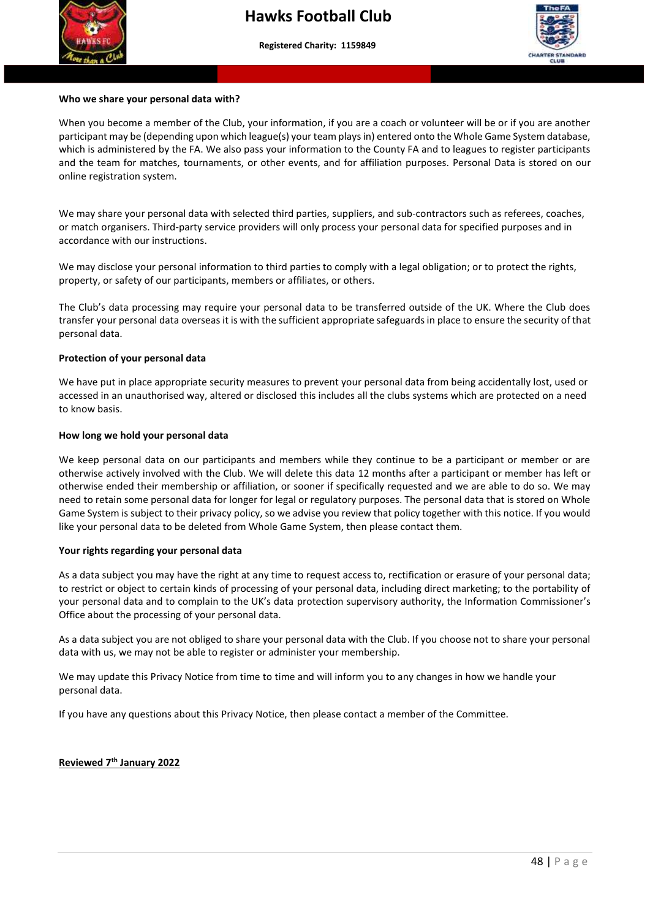



## **Who we share your personal data with?**

 online registration system. When you become a member of the Club, your information, if you are a coach or volunteer will be or if you are another participant may be (depending upon which league(s) your team plays in) entered onto the Whole Game System database, which is administered by the FA. We also pass your information to the County FA and to leagues to register participants and the team for matches, tournaments, or other events, and for affiliation purposes. Personal Data is stored on our

We may share your personal data with selected third parties, suppliers, and sub-contractors such as referees, coaches, or match organisers. Third-party service providers will only process your personal data for specified purposes and in accordance with our instructions.

We may disclose your personal information to third parties to comply with a legal obligation; or to protect the rights, property, or safety of our participants, members or affiliates, or others.

The Club's data processing may require your personal data to be transferred outside of the UK. Where the Club does transfer your personal data overseas it is with the sufficient appropriate safeguards in place to ensure the security of that personal data.

#### **Protection of your personal data**

We have put in place appropriate security measures to prevent your personal data from being accidentally lost, used or accessed in an unauthorised way, altered or disclosed this includes all the clubs systems which are protected on a need to know basis.

#### **How long we hold your personal data**

We keep personal data on our participants and members while they continue to be a participant or member or are otherwise actively involved with the Club. We will delete this data 12 months after a participant or member has left or otherwise ended their membership or affiliation, or sooner if specifically requested and we are able to do so. We may need to retain some personal data for longer for legal or regulatory purposes. The personal data that is stored on Whole Game System is subject to their privacy policy, so we advise you review that policy together with this notice. If you would like your personal data to be deleted from Whole Game System, then please contact them.

#### **Your rights regarding your personal data**

As a data subject you may have the right at any time to request access to, rectification or erasure of your personal data; to restrict or object to certain kinds of processing of your personal data, including direct marketing; to the portability of your personal data and to complain to the UK's data protection supervisory authority, the Information Commissioner's Office about the processing of your personal data.

As a data subject you are not obliged to share your personal data with the Club. If you choose not to share your personal data with us, we may not be able to register or administer your membership.

We may update this Privacy Notice from time to time and will inform you to any changes in how we handle your personal data.

If you have any questions about this Privacy Notice, then please contact a member of the Committee.

#### **Reviewed 7th January 2022**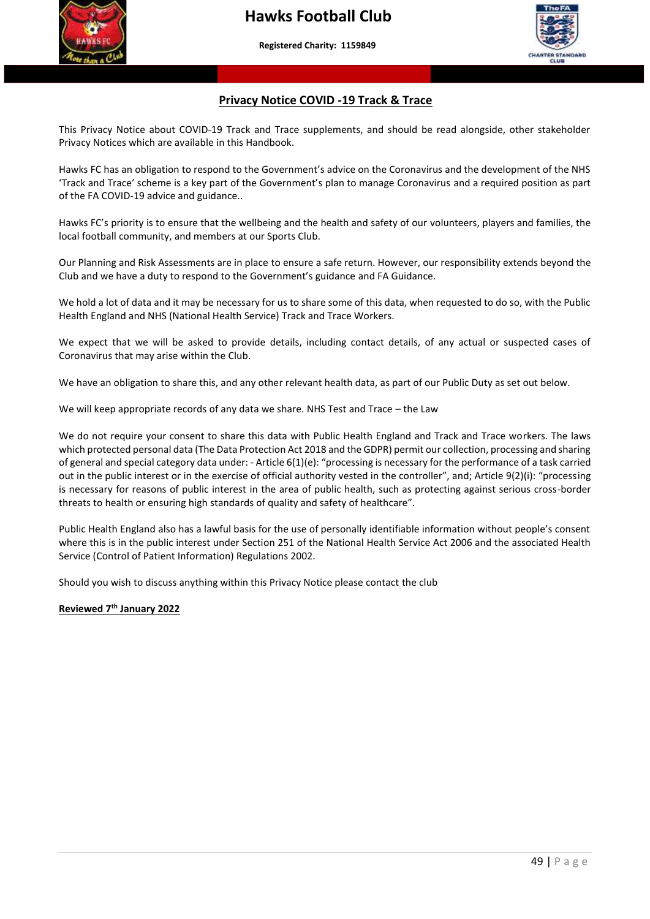



#### **Privacy Notice COVID -19 Track & Trace**

This Privacy Notice about COVID-19 Track and Trace supplements, and should be read alongside, other stakeholder Privacy Notices which are available in this Handbook.

Hawks FC has an obligation to respond to the Government's advice on the Coronavirus and the development of the NHS 'Track and Trace' scheme is a key part of the Government's plan to manage Coronavirus and a required position as part of the FA COVID-19 advice and guidance..

Hawks FC's priority is to ensure that the wellbeing and the health and safety of our volunteers, players and families, the local football community, and members at our Sports Club.

Our Planning and Risk Assessments are in place to ensure a safe return. However, our responsibility extends beyond the Club and we have a duty to respond to the Government's guidance and FA Guidance.

We hold a lot of data and it may be necessary for us to share some of this data, when requested to do so, with the Public Health England and NHS (National Health Service) Track and Trace Workers.

We expect that we will be asked to provide details, including contact details, of any actual or suspected cases of Coronavirus that may arise within the Club.

We have an obligation to share this, and any other relevant health data, as part of our Public Duty as set out below.

We will keep appropriate records of any data we share. NHS Test and Trace – the Law

We do not require your consent to share this data with Public Health England and Track and Trace workers. The laws which protected personal data (The Data Protection Act 2018 and the GDPR) permit our collection, processing and sharing of general and special category data under: - Article 6(1)(e): "processing is necessary for the performance of a task carried out in the public interest or in the exercise of official authority vested in the controller", and; Article 9(2)(i): "processing is necessary for reasons of public interest in the area of public health, such as protecting against serious cross-border threats to health or ensuring high standards of quality and safety of healthcare".

Public Health England also has a lawful basis for the use of personally identifiable information without people's consent where this is in the public interest under Section 251 of the National Health Service Act 2006 and the associated Health Service (Control of Patient Information) Regulations 2002.

Should you wish to discuss anything within this Privacy Notice please contact the club

**Reviewed 7th January 2022**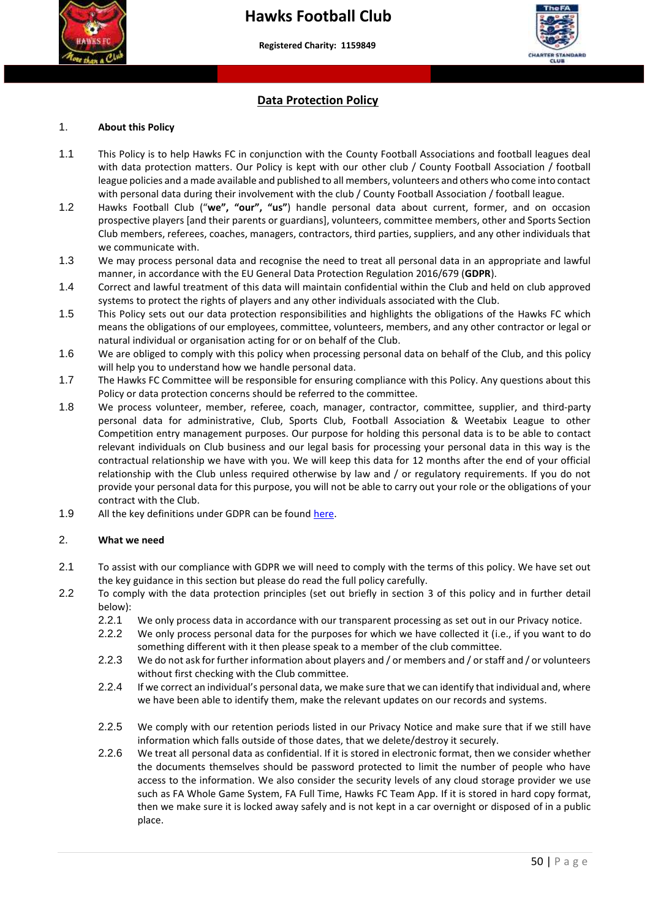



#### **Data Protection Policy**

#### 1. **About this Policy**

- league policies and a made available and published to all members, volunteers and others who come into contact 1.1 This Policy is to help Hawks FC in conjunction with the County Football Associations and football leagues deal with data protection matters. Our Policy is kept with our other club / County Football Association / football with personal data during their involvement with the club / County Football Association / football league.
- 1.2 Hawks Football Club ("**we", "our", "us"**) handle personal data about current, former, and on occasion prospective players [and their parents or guardians], volunteers, committee members, other and Sports Section Club members, referees, coaches, managers, contractors, third parties, suppliers, and any other individuals that we communicate with.
- 1.3 We may process personal data and recognise the need to treat all personal data in an appropriate and lawful manner, in accordance with the EU General Data Protection Regulation 2016/679 (**GDPR**).
- 1.4 Correct and lawful treatment of this data will maintain confidential within the Club and held on club approved systems to protect the rights of players and any other individuals associated with the Club.
- 1.5 This Policy sets out our data protection responsibilities and highlights the obligations of the Hawks FC which means the obligations of our employees, committee, volunteers, members, and any other contractor or legal or natural individual or organisation acting for or on behalf of the Club.
- 1.6 We are obliged to comply with this policy when processing personal data on behalf of the Club, and this policy will help you to understand how we handle personal data.
- 1.7 The Hawks FC Committee will be responsible for ensuring compliance with this Policy. Any questions about this Policy or data protection concerns should be referred to the committee.
- 1.8 We process volunteer, member, referee, coach, manager, contractor, committee, supplier, and third-party personal data for administrative, Club, Sports Club, Football Association & Weetabix League to other Competition entry management purposes. Our purpose for holding this personal data is to be able to contact relevant individuals on Club business and our legal basis for processing your personal data in this way is the contractual relationship we have with you. We will keep this data for 12 months after the end of your official relationship with the Club unless required otherwise by law and / or regulatory requirements. If you do not provide your personal data for this purpose, you will not be able to carry out your role or the obligations of your contract with the Club.
- 1.9 All the key definitions under GDPR can be found [here.](https://ico.org.uk/for-organisations/guide-to-the-general-data-protection-regulation-gdpr/key-definitions/)

#### 2. **What we need**

- 2.1 To assist with our compliance with GDPR we will need to comply with the terms of this policy. We have set out the key guidance in this section but please do read the full policy carefully.
- 2.2 To comply with the data protection principles (set out briefly in section [3](#page-50-0) of this policy and in further detail below):
	- 2.2.1 We only process data in accordance with our transparent processing as set out in our Privacy notice.
	- 2.2.2 We only process personal data for the purposes for which we have collected it (i.e., if you want to do something different with it then please speak to a member of the club committee.
	- 2.2.3 We do not ask for further information about players and / or members and / or staff and / or volunteers without first checking with the Club committee.
	- 2.2.4 If we correct an individual's personal data, we make sure that we can identify that individual and, where we have been able to identify them, make the relevant updates on our records and systems.
	- 2.2.5 We comply with our retention periods listed in our Privacy Notice and make sure that if we still have information which falls outside of those dates, that we delete/destroy it securely.
	- 2.2.6 We treat all personal data as confidential. If it is stored in electronic format, then we consider whether the documents themselves should be password protected to limit the number of people who have access to the information. We also consider the security levels of any cloud storage provider we use such as FA Whole Game System, FA Full Time, Hawks FC Team App. If it is stored in hard copy format, then we make sure it is locked away safely and is not kept in a car overnight or disposed of in a public place.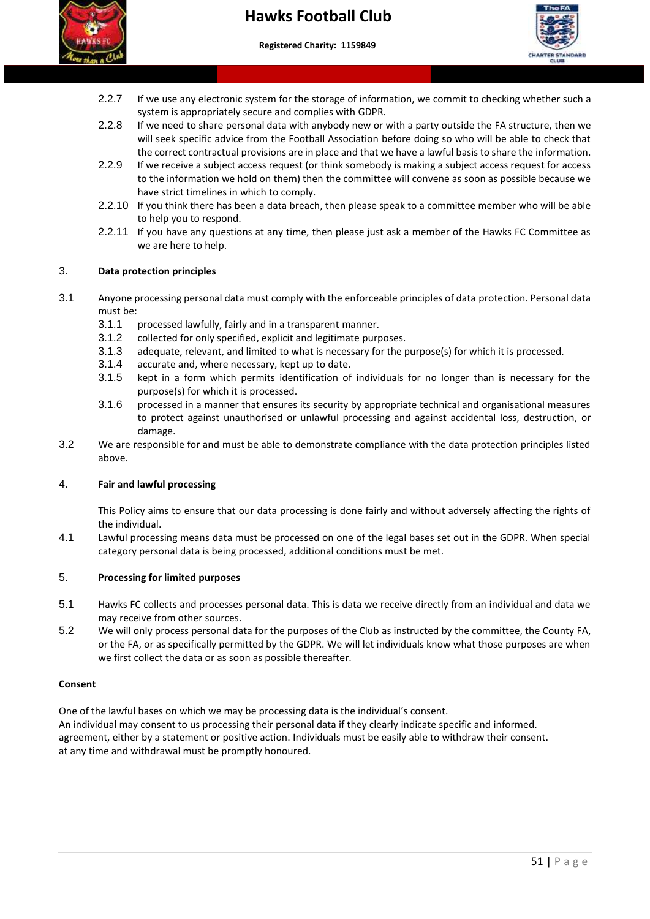



- 2.2.7 If we use any electronic system for the storage of information, we commit to checking whether such a system is appropriately secure and complies with GDPR.
- 2.2.8 If we need to share personal data with anybody new or with a party outside the FA structure, then we will seek specific advice from the Football Association before doing so who will be able to check that the correct contractual provisions are in place and that we have a lawful basis to share the information.
- to the information we hold on them) then the committee will convene as soon as possible because we 2.2.9 If we receive a subject access request (or think somebody is making a subject access request for access have strict timelines in which to comply.
- 2.2.10 If you think there has been a data breach, then please speak to a committee member who will be able to help you to respond.
- 2.2.11 If you have any questions at any time, then please just ask a member of the Hawks FC Committee as we are here to help.

#### <span id="page-50-0"></span>3. **Data protection principles**

- 3.1 Anyone processing personal data must comply with the enforceable principles of data protection. Personal data must be:
	- 3.1.1 processed lawfully, fairly and in a transparent manner.
	- 3.1.2 collected for only specified, explicit and legitimate purposes.
	- 3.1.3 adequate, relevant, and limited to what is necessary for the purpose(s) for which it is processed.
	- 3.1.4 accurate and, where necessary, kept up to date.
	- 3.1.5 kept in a form which permits identification of individuals for no longer than is necessary for the purpose(s) for which it is processed.
	- 3.1.6 processed in a manner that ensures its security by appropriate technical and organisational measures to protect against unauthorised or unlawful processing and against accidental loss, destruction, or damage.
- 3.2 We are responsible for and must be able to demonstrate compliance with the data protection principles listed above.

#### 4. **Fair and lawful processing**

This Policy aims to ensure that our data processing is done fairly and without adversely affecting the rights of the individual.

4.1 Lawful processing means data must be processed on one of the legal bases set out in the GDPR. When special category personal data is being processed, additional conditions must be met.

#### 5. **Processing for limited purposes**

- 5.1 Hawks FC collects and processes personal data. This is data we receive directly from an individual and data we may receive from other sources.
- 5.2 We will only process personal data for the purposes of the Club as instructed by the committee, the County FA, or the FA, or as specifically permitted by the GDPR. We will let individuals know what those purposes are when we first collect the data or as soon as possible thereafter.

#### **Consent**

One of the lawful bases on which we may be processing data is the individual's consent. An individual may consent to us processing their personal data if they clearly indicate specific and informed. agreement, either by a statement or positive action. Individuals must be easily able to withdraw their consent. at any time and withdrawal must be promptly honoured.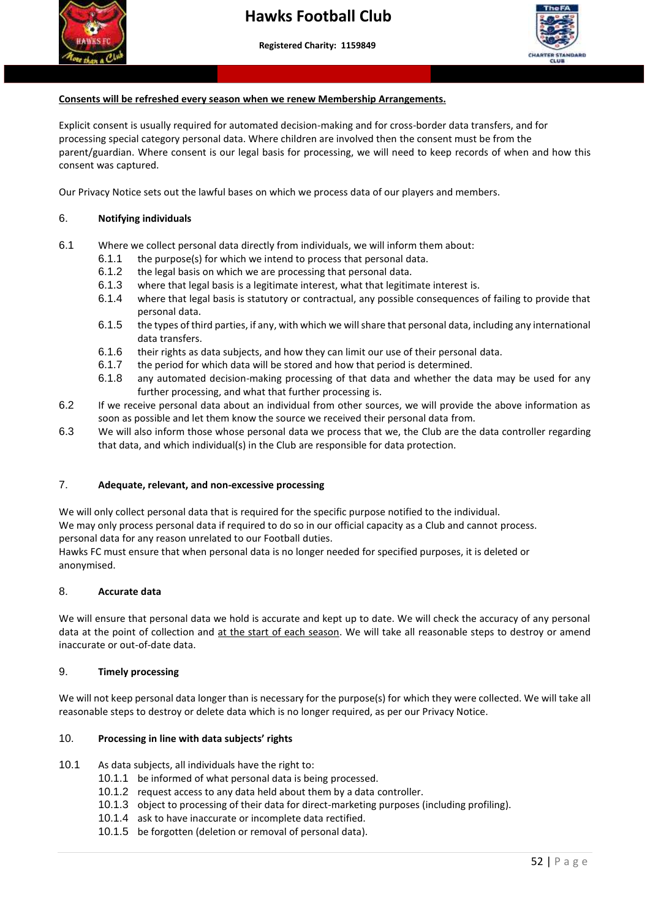



## **Consents will be refreshed every season when we renew Membership Arrangements.**

Explicit consent is usually required for automated decision-making and for cross-border data transfers, and for processing special category personal data. Where children are involved then the consent must be from the parent/guardian. Where consent is our legal basis for processing, we will need to keep records of when and how this consent was captured.

Our Privacy Notice sets out the lawful bases on which we process data of our players and members.

#### 6. **Notifying individuals**

- 6.1 Where we collect personal data directly from individuals, we will inform them about:
	- 6.1.1 the purpose(s) for which we intend to process that personal data.
	- 6.1.2 the legal basis on which we are processing that personal data.
	- 6.1.3 where that legal basis is a legitimate interest, what that legitimate interest is.
	- 6.1.4 where that legal basis is statutory or contractual, any possible consequences of failing to provide that personal data.
	- 6.1.5 the types of third parties, if any, with which we will share that personal data, including any international data transfers.
	- 6.1.6 their rights as data subjects, and how they can limit our use of their personal data.
	- 6.1.7 the period for which data will be stored and how that period is determined.
	- 6.1.8 any automated decision-making processing of that data and whether the data may be used for any further processing, and what that further processing is.
- 6.2 If we receive personal data about an individual from other sources, we will provide the above information as soon as possible and let them know the source we received their personal data from.
- 6.3 We will also inform those whose personal data we process that we, the Club are the data controller regarding that data, and which individual(s) in the Club are responsible for data protection.

#### 7. **Adequate, relevant, and non-excessive processing**

We will only collect personal data that is required for the specific purpose notified to the individual.

We may only process personal data if required to do so in our official capacity as a Club and cannot process. personal data for any reason unrelated to our Football duties.

Hawks FC must ensure that when personal data is no longer needed for specified purposes, it is deleted or anonymised.

#### 8. **Accurate data**

We will ensure that personal data we hold is accurate and kept up to date. We will check the accuracy of any personal data at the point of collection and at the start of each season. We will take all reasonable steps to destroy or amend inaccurate or out-of-date data.

#### 9. **Timely processing**

We will not keep personal data longer than is necessary for the purpose(s) for which they were collected. We will take all reasonable steps to destroy or delete data which is no longer required, as per our Privacy Notice.

#### 10. **Processing in line with data subjects' rights**

- 10.1 As data subjects, all individuals have the right to:
	- 10.1.1 be informed of what personal data is being processed.
	- 10.1.2 request access to any data held about them by a data controller.
	- 10.1.3 object to processing of their data for direct-marketing purposes (including profiling).
	- 10.1.4 ask to have inaccurate or incomplete data rectified.
	- 10.1.5 be forgotten (deletion or removal of personal data).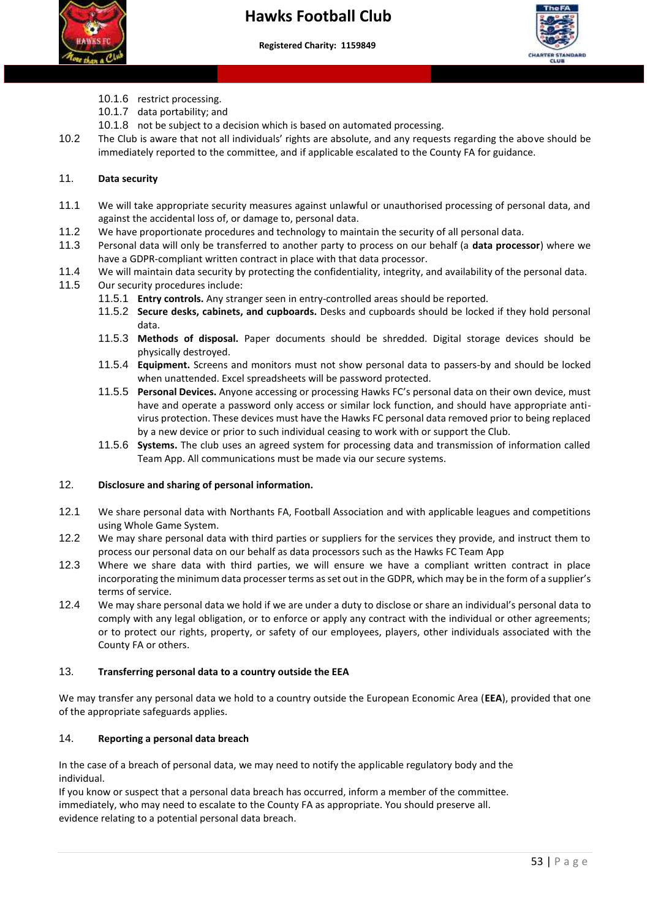



- 10.1.6 restrict processing.
- 10.1.7 data portability; and
- 10.1.8 not be subject to a decision which is based on automated processing.
- 10.2 The Club is aware that not all individuals' rights are absolute, and any requests regarding the above should be immediately reported to the committee, and if applicable escalated to the County FA for guidance.

### 11. **Data security**

- 11.1 We will take appropriate security measures against unlawful or unauthorised processing of personal data, and against the accidental loss of, or damage to, personal data.
- 11.2 We have proportionate procedures and technology to maintain the security of all personal data.
- 11.3 Personal data will only be transferred to another party to process on our behalf (a **data processor**) where we have a GDPR-compliant written contract in place with that data processor.
- 11.4 We will maintain data security by protecting the confidentiality, integrity, and availability of the personal data.
- 11.5 Our security procedures include:
	- 11.5.1 **Entry controls.** Any stranger seen in entry-controlled areas should be reported.
	- 11.5.2 **Secure desks, cabinets, and cupboards.** Desks and cupboards should be locked if they hold personal data.
	- 11.5.3 **Methods of disposal.** Paper documents should be shredded. Digital storage devices should be physically destroyed.
	- 11.5.4 **Equipment.** Screens and monitors must not show personal data to passers-by and should be locked when unattended. Excel spreadsheets will be password protected.
	- 11.5.5 **Personal Devices.** Anyone accessing or processing Hawks FC's personal data on their own device, must have and operate a password only access or similar lock function, and should have appropriate antivirus protection. These devices must have the Hawks FC personal data removed prior to being replaced by a new device or prior to such individual ceasing to work with or support the Club.
	- 11.5.6 **Systems.** The club uses an agreed system for processing data and transmission of information called Team App. All communications must be made via our secure systems.

#### 12. **Disclosure and sharing of personal information.**

- 12.1 We share personal data with Northants FA, Football Association and with applicable leagues and competitions using Whole Game System.
- 12.2 We may share personal data with third parties or suppliers for the services they provide, and instruct them to process our personal data on our behalf as data processors such as the Hawks FC Team App
- 12.3 Where we share data with third parties, we will ensure we have a compliant written contract in place incorporating the minimum data processer terms as set out in the GDPR, which may be in the form of a supplier's terms of service.
- 12.4 We may share personal data we hold if we are under a duty to disclose or share an individual's personal data to comply with any legal obligation, or to enforce or apply any contract with the individual or other agreements; or to protect our rights, property, or safety of our employees, players, other individuals associated with the County FA or others.

#### 13. **Transferring personal data to a country outside the EEA**

We may transfer any personal data we hold to a country outside the European Economic Area (**EEA**), provided that one of the appropriate safeguards applies.

#### 14. **Reporting a personal data breach**

In the case of a breach of personal data, we may need to notify the applicable regulatory body and the individual.

If you know or suspect that a personal data breach has occurred, inform a member of the committee. immediately, who may need to escalate to the County FA as appropriate. You should preserve all. evidence relating to a potential personal data breach.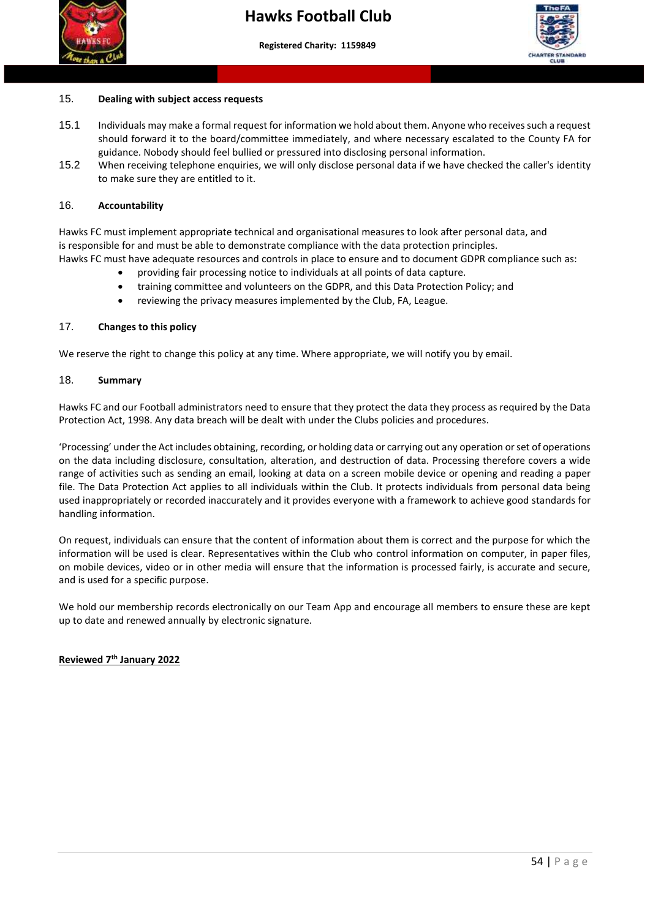



## 15. **Dealing with subject access requests**

- 15.1 Individuals may make a formal request for information we hold about them. Anyone who receives such a request should forward it to the board/committee immediately, and where necessary escalated to the County FA for guidance. Nobody should feel bullied or pressured into disclosing personal information.
- to make sure they are entitled to it. 15.2 When receiving telephone enquiries, we will only disclose personal data if we have checked the caller's identity

#### 16. **Accountability**

Hawks FC must implement appropriate technical and organisational measures to look after personal data, and is responsible for and must be able to demonstrate compliance with the data protection principles. Hawks FC must have adequate resources and controls in place to ensure and to document GDPR compliance such as:

- providing fair processing notice to individuals at all points of data capture.
- training committee and volunteers on the GDPR, and this Data Protection Policy; and
- reviewing the privacy measures implemented by the Club, FA, League.

#### 17. **Changes to this policy**

We reserve the right to change this policy at any time. Where appropriate, we will notify you by email.

#### 18. **Summary**

Hawks FC and our Football administrators need to ensure that they protect the data they process as required by the Data Protection Act, 1998. Any data breach will be dealt with under the Clubs policies and procedures.

'Processing' under the Act includes obtaining, recording, or holding data or carrying out any operation or set of operations on the data including disclosure, consultation, alteration, and destruction of data. Processing therefore covers a wide range of activities such as sending an email, looking at data on a screen mobile device or opening and reading a paper file. The Data Protection Act applies to all individuals within the Club. It protects individuals from personal data being used inappropriately or recorded inaccurately and it provides everyone with a framework to achieve good standards for handling information.

On request, individuals can ensure that the content of information about them is correct and the purpose for which the information will be used is clear. Representatives within the Club who control information on computer, in paper files, on mobile devices, video or in other media will ensure that the information is processed fairly, is accurate and secure, and is used for a specific purpose.

We hold our membership records electronically on our Team App and encourage all members to ensure these are kept up to date and renewed annually by electronic signature.

#### **Reviewed 7th January 2022**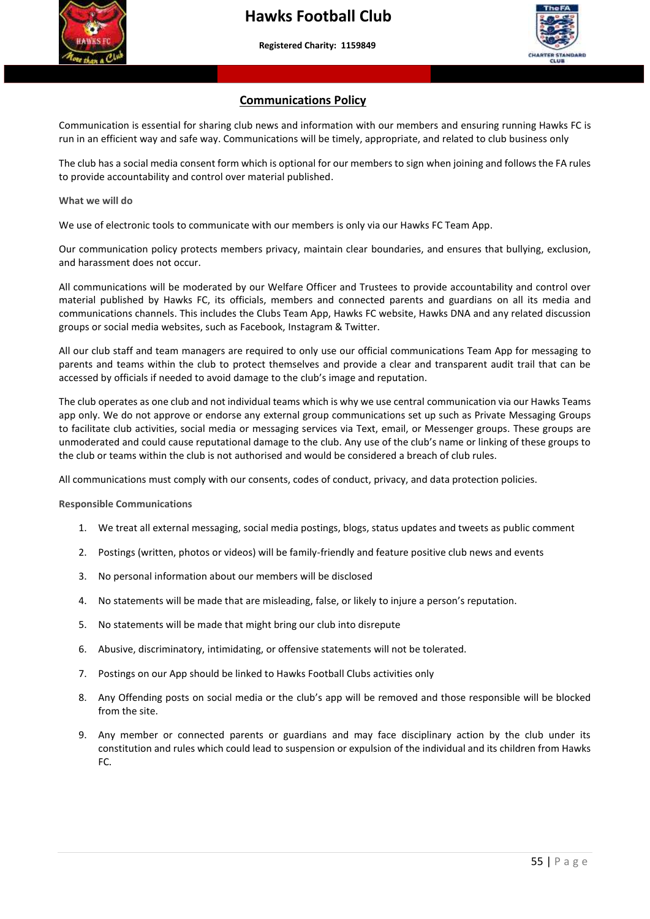



#### **Communications Policy**

 **More than a club – Making a difference to young people's lives"**

Communication is essential for sharing club news and information with our members and ensuring running Hawks FC is run in an efficient way and safe way. Communications will be timely, appropriate, and related to club business only

 to provide accountability and control over material published. The club has a social media consent form which is optional for our members to sign when joining and follows the FA rules

**What we will do**

We use of electronic tools to communicate with our members is only via our Hawks FC Team App.

Our communication policy protects members privacy, maintain clear boundaries, and ensures that bullying, exclusion, and harassment does not occur.

All communications will be moderated by our Welfare Officer and Trustees to provide accountability and control over material published by Hawks FC, its officials, members and connected parents and guardians on all its media and communications channels. This includes the Clubs Team App, Hawks FC website, Hawks DNA and any related discussion groups or social media websites, such as Facebook, Instagram & Twitter.

All our club staff and team managers are required to only use our official communications Team App for messaging to parents and teams within the club to protect themselves and provide a clear and transparent audit trail that can be accessed by officials if needed to avoid damage to the club's image and reputation.

The club operates as one club and not individual teams which is why we use central communication via our Hawks Teams app only. We do not approve or endorse any external group communications set up such as Private Messaging Groups to facilitate club activities, social media or messaging services via Text, email, or Messenger groups. These groups are unmoderated and could cause reputational damage to the club. Any use of the club's name or linking of these groups to the club or teams within the club is not authorised and would be considered a breach of club rules.

All communications must comply with our consents, codes of conduct, privacy, and data protection policies.

**Responsible Communications**

- 1. We treat all external messaging, social media postings, blogs, status updates and tweets as public comment
- 2. Postings (written, photos or videos) will be family-friendly and feature positive club news and events
- 3. No personal information about our members will be disclosed
- 4. No statements will be made that are misleading, false, or likely to injure a person's reputation.
- 5. No statements will be made that might bring our club into disrepute
- 6. Abusive, discriminatory, intimidating, or offensive statements will not be tolerated.
- 7. Postings on our App should be linked to Hawks Football Clubs activities only
- 8. Any Offending posts on social media or the club's app will be removed and those responsible will be blocked from the site.
- 9. Any member or connected parents or guardians and may face disciplinary action by the club under its constitution and rules which could lead to suspension or expulsion of the individual and its children from Hawks FC.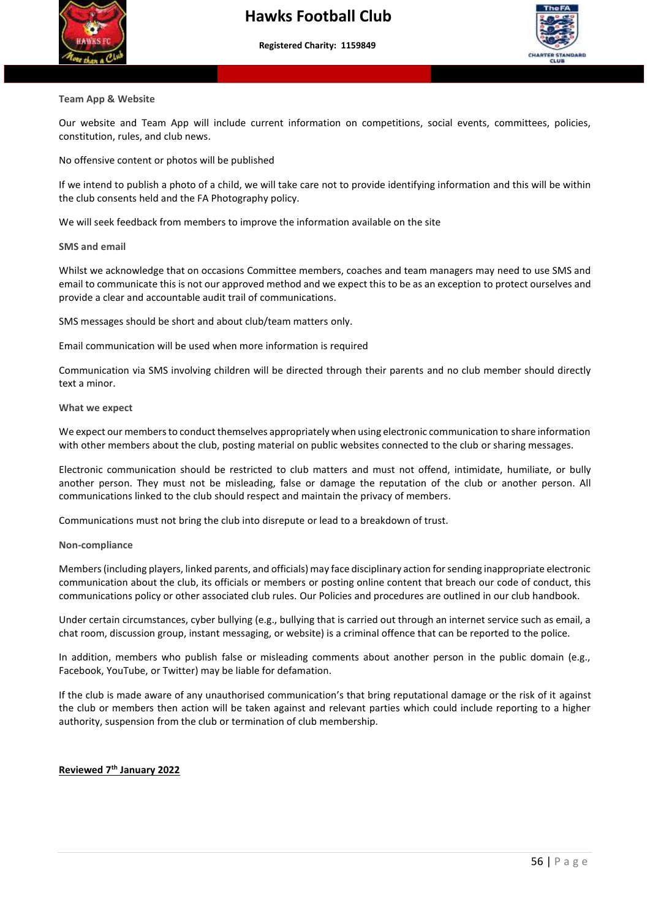



## **Team App & Website**

Our website and Team App will include current information on competitions, social events, committees, policies, constitution, rules, and club news.

No offensive content or photos will be published

If we intend to publish a photo of a child, we will take care not to provide identifying information and this will be within the club consents held and the FA Photography policy.

We will seek feedback from members to improve the information available on the site

#### **SMS and email**

Whilst we acknowledge that on occasions Committee members, coaches and team managers may need to use SMS and email to communicate this is not our approved method and we expect this to be as an exception to protect ourselves and provide a clear and accountable audit trail of communications.

SMS messages should be short and about club/team matters only.

Email communication will be used when more information is required

Communication via SMS involving children will be directed through their parents and no club member should directly text a minor.

#### **What we expect**

We expect our members to conduct themselves appropriately when using electronic communication to share information with other members about the club, posting material on public websites connected to the club or sharing messages.

Electronic communication should be restricted to club matters and must not offend, intimidate, humiliate, or bully another person. They must not be misleading, false or damage the reputation of the club or another person. All communications linked to the club should respect and maintain the privacy of members.

Communications must not bring the club into disrepute or lead to a breakdown of trust.

#### **Non-compliance**

Members (including players, linked parents, and officials) may face disciplinary action for sending inappropriate electronic communication about the club, its officials or members or posting online content that breach our code of conduct, this communications policy or other associated club rules. Our Policies and procedures are outlined in our club handbook.

Under certain circumstances, cyber bullying (e.g., bullying that is carried out through an internet service such as email, a chat room, discussion group, instant messaging, or website) is a criminal offence that can be reported to the police.

In addition, members who publish false or misleading comments about another person in the public domain (e.g., Facebook, YouTube, or Twitter) may be liable for defamation.

If the club is made aware of any unauthorised communication's that bring reputational damage or the risk of it against the club or members then action will be taken against and relevant parties which could include reporting to a higher authority, suspension from the club or termination of club membership.

#### **Reviewed 7th January 2022**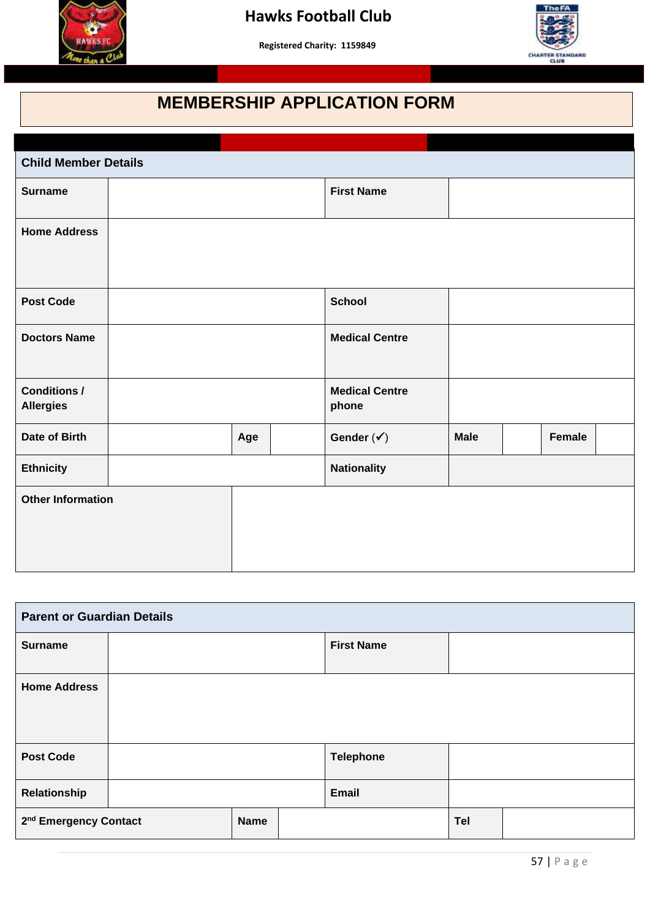



## **MEMBERSHIP APPLICATION FORM**

 **More than a club – Making a difference to young people's lives"**

| <b>Child Member Details</b>             |     |  |                                |                   |  |        |  |  |
|-----------------------------------------|-----|--|--------------------------------|-------------------|--|--------|--|--|
| <b>Surname</b>                          |     |  |                                | <b>First Name</b> |  |        |  |  |
| <b>Home Address</b>                     |     |  |                                |                   |  |        |  |  |
| <b>Post Code</b>                        |     |  |                                | <b>School</b>     |  |        |  |  |
| <b>Doctors Name</b>                     |     |  | <b>Medical Centre</b>          |                   |  |        |  |  |
| <b>Conditions /</b><br><b>Allergies</b> |     |  | <b>Medical Centre</b><br>phone |                   |  |        |  |  |
| Date of Birth                           | Age |  | Gender $({\checkmark})$        | <b>Male</b>       |  | Female |  |  |
| <b>Ethnicity</b>                        |     |  | <b>Nationality</b>             |                   |  |        |  |  |
| <b>Other Information</b>                |     |  |                                |                   |  |        |  |  |

| <b>Parent or Guardian Details</b> |  |             |  |                   |     |  |
|-----------------------------------|--|-------------|--|-------------------|-----|--|
| <b>Surname</b>                    |  |             |  | <b>First Name</b> |     |  |
| <b>Home Address</b>               |  |             |  |                   |     |  |
| <b>Post Code</b>                  |  |             |  | <b>Telephone</b>  |     |  |
| Relationship                      |  |             |  | <b>Email</b>      |     |  |
| 2 <sup>nd</sup> Emergency Contact |  | <b>Name</b> |  |                   | Tel |  |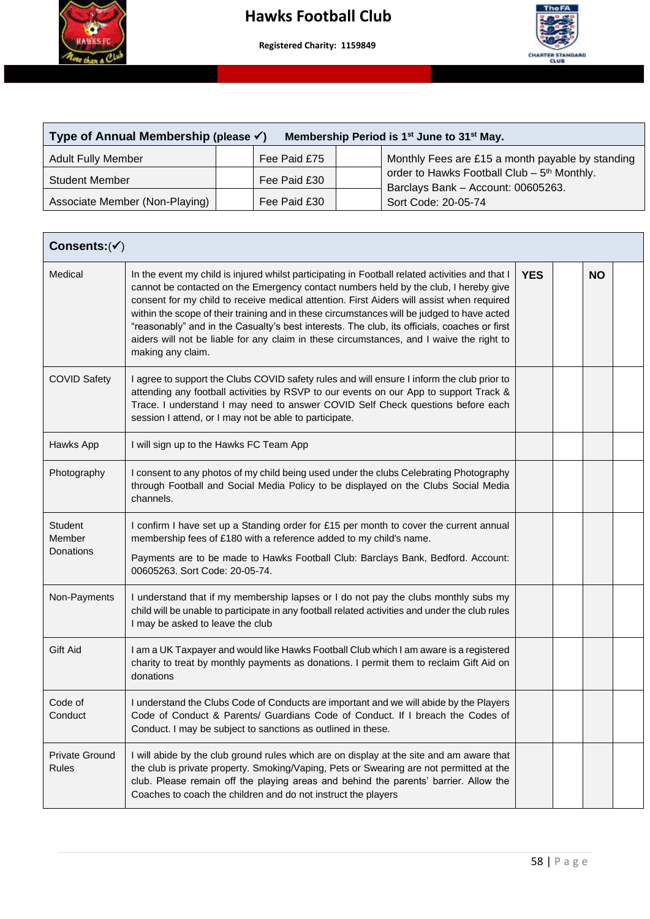

 **More than a club – Making a difference to young people's lives"**



| Type of Annual Membership (please $\checkmark$ )<br>Membership Period is 1 <sup>st</sup> June to 31 <sup>st</sup> May. |  |              |  |                                                                                               |  |  |  |
|------------------------------------------------------------------------------------------------------------------------|--|--------------|--|-----------------------------------------------------------------------------------------------|--|--|--|
| <b>Adult Fully Member</b>                                                                                              |  | Fee Paid £75 |  | Monthly Fees are £15 a month payable by standing                                              |  |  |  |
| <b>Student Member</b>                                                                                                  |  | Fee Paid £30 |  | order to Hawks Football Club - 5 <sup>th</sup> Monthly.<br>Barclays Bank - Account: 00605263. |  |  |  |
| Associate Member (Non-Playing)                                                                                         |  | Fee Paid £30 |  | Sort Code: 20-05-74                                                                           |  |  |  |

| Consents: $(v')$                      |                                                                                                                                                                                                                                                                                                                                                                                                                                                                                                                                                                                                     |            |  |           |  |  |
|---------------------------------------|-----------------------------------------------------------------------------------------------------------------------------------------------------------------------------------------------------------------------------------------------------------------------------------------------------------------------------------------------------------------------------------------------------------------------------------------------------------------------------------------------------------------------------------------------------------------------------------------------------|------------|--|-----------|--|--|
| Medical                               | In the event my child is injured whilst participating in Football related activities and that I<br>cannot be contacted on the Emergency contact numbers held by the club, I hereby give<br>consent for my child to receive medical attention. First Aiders will assist when required<br>within the scope of their training and in these circumstances will be judged to have acted<br>"reasonably" and in the Casualty's best interests. The club, its officials, coaches or first<br>aiders will not be liable for any claim in these circumstances, and I waive the right to<br>making any claim. | <b>YES</b> |  | <b>NO</b> |  |  |
| <b>COVID Safety</b>                   | I agree to support the Clubs COVID safety rules and will ensure I inform the club prior to<br>attending any football activities by RSVP to our events on our App to support Track &<br>Trace. I understand I may need to answer COVID Self Check questions before each<br>session I attend, or I may not be able to participate.                                                                                                                                                                                                                                                                    |            |  |           |  |  |
| Hawks App                             | I will sign up to the Hawks FC Team App                                                                                                                                                                                                                                                                                                                                                                                                                                                                                                                                                             |            |  |           |  |  |
| Photography                           | I consent to any photos of my child being used under the clubs Celebrating Photography<br>through Football and Social Media Policy to be displayed on the Clubs Social Media<br>channels.                                                                                                                                                                                                                                                                                                                                                                                                           |            |  |           |  |  |
| Student<br>Member<br>Donations        | I confirm I have set up a Standing order for £15 per month to cover the current annual<br>membership fees of £180 with a reference added to my child's name.<br>Payments are to be made to Hawks Football Club: Barclays Bank, Bedford. Account:<br>00605263. Sort Code: 20-05-74.                                                                                                                                                                                                                                                                                                                  |            |  |           |  |  |
| Non-Payments                          | I understand that if my membership lapses or I do not pay the clubs monthly subs my<br>child will be unable to participate in any football related activities and under the club rules<br>I may be asked to leave the club                                                                                                                                                                                                                                                                                                                                                                          |            |  |           |  |  |
| Gift Aid                              | I am a UK Taxpayer and would like Hawks Football Club which I am aware is a registered<br>charity to treat by monthly payments as donations. I permit them to reclaim Gift Aid on<br>donations                                                                                                                                                                                                                                                                                                                                                                                                      |            |  |           |  |  |
| Code of<br>Conduct                    | I understand the Clubs Code of Conducts are important and we will abide by the Players<br>Code of Conduct & Parents/ Guardians Code of Conduct. If I breach the Codes of<br>Conduct. I may be subject to sanctions as outlined in these.                                                                                                                                                                                                                                                                                                                                                            |            |  |           |  |  |
| <b>Private Ground</b><br><b>Rules</b> | I will abide by the club ground rules which are on display at the site and am aware that<br>the club is private property. Smoking/Vaping, Pets or Swearing are not permitted at the<br>club. Please remain off the playing areas and behind the parents' barrier. Allow the<br>Coaches to coach the children and do not instruct the players                                                                                                                                                                                                                                                        |            |  |           |  |  |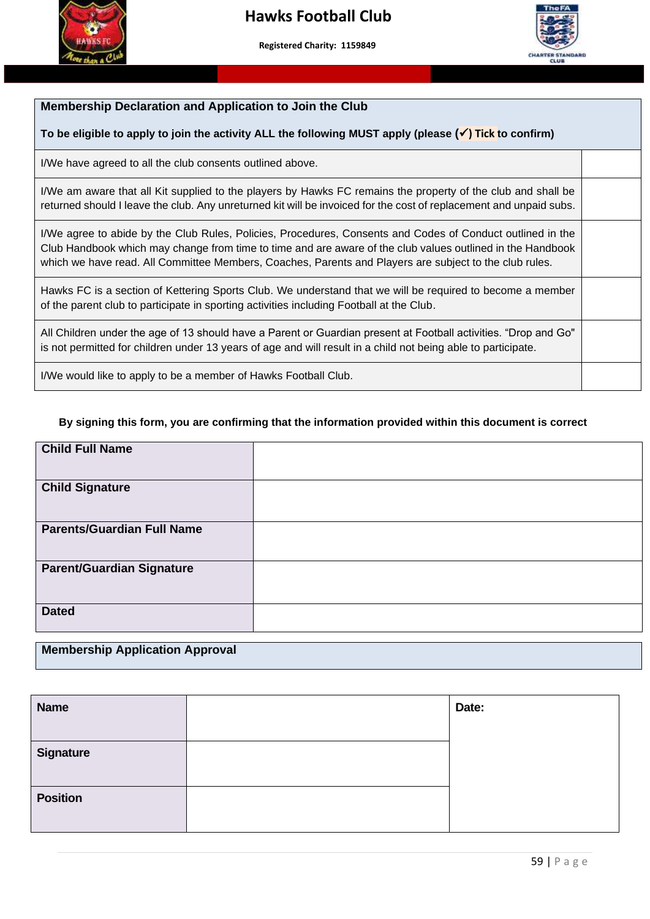



#### **Membership Declaration and Application to Join the Club**

#### **To be eligible to apply to join the activity ALL the following MUST apply (please (**✓**) Tick to confirm)**

 **More than a club – Making a difference to young people's lives"**

 $\overline{a}$ I/We have agreed to all the club consents outlined above.

I/We am aware that all Kit supplied to the players by Hawks FC remains the property of the club and shall be returned should I leave the club. Any unreturned kit will be invoiced for the cost of replacement and unpaid subs.

I/We agree to abide by the Club Rules, Policies, Procedures, Consents and Codes of Conduct outlined in the Club Handbook which may change from time to time and are aware of the club values outlined in the Handbook which we have read. All Committee Members, Coaches, Parents and Players are subject to the club rules.

Hawks FC is a section of Kettering Sports Club. We understand that we will be required to become a member of the parent club to participate in sporting activities including Football at the Club.

All Children under the age of 13 should have a Parent or Guardian present at Football activities. "Drop and Go" is not permitted for children under 13 years of age and will result in a child not being able to participate.

I/We would like to apply to be a member of Hawks Football Club.

#### **By signing this form, you are confirming that the information provided within this document is correct**

| <b>Child Full Name</b>            |  |
|-----------------------------------|--|
| <b>Child Signature</b>            |  |
| <b>Parents/Guardian Full Name</b> |  |
| <b>Parent/Guardian Signature</b>  |  |
| <b>Dated</b>                      |  |

#### **Membership Application Approval**

| <b>Name</b>      | Date: |
|------------------|-------|
|                  |       |
| <b>Signature</b> |       |
| <b>Position</b>  |       |